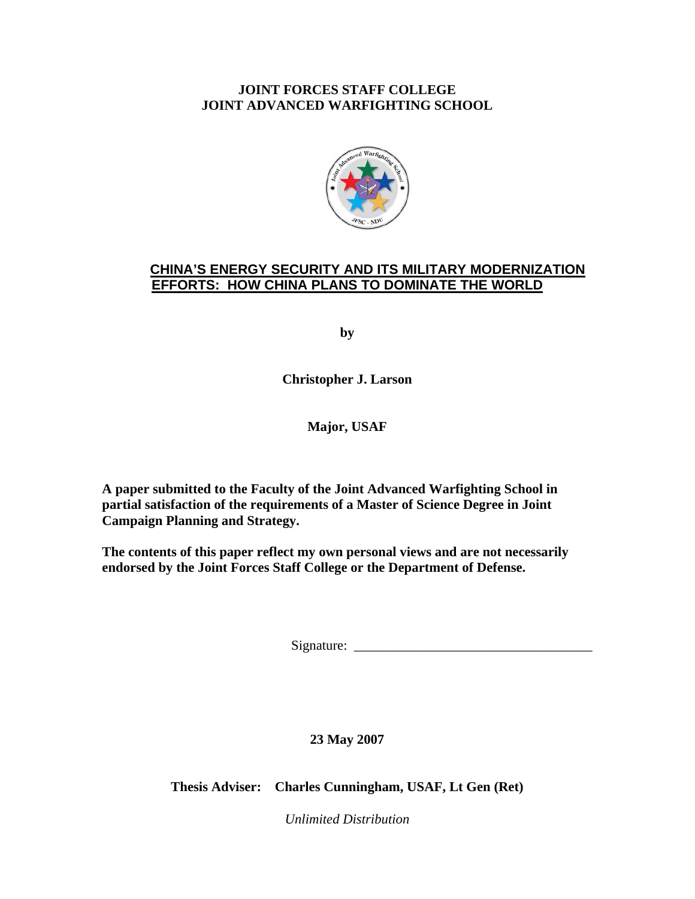## **JOINT FORCES STAFF COLLEGE JOINT ADVANCED WARFIGHTING SCHOOL**



# **CHINA'S ENERGY SECURITY AND ITS MILITARY MODERNIZATION EFFORTS: HOW CHINA PLANS TO DOMINATE THE WORLD**

**by** 

**Christopher J. Larson** 

**Major, USAF** 

**A paper submitted to the Faculty of the Joint Advanced Warfighting School in partial satisfaction of the requirements of a Master of Science Degree in Joint Campaign Planning and Strategy.** 

**The contents of this paper reflect my own personal views and are not necessarily endorsed by the Joint Forces Staff College or the Department of Defense.** 

Signature: \_\_\_\_\_\_\_\_\_\_\_\_\_\_\_\_\_\_\_\_\_\_\_\_\_\_\_\_\_\_\_\_\_\_\_

**23 May 2007**

**Thesis Adviser: Charles Cunningham, USAF, Lt Gen (Ret)** 

*Unlimited Distribution*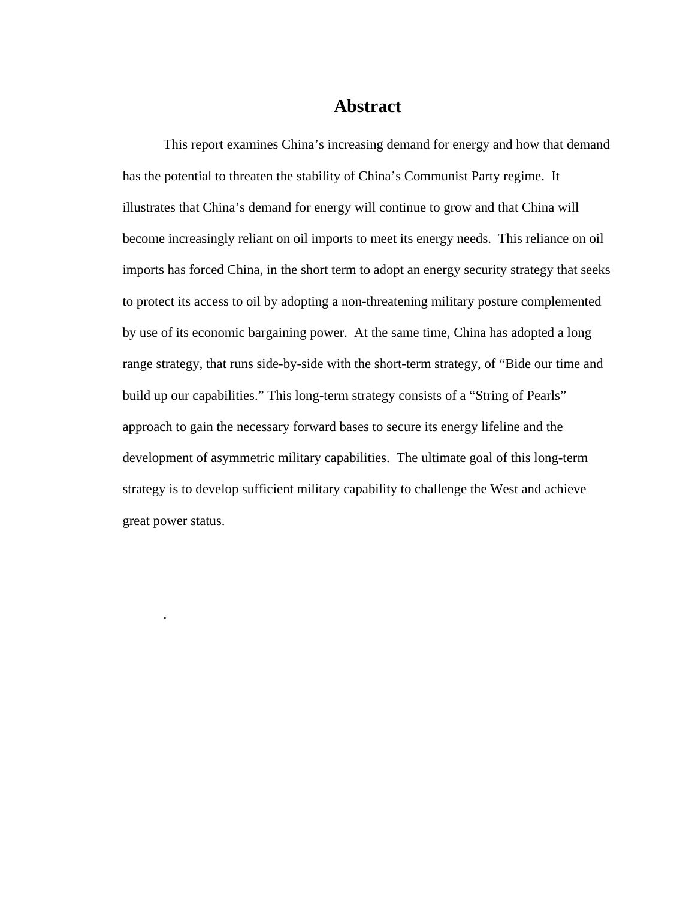# **Abstract**

This report examines China's increasing demand for energy and how that demand has the potential to threaten the stability of China's Communist Party regime. It illustrates that China's demand for energy will continue to grow and that China will become increasingly reliant on oil imports to meet its energy needs. This reliance on oil imports has forced China, in the short term to adopt an energy security strategy that seeks to protect its access to oil by adopting a non-threatening military posture complemented by use of its economic bargaining power. At the same time, China has adopted a long range strategy, that runs side-by-side with the short-term strategy, of "Bide our time and build up our capabilities." This long-term strategy consists of a "String of Pearls" approach to gain the necessary forward bases to secure its energy lifeline and the development of asymmetric military capabilities. The ultimate goal of this long-term strategy is to develop sufficient military capability to challenge the West and achieve great power status.

.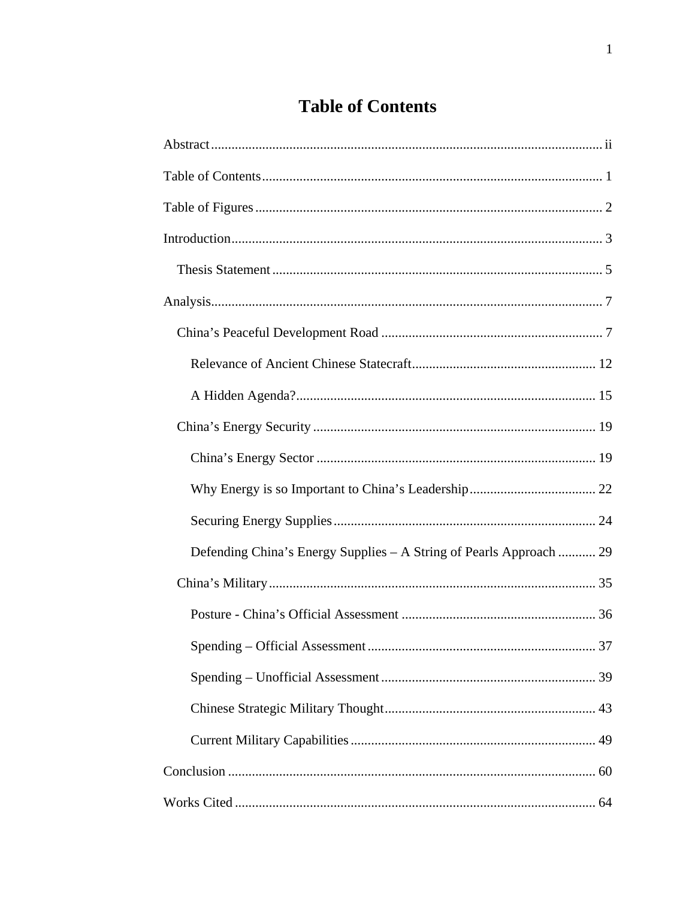# **Table of Contents**

| Defending China's Energy Supplies - A String of Pearls Approach  29 |
|---------------------------------------------------------------------|
|                                                                     |
|                                                                     |
| 37                                                                  |
|                                                                     |
|                                                                     |
|                                                                     |
|                                                                     |
|                                                                     |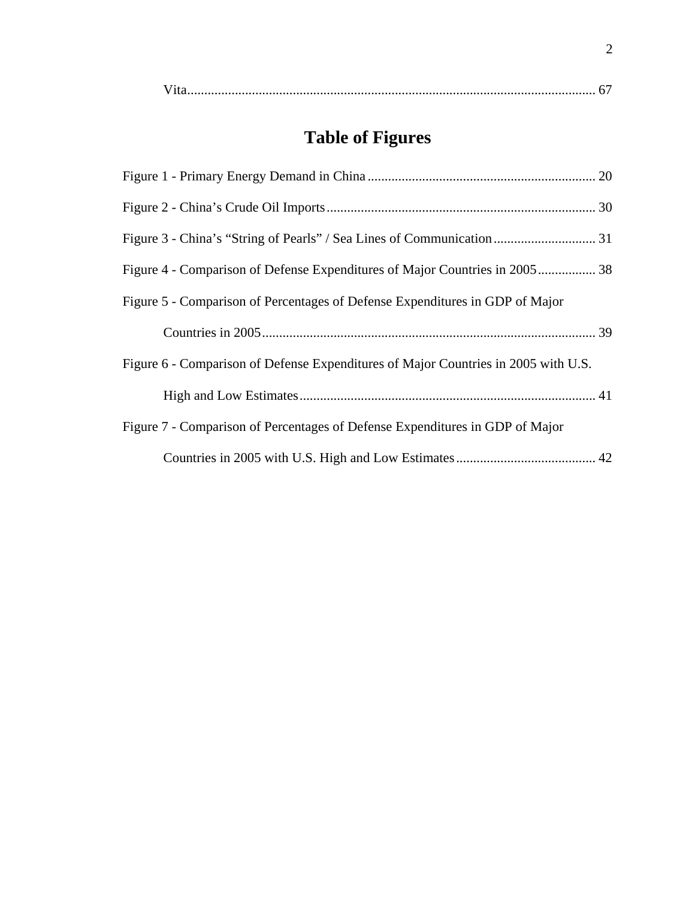# **Table of Figures**

| Figure 4 - Comparison of Defense Expenditures of Major Countries in 2005 38        |
|------------------------------------------------------------------------------------|
| Figure 5 - Comparison of Percentages of Defense Expenditures in GDP of Major       |
|                                                                                    |
| Figure 6 - Comparison of Defense Expenditures of Major Countries in 2005 with U.S. |
|                                                                                    |
| Figure 7 - Comparison of Percentages of Defense Expenditures in GDP of Major       |
|                                                                                    |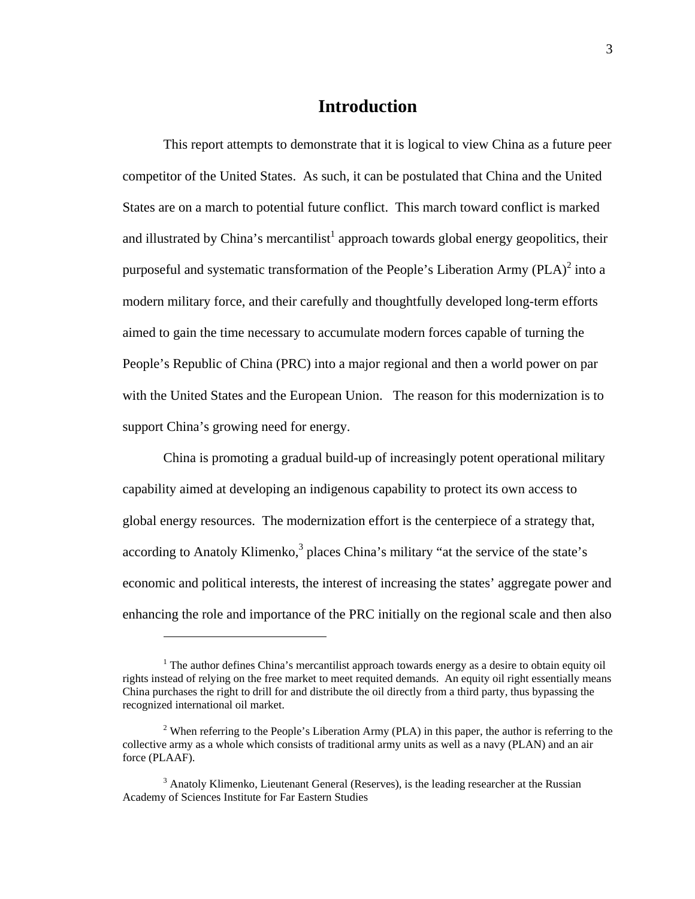## **Introduction**

This report attempts to demonstrate that it is logical to view China as a future peer competitor of the United States. As such, it can be postulated that China and the United States are on a march to potential future conflict. This march toward conflict is marked and illustrated by China's mercantilist<sup>1</sup> approach towards global energy geopolitics, their purposeful and systematic transformation of the People's Liberation Army  $(PLA)^2$  into a modern military force, and their carefully and thoughtfully developed long-term efforts aimed to gain the time necessary to accumulate modern forces capable of turning the People's Republic of China (PRC) into a major regional and then a world power on par with the United States and the European Union. The reason for this modernization is to support China's growing need for energy.

China is promoting a gradual build-up of increasingly potent operational military capability aimed at developing an indigenous capability to protect its own access to global energy resources. The modernization effort is the centerpiece of a strategy that, according to Anatoly Klimenko, $3$  places China's military "at the service of the state's economic and political interests, the interest of increasing the states' aggregate power and enhancing the role and importance of the PRC initially on the regional scale and then also

<u>.</u>

<sup>&</sup>lt;sup>1</sup> The author defines China's mercantilist approach towards energy as a desire to obtain equity oil rights instead of relying on the free market to meet requited demands. An equity oil right essentially means China purchases the right to drill for and distribute the oil directly from a third party, thus bypassing the recognized international oil market.

<sup>&</sup>lt;sup>2</sup> When referring to the People's Liberation Army (PLA) in this paper, the author is referring to the collective army as a whole which consists of traditional army units as well as a navy (PLAN) and an air force (PLAAF).

 $3$  Anatoly Klimenko, Lieutenant General (Reserves), is the leading researcher at the Russian Academy of Sciences Institute for Far Eastern Studies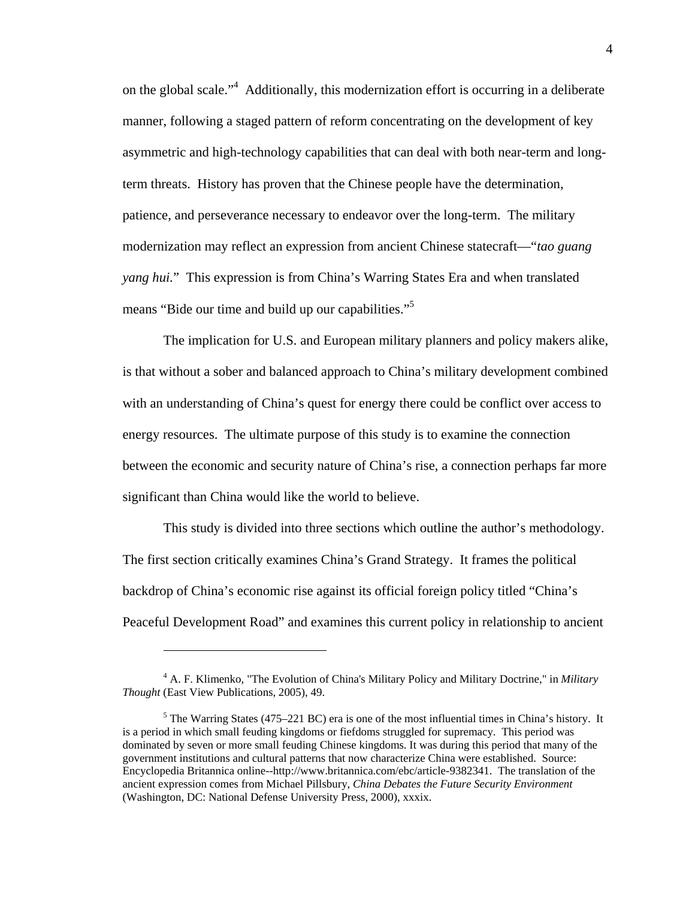on the global scale."4 Additionally, this modernization effort is occurring in a deliberate manner, following a staged pattern of reform concentrating on the development of key asymmetric and high-technology capabilities that can deal with both near-term and longterm threats. History has proven that the Chinese people have the determination, patience, and perseverance necessary to endeavor over the long-term. The military modernization may reflect an expression from ancient Chinese statecraft—"*tao guang yang hui.*" This expression is from China's Warring States Era and when translated means "Bide our time and build up our capabilities."<sup>5</sup>

The implication for U.S. and European military planners and policy makers alike, is that without a sober and balanced approach to China's military development combined with an understanding of China's quest for energy there could be conflict over access to energy resources. The ultimate purpose of this study is to examine the connection between the economic and security nature of China's rise, a connection perhaps far more significant than China would like the world to believe.

This study is divided into three sections which outline the author's methodology. The first section critically examines China's Grand Strategy. It frames the political backdrop of China's economic rise against its official foreign policy titled "China's Peaceful Development Road" and examines this current policy in relationship to ancient

<sup>4</sup> A. F. Klimenko, "The Evolution of China's Military Policy and Military Doctrine," in *Military Thought* (East View Publications, 2005), 49.

 $<sup>5</sup>$  The Warring States (475–221 BC) era is one of the most influential times in China's history. It</sup> is a period in which small feuding kingdoms or fiefdoms struggled for supremacy. This period was dominated by seven or more small feuding Chinese kingdoms. It was during this period that many of the government institutions and cultural patterns that now characterize China were established. Source: Encyclopedia Britannica online--http://www.britannica.com/ebc/article-9382341. The translation of the ancient expression comes from Michael Pillsbury, *China Debates the Future Security Environment*  (Washington, DC: National Defense University Press, 2000), xxxix.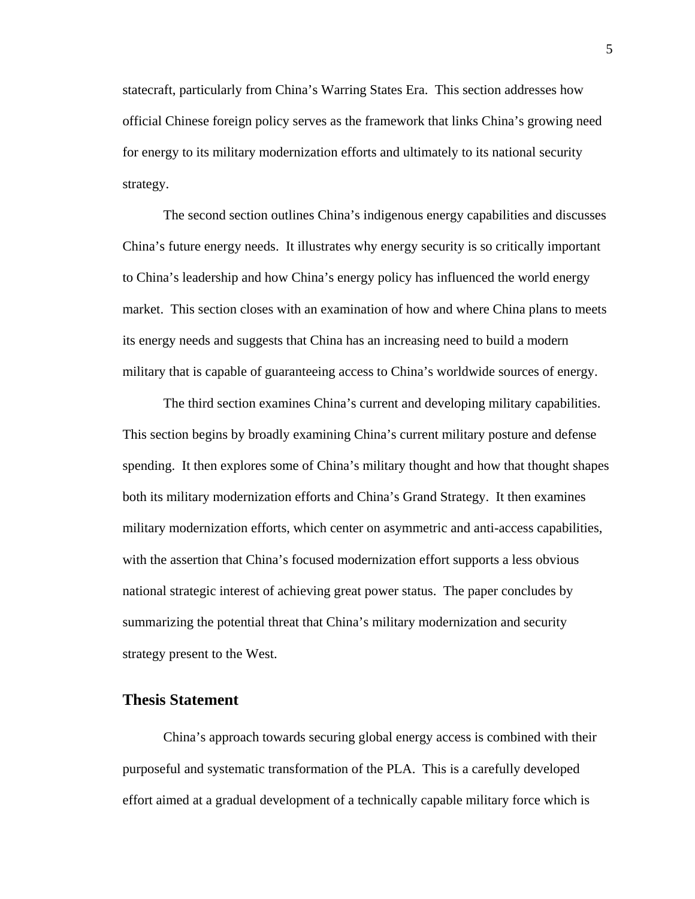statecraft, particularly from China's Warring States Era. This section addresses how official Chinese foreign policy serves as the framework that links China's growing need for energy to its military modernization efforts and ultimately to its national security strategy.

The second section outlines China's indigenous energy capabilities and discusses China's future energy needs. It illustrates why energy security is so critically important to China's leadership and how China's energy policy has influenced the world energy market. This section closes with an examination of how and where China plans to meets its energy needs and suggests that China has an increasing need to build a modern military that is capable of guaranteeing access to China's worldwide sources of energy.

The third section examines China's current and developing military capabilities. This section begins by broadly examining China's current military posture and defense spending. It then explores some of China's military thought and how that thought shapes both its military modernization efforts and China's Grand Strategy. It then examines military modernization efforts, which center on asymmetric and anti-access capabilities, with the assertion that China's focused modernization effort supports a less obvious national strategic interest of achieving great power status. The paper concludes by summarizing the potential threat that China's military modernization and security strategy present to the West.

## **Thesis Statement**

China's approach towards securing global energy access is combined with their purposeful and systematic transformation of the PLA. This is a carefully developed effort aimed at a gradual development of a technically capable military force which is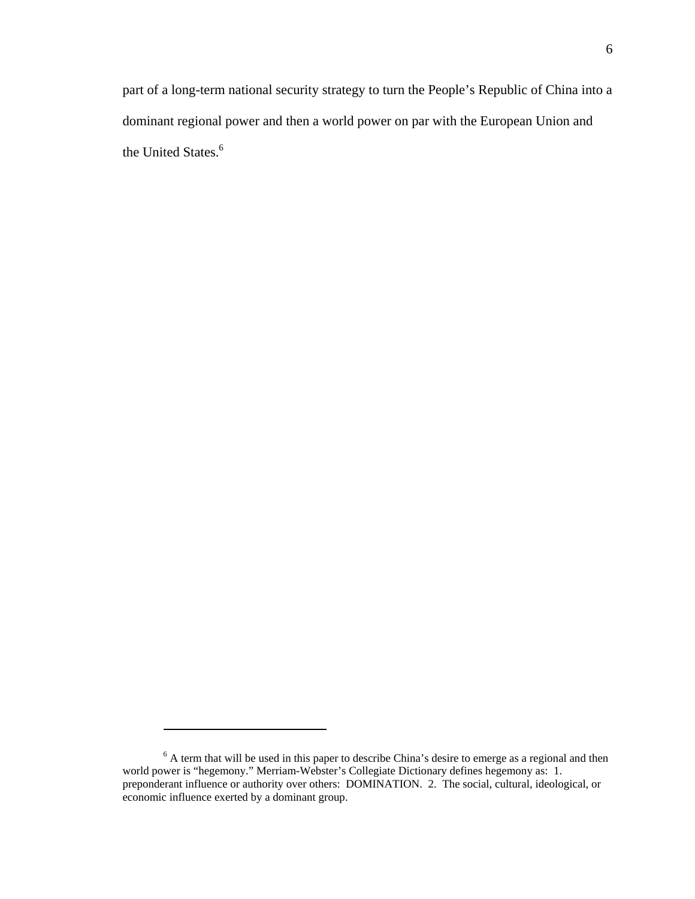part of a long-term national security strategy to turn the People's Republic of China into a dominant regional power and then a world power on par with the European Union and the United States.<sup>6</sup>

 $6$  A term that will be used in this paper to describe China's desire to emerge as a regional and then world power is "hegemony." Merriam-Webster's Collegiate Dictionary defines hegemony as: 1. preponderant influence or authority over others: DOMINATION. 2. The social, cultural, ideological, or economic influence exerted by a dominant group.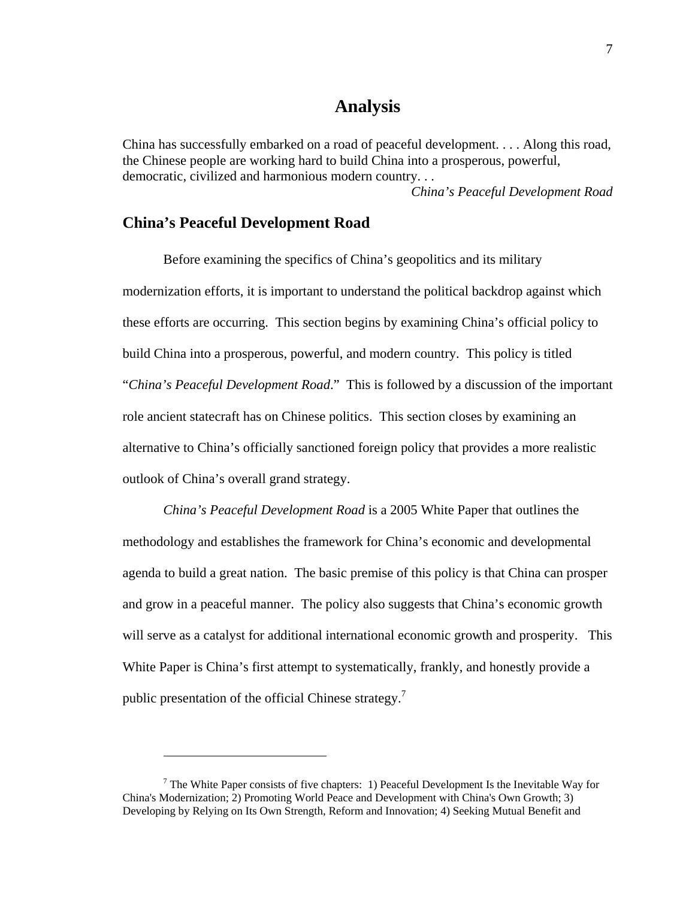# **Analysis**

China has successfully embarked on a road of peaceful development. . . . Along this road, the Chinese people are working hard to build China into a prosperous, powerful, democratic, civilized and harmonious modern country. . .

*China's Peaceful Development Road*

## **China's Peaceful Development Road**

 $\overline{a}$ 

Before examining the specifics of China's geopolitics and its military modernization efforts, it is important to understand the political backdrop against which these efforts are occurring. This section begins by examining China's official policy to build China into a prosperous, powerful, and modern country. This policy is titled "*China's Peaceful Development Road*." This is followed by a discussion of the important role ancient statecraft has on Chinese politics. This section closes by examining an alternative to China's officially sanctioned foreign policy that provides a more realistic outlook of China's overall grand strategy.

*China's Peaceful Development Road* is a 2005 White Paper that outlines the methodology and establishes the framework for China's economic and developmental agenda to build a great nation. The basic premise of this policy is that China can prosper and grow in a peaceful manner. The policy also suggests that China's economic growth will serve as a catalyst for additional international economic growth and prosperity. This White Paper is China's first attempt to systematically, frankly, and honestly provide a public presentation of the official Chinese strategy.<sup>7</sup>

<sup>&</sup>lt;sup>7</sup> The White Paper consists of five chapters: 1) Peaceful Development Is the Inevitable Way for China's Modernization; 2) Promoting World Peace and Development with China's Own Growth; 3) Developing by Relying on Its Own Strength, Reform and Innovation; 4) Seeking Mutual Benefit and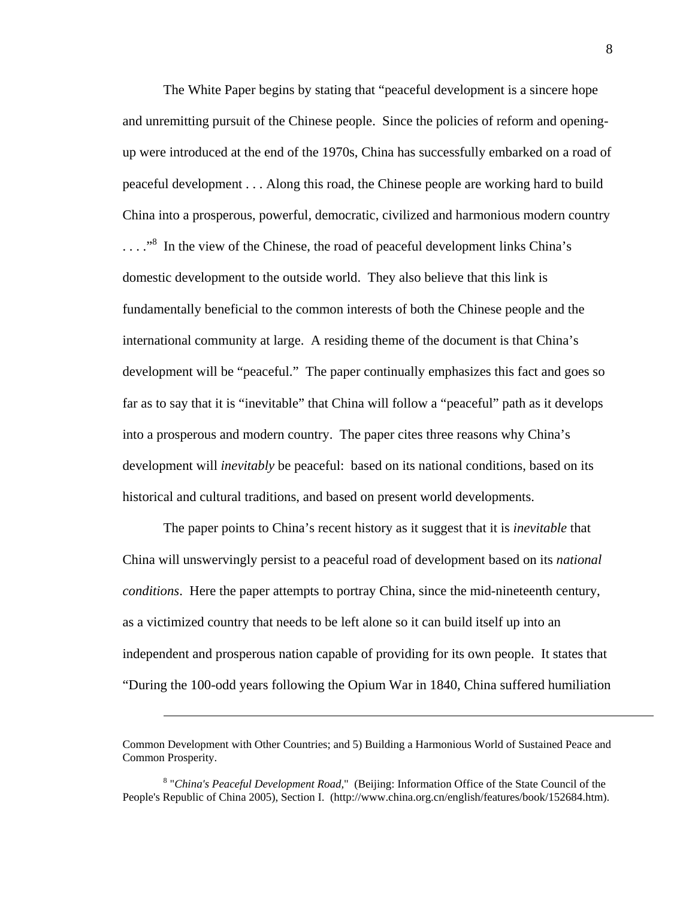The White Paper begins by stating that "peaceful development is a sincere hope and unremitting pursuit of the Chinese people. Since the policies of reform and openingup were introduced at the end of the 1970s, China has successfully embarked on a road of peaceful development . . . Along this road, the Chinese people are working hard to build China into a prosperous, powerful, democratic, civilized and harmonious modern country ...."<sup>8</sup> In the view of the Chinese, the road of peaceful development links China's domestic development to the outside world. They also believe that this link is fundamentally beneficial to the common interests of both the Chinese people and the international community at large. A residing theme of the document is that China's development will be "peaceful." The paper continually emphasizes this fact and goes so far as to say that it is "inevitable" that China will follow a "peaceful" path as it develops into a prosperous and modern country. The paper cites three reasons why China's development will *inevitably* be peaceful: based on its national conditions, based on its historical and cultural traditions, and based on present world developments.

The paper points to China's recent history as it suggest that it is *inevitable* that China will unswervingly persist to a peaceful road of development based on its *national conditions*. Here the paper attempts to portray China, since the mid-nineteenth century, as a victimized country that needs to be left alone so it can build itself up into an independent and prosperous nation capable of providing for its own people. It states that "During the 100-odd years following the Opium War in 1840, China suffered humiliation

Common Development with Other Countries; and 5) Building a Harmonious World of Sustained Peace and Common Prosperity.

<sup>&</sup>lt;sup>8</sup> "China's Peaceful Development Road," (Beijing: Information Office of the State Council of the People's Republic of China 2005), Section I. (http://www.china.org.cn/english/features/book/152684.htm).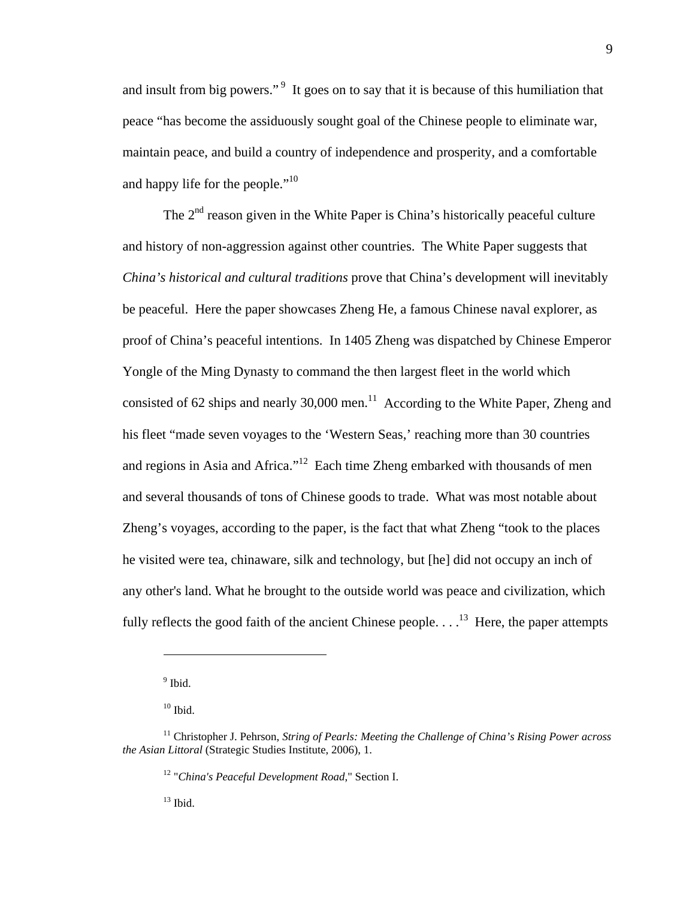and insult from big powers."<sup>9</sup> It goes on to say that it is because of this humiliation that peace "has become the assiduously sought goal of the Chinese people to eliminate war, maintain peace, and build a country of independence and prosperity, and a comfortable and happy life for the people."<sup>10</sup>

The  $2<sup>nd</sup>$  reason given in the White Paper is China's historically peaceful culture and history of non-aggression against other countries. The White Paper suggests that *China's historical and cultural traditions* prove that China's development will inevitably be peaceful. Here the paper showcases Zheng He, a famous Chinese naval explorer, as proof of China's peaceful intentions. In 1405 Zheng was dispatched by Chinese Emperor Yongle of the Ming Dynasty to command the then largest fleet in the world which consisted of 62 ships and nearly 30,000 men.<sup>11</sup> According to the White Paper, Zheng and his fleet "made seven voyages to the 'Western Seas,' reaching more than 30 countries and regions in Asia and Africa."12 Each time Zheng embarked with thousands of men and several thousands of tons of Chinese goods to trade. What was most notable about Zheng's voyages, according to the paper, is the fact that what Zheng "took to the places he visited were tea, chinaware, silk and technology, but [he] did not occupy an inch of any other's land. What he brought to the outside world was peace and civilization, which fully reflects the good faith of the ancient Chinese people.  $\dots$ <sup>13</sup> Here, the paper attempts

 $\overline{a}$ 

 $13$  Ibid.

<sup>&</sup>lt;sup>9</sup> Ibid.

 $10$  Ibid.

<sup>11</sup> Christopher J. Pehrson, *String of Pearls: Meeting the Challenge of China's Rising Power across the Asian Littoral* (Strategic Studies Institute, 2006), 1.

<sup>12 &</sup>quot;*China's Peaceful Development Road*," Section I.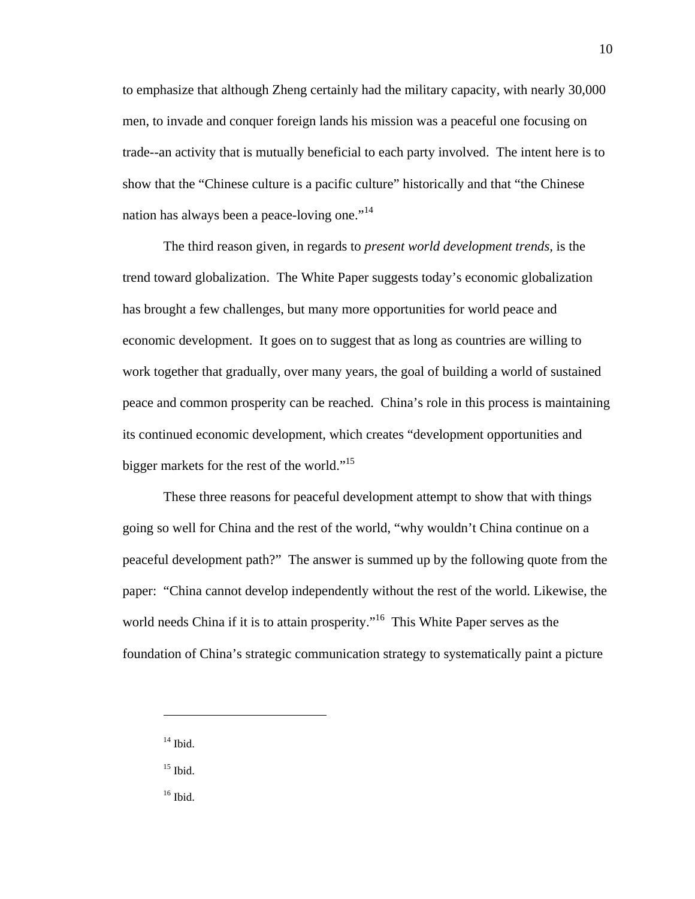to emphasize that although Zheng certainly had the military capacity, with nearly 30,000 men, to invade and conquer foreign lands his mission was a peaceful one focusing on trade--an activity that is mutually beneficial to each party involved. The intent here is to show that the "Chinese culture is a pacific culture" historically and that "the Chinese nation has always been a peace-loving one."<sup>14</sup>

The third reason given, in regards to *present world development trends,* is the trend toward globalization. The White Paper suggests today's economic globalization has brought a few challenges, but many more opportunities for world peace and economic development. It goes on to suggest that as long as countries are willing to work together that gradually, over many years, the goal of building a world of sustained peace and common prosperity can be reached. China's role in this process is maintaining its continued economic development, which creates "development opportunities and bigger markets for the rest of the world."<sup>15</sup>

These three reasons for peaceful development attempt to show that with things going so well for China and the rest of the world, "why wouldn't China continue on a peaceful development path?" The answer is summed up by the following quote from the paper: "China cannot develop independently without the rest of the world. Likewise, the world needs China if it is to attain prosperity."<sup>16</sup> This White Paper serves as the foundation of China's strategic communication strategy to systematically paint a picture

 $14$  Ibid.

 $\overline{a}$ 

 $^{15}$  Ibid.

 $^{16}$  Ibid.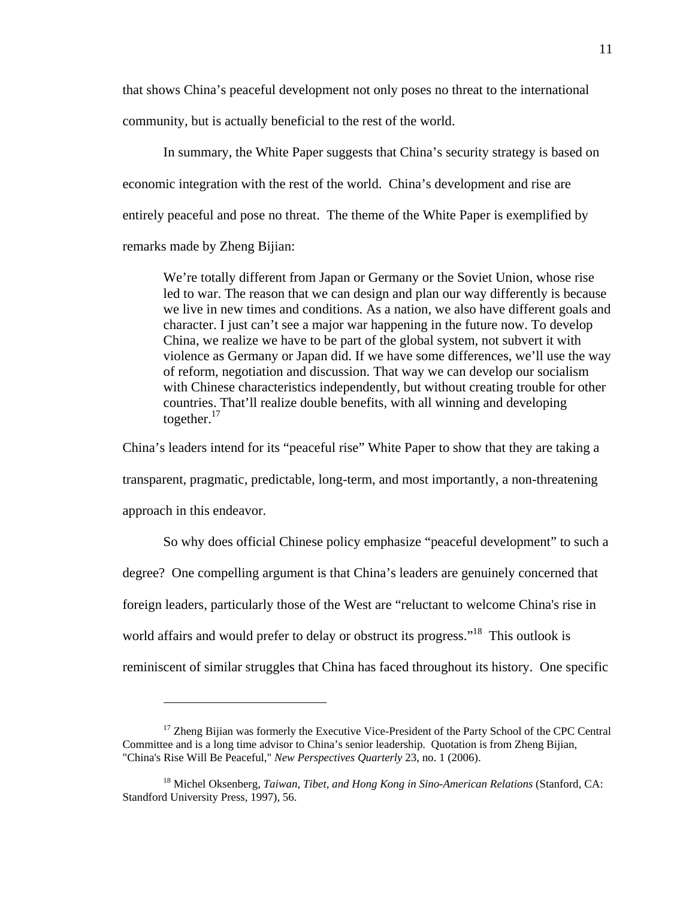that shows China's peaceful development not only poses no threat to the international community, but is actually beneficial to the rest of the world.

In summary, the White Paper suggests that China's security strategy is based on economic integration with the rest of the world. China's development and rise are entirely peaceful and pose no threat. The theme of the White Paper is exemplified by remarks made by Zheng Bijian:

We're totally different from Japan or Germany or the Soviet Union, whose rise led to war. The reason that we can design and plan our way differently is because we live in new times and conditions. As a nation, we also have different goals and character. I just can't see a major war happening in the future now. To develop China, we realize we have to be part of the global system, not subvert it with violence as Germany or Japan did. If we have some differences, we'll use the way of reform, negotiation and discussion. That way we can develop our socialism with Chinese characteristics independently, but without creating trouble for other countries. That'll realize double benefits, with all winning and developing together. $17$ 

China's leaders intend for its "peaceful rise" White Paper to show that they are taking a transparent, pragmatic, predictable, long-term, and most importantly, a non-threatening approach in this endeavor.

So why does official Chinese policy emphasize "peaceful development" to such a degree? One compelling argument is that China's leaders are genuinely concerned that foreign leaders, particularly those of the West are "reluctant to welcome China's rise in world affairs and would prefer to delay or obstruct its progress."<sup>18</sup> This outlook is reminiscent of similar struggles that China has faced throughout its history. One specific

<sup>&</sup>lt;sup>17</sup> Zheng Bijian was formerly the Executive Vice-President of the Party School of the CPC Central Committee and is a long time advisor to China's senior leadership. Quotation is from Zheng Bijian, "China's Rise Will Be Peaceful," *New Perspectives Quarterly* 23, no. 1 (2006).

<sup>18</sup> Michel Oksenberg, *Taiwan, Tibet, and Hong Kong in Sino-American Relations* (Stanford, CA: Standford University Press, 1997), 56.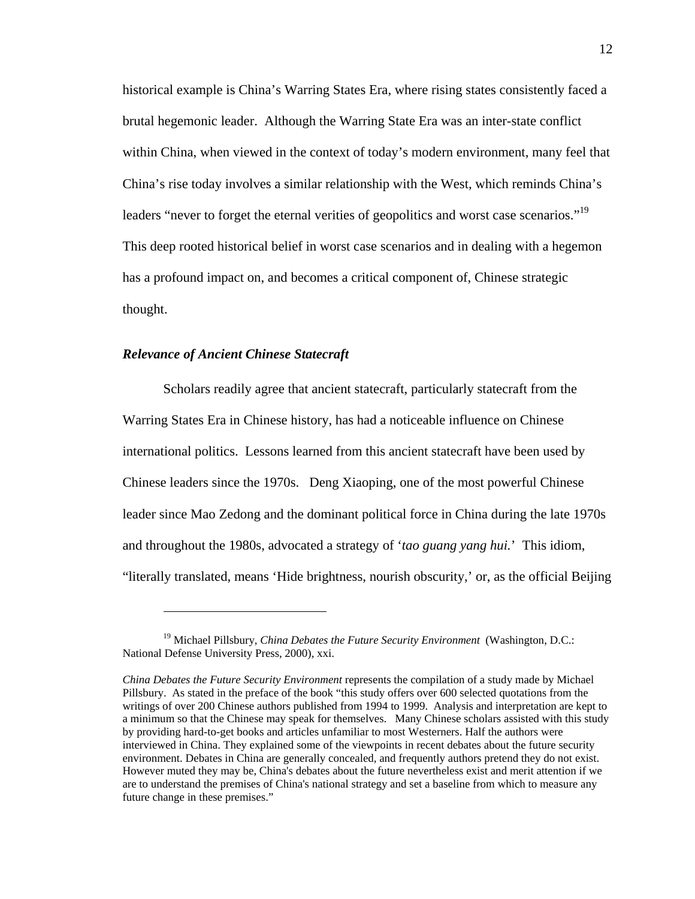historical example is China's Warring States Era, where rising states consistently faced a brutal hegemonic leader. Although the Warring State Era was an inter-state conflict within China, when viewed in the context of today's modern environment, many feel that China's rise today involves a similar relationship with the West, which reminds China's leaders "never to forget the eternal verities of geopolitics and worst case scenarios."<sup>19</sup> This deep rooted historical belief in worst case scenarios and in dealing with a hegemon has a profound impact on, and becomes a critical component of, Chinese strategic thought.

## *Relevance of Ancient Chinese Statecraft*

<u>.</u>

Scholars readily agree that ancient statecraft, particularly statecraft from the Warring States Era in Chinese history, has had a noticeable influence on Chinese international politics. Lessons learned from this ancient statecraft have been used by Chinese leaders since the 1970s. Deng Xiaoping, one of the most powerful Chinese leader since Mao Zedong and the dominant political force in China during the late 1970s and throughout the 1980s, advocated a strategy of '*tao guang yang hui.*' This idiom, "literally translated, means 'Hide brightness, nourish obscurity,' or, as the official Beijing

<sup>&</sup>lt;sup>19</sup> Michael Pillsbury, *China Debates the Future Security Environment* (Washington, D.C.: National Defense University Press, 2000), xxi.

*China Debates the Future Security Environment* represents the compilation of a study made by Michael Pillsbury. As stated in the preface of the book "this study offers over 600 selected quotations from the writings of over 200 Chinese authors published from 1994 to 1999. Analysis and interpretation are kept to a minimum so that the Chinese may speak for themselves. Many Chinese scholars assisted with this study by providing hard-to-get books and articles unfamiliar to most Westerners. Half the authors were interviewed in China. They explained some of the viewpoints in recent debates about the future security environment. Debates in China are generally concealed, and frequently authors pretend they do not exist. However muted they may be, China's debates about the future nevertheless exist and merit attention if we are to understand the premises of China's national strategy and set a baseline from which to measure any future change in these premises."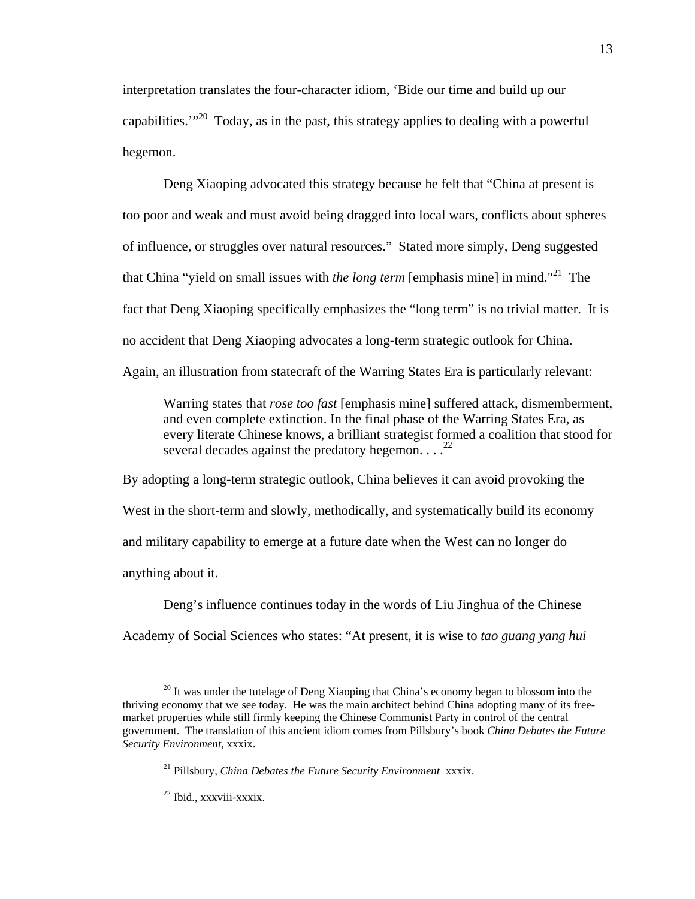interpretation translates the four-character idiom, 'Bide our time and build up our capabilities. $1^{20}$  Today, as in the past, this strategy applies to dealing with a powerful hegemon.

Deng Xiaoping advocated this strategy because he felt that "China at present is too poor and weak and must avoid being dragged into local wars, conflicts about spheres of influence, or struggles over natural resources." Stated more simply, Deng suggested that China "yield on small issues with *the long term* [emphasis mine] in mind."21 The fact that Deng Xiaoping specifically emphasizes the "long term" is no trivial matter. It is no accident that Deng Xiaoping advocates a long-term strategic outlook for China. Again, an illustration from statecraft of the Warring States Era is particularly relevant:

Warring states that *rose too fast* [emphasis mine] suffered attack, dismemberment, and even complete extinction. In the final phase of the Warring States Era, as every literate Chinese knows, a brilliant strategist formed a coalition that stood for several decades against the predatory hegemon.  $\ldots$ <sup>22</sup>

By adopting a long-term strategic outlook, China believes it can avoid provoking the West in the short-term and slowly, methodically, and systematically build its economy and military capability to emerge at a future date when the West can no longer do anything about it.

Deng's influence continues today in the words of Liu Jinghua of the Chinese Academy of Social Sciences who states: "At present, it is wise to *tao guang yang hui*

<sup>&</sup>lt;sup>20</sup> It was under the tutelage of Deng Xiaoping that China's economy began to blossom into the thriving economy that we see today. He was the main architect behind China adopting many of its freemarket properties while still firmly keeping the Chinese Communist Party in control of the central government. The translation of this ancient idiom comes from Pillsbury's book *China Debates the Future Security Environment,* xxxix.

<sup>21</sup> Pillsbury, *China Debates the Future Security Environment* xxxix.

<sup>22</sup> Ibid., xxxviii-xxxix.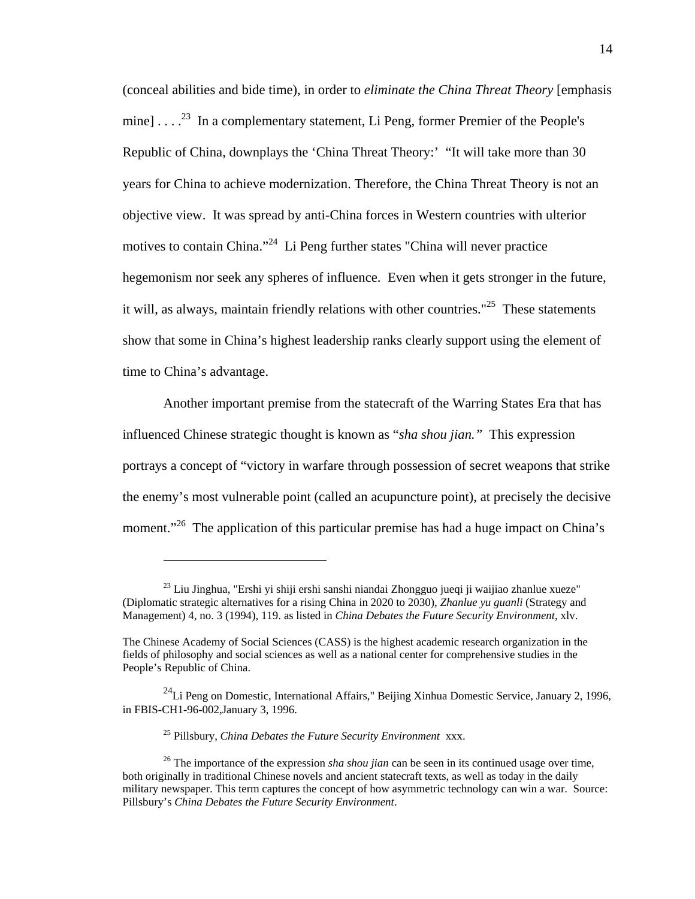(conceal abilities and bide time), in order to *eliminate the China Threat Theory* [emphasis mine]  $\ldots$ <sup>23</sup> In a complementary statement, Li Peng, former Premier of the People's Republic of China, downplays the 'China Threat Theory:' "It will take more than 30 years for China to achieve modernization. Therefore, the China Threat Theory is not an objective view. It was spread by anti-China forces in Western countries with ulterior motives to contain China."24 Li Peng further states "China will never practice hegemonism nor seek any spheres of influence. Even when it gets stronger in the future, it will, as always, maintain friendly relations with other countries."<sup>25</sup> These statements show that some in China's highest leadership ranks clearly support using the element of time to China's advantage.

Another important premise from the statecraft of the Warring States Era that has influenced Chinese strategic thought is known as "*sha shou jian."* This expression portrays a concept of "victory in warfare through possession of secret weapons that strike the enemy's most vulnerable point (called an acupuncture point), at precisely the decisive moment."<sup>26</sup> The application of this particular premise has had a huge impact on China's

25 Pillsbury, *China Debates the Future Security Environment* xxx.

 $23$  Liu Jinghua, "Ershi yi shiji ershi sanshi niandai Zhongguo jueqi ji waijiao zhanlue xueze" (Diplomatic strategic alternatives for a rising China in 2020 to 2030), *Zhanlue yu guanli* (Strategy and Management) 4, no. 3 (1994), 119. as listed in *China Debates the Future Security Environment*, xlv.

The Chinese Academy of Social Sciences (CASS) is the highest academic research organization in the fields of philosophy and social sciences as well as a national center for comprehensive studies in the People's Republic of China.

 $^{24}$ Li Peng on Domestic, International Affairs," Beijing Xinhua Domestic Service, January 2, 1996, in FBIS-CH1-96-002,January 3, 1996.

<sup>&</sup>lt;sup>26</sup> The importance of the expression *sha shou jian* can be seen in its continued usage over time, both originally in traditional Chinese novels and ancient statecraft texts, as well as today in the daily military newspaper. This term captures the concept of how asymmetric technology can win a war. Source: Pillsbury's *China Debates the Future Security Environment*.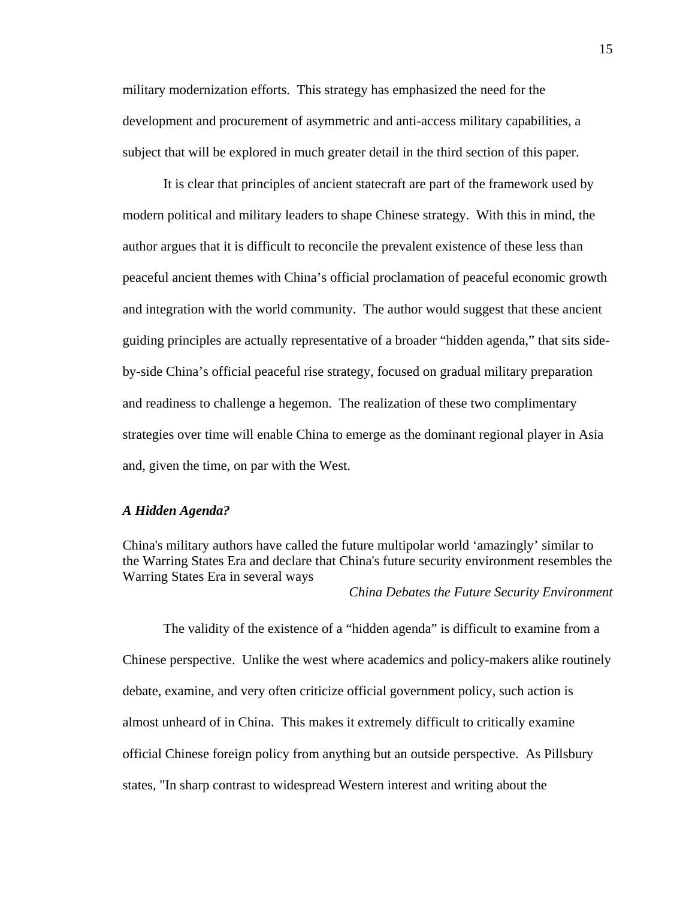military modernization efforts. This strategy has emphasized the need for the development and procurement of asymmetric and anti-access military capabilities, a subject that will be explored in much greater detail in the third section of this paper.

It is clear that principles of ancient statecraft are part of the framework used by modern political and military leaders to shape Chinese strategy. With this in mind, the author argues that it is difficult to reconcile the prevalent existence of these less than peaceful ancient themes with China's official proclamation of peaceful economic growth and integration with the world community. The author would suggest that these ancient guiding principles are actually representative of a broader "hidden agenda," that sits sideby-side China's official peaceful rise strategy, focused on gradual military preparation and readiness to challenge a hegemon. The realization of these two complimentary strategies over time will enable China to emerge as the dominant regional player in Asia and, given the time, on par with the West.

#### *A Hidden Agenda?*

China's military authors have called the future multipolar world 'amazingly' similar to the Warring States Era and declare that China's future security environment resembles the Warring States Era in several ways

*China Debates the Future Security Environment*

The validity of the existence of a "hidden agenda" is difficult to examine from a Chinese perspective. Unlike the west where academics and policy-makers alike routinely debate, examine, and very often criticize official government policy, such action is almost unheard of in China. This makes it extremely difficult to critically examine official Chinese foreign policy from anything but an outside perspective. As Pillsbury states, "In sharp contrast to widespread Western interest and writing about the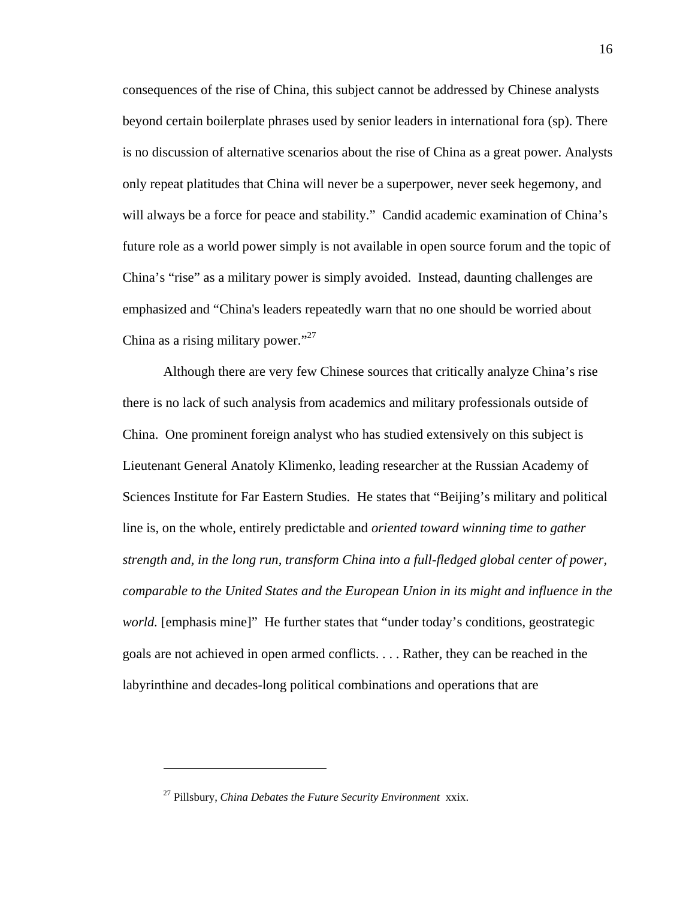consequences of the rise of China, this subject cannot be addressed by Chinese analysts beyond certain boilerplate phrases used by senior leaders in international fora (sp). There is no discussion of alternative scenarios about the rise of China as a great power. Analysts only repeat platitudes that China will never be a superpower, never seek hegemony, and will always be a force for peace and stability." Candid academic examination of China's future role as a world power simply is not available in open source forum and the topic of China's "rise" as a military power is simply avoided. Instead, daunting challenges are emphasized and "China's leaders repeatedly warn that no one should be worried about China as a rising military power."<sup>27</sup>

Although there are very few Chinese sources that critically analyze China's rise there is no lack of such analysis from academics and military professionals outside of China. One prominent foreign analyst who has studied extensively on this subject is Lieutenant General Anatoly Klimenko, leading researcher at the Russian Academy of Sciences Institute for Far Eastern Studies. He states that "Beijing's military and political line is, on the whole, entirely predictable and *oriented toward winning time to gather strength and, in the long run, transform China into a full-fledged global center of power, comparable to the United States and the European Union in its might and influence in the world.* [emphasis mine]" He further states that "under today's conditions, geostrategic goals are not achieved in open armed conflicts. . . . Rather, they can be reached in the labyrinthine and decades-long political combinations and operations that are

<sup>27</sup> Pillsbury, *China Debates the Future Security Environment* xxix.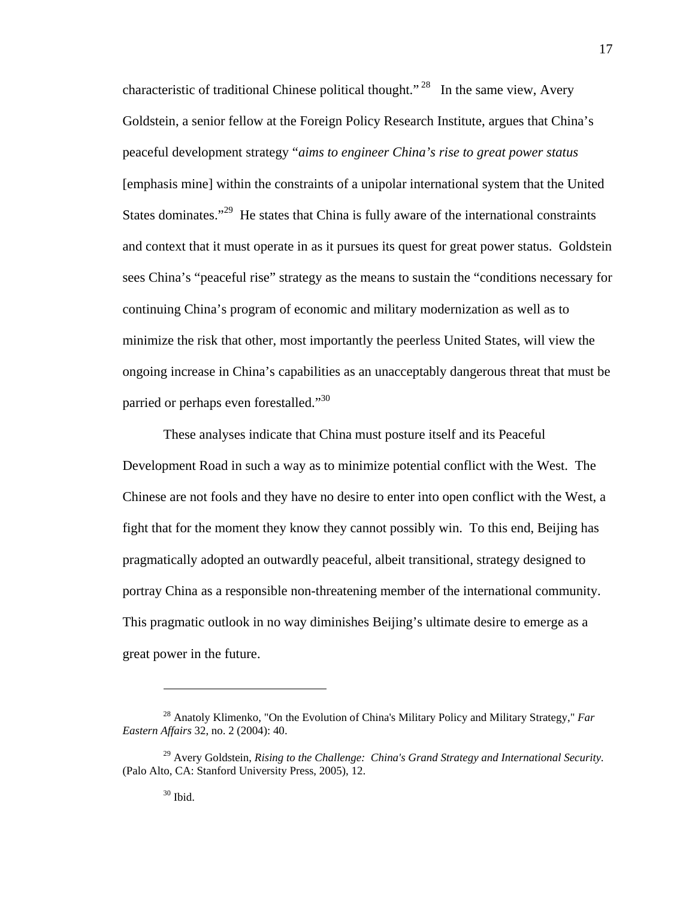characteristic of traditional Chinese political thought."<sup>28</sup> In the same view, Avery Goldstein, a senior fellow at the Foreign Policy Research Institute, argues that China's peaceful development strategy "*aims to engineer China's rise to great power status* [emphasis mine] within the constraints of a unipolar international system that the United States dominates. $129$  He states that China is fully aware of the international constraints and context that it must operate in as it pursues its quest for great power status. Goldstein sees China's "peaceful rise" strategy as the means to sustain the "conditions necessary for continuing China's program of economic and military modernization as well as to minimize the risk that other, most importantly the peerless United States, will view the ongoing increase in China's capabilities as an unacceptably dangerous threat that must be parried or perhaps even forestalled."30

These analyses indicate that China must posture itself and its Peaceful Development Road in such a way as to minimize potential conflict with the West. The Chinese are not fools and they have no desire to enter into open conflict with the West, a fight that for the moment they know they cannot possibly win. To this end, Beijing has pragmatically adopted an outwardly peaceful, albeit transitional, strategy designed to portray China as a responsible non-threatening member of the international community. This pragmatic outlook in no way diminishes Beijing's ultimate desire to emerge as a great power in the future.

<sup>28</sup> Anatoly Klimenko, "On the Evolution of China's Military Policy and Military Strategy," *Far Eastern Affairs* 32, no. 2 (2004): 40.

<sup>29</sup> Avery Goldstein, *Rising to the Challenge: China's Grand Strategy and International Security.* (Palo Alto, CA: Stanford University Press, 2005), 12.

<sup>30</sup> Ibid.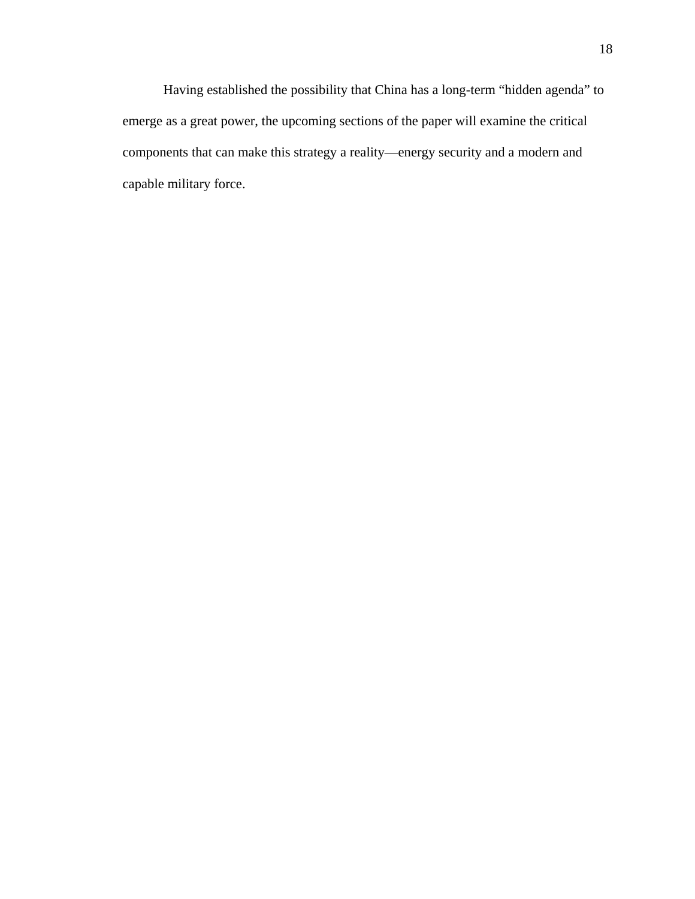Having established the possibility that China has a long-term "hidden agenda" to emerge as a great power, the upcoming sections of the paper will examine the critical components that can make this strategy a reality—energy security and a modern and capable military force.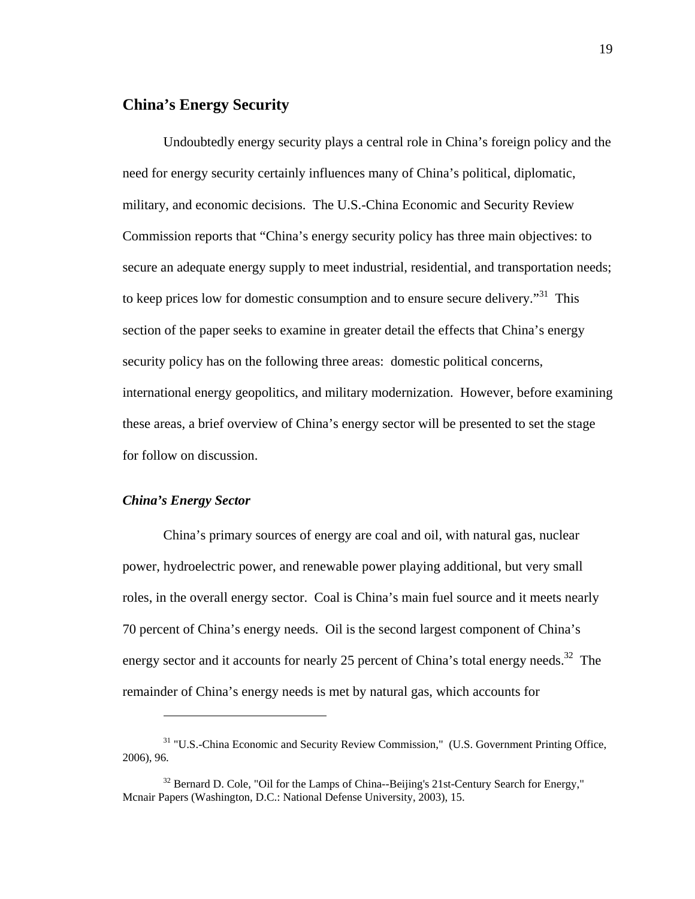## **China's Energy Security**

Undoubtedly energy security plays a central role in China's foreign policy and the need for energy security certainly influences many of China's political, diplomatic, military, and economic decisions. The U.S.-China Economic and Security Review Commission reports that "China's energy security policy has three main objectives: to secure an adequate energy supply to meet industrial, residential, and transportation needs; to keep prices low for domestic consumption and to ensure secure delivery."31 This section of the paper seeks to examine in greater detail the effects that China's energy security policy has on the following three areas: domestic political concerns, international energy geopolitics, and military modernization. However, before examining these areas, a brief overview of China's energy sector will be presented to set the stage for follow on discussion.

## *China's Energy Sector*

 $\overline{a}$ 

China's primary sources of energy are coal and oil, with natural gas, nuclear power, hydroelectric power, and renewable power playing additional, but very small roles, in the overall energy sector. Coal is China's main fuel source and it meets nearly 70 percent of China's energy needs. Oil is the second largest component of China's energy sector and it accounts for nearly 25 percent of China's total energy needs.<sup>32</sup> The remainder of China's energy needs is met by natural gas, which accounts for

<sup>&</sup>lt;sup>31</sup> "U.S.-China Economic and Security Review Commission," (U.S. Government Printing Office, 2006), 96.

 $32$  Bernard D. Cole, "Oil for the Lamps of China--Beijing's 21st-Century Search for Energy," Mcnair Papers (Washington, D.C.: National Defense University, 2003), 15.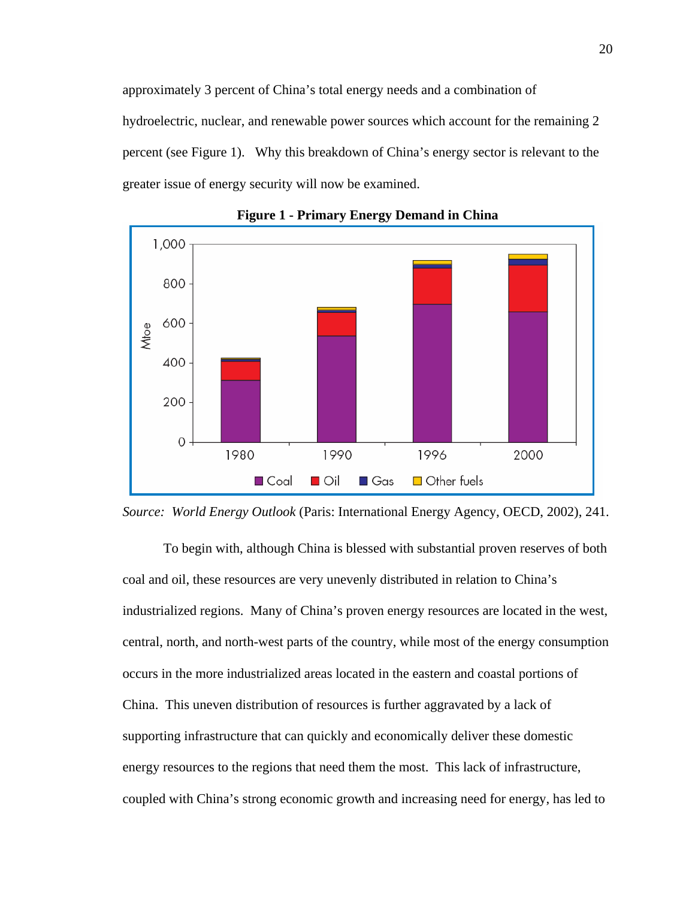approximately 3 percent of China's total energy needs and a combination of hydroelectric, nuclear, and renewable power sources which account for the remaining 2 percent (see Figure 1). Why this breakdown of China's energy sector is relevant to the greater issue of energy security will now be examined.



**Figure 1 - Primary Energy Demand in China** 



To begin with, although China is blessed with substantial proven reserves of both coal and oil, these resources are very unevenly distributed in relation to China's industrialized regions. Many of China's proven energy resources are located in the west, central, north, and north-west parts of the country, while most of the energy consumption occurs in the more industrialized areas located in the eastern and coastal portions of China. This uneven distribution of resources is further aggravated by a lack of supporting infrastructure that can quickly and economically deliver these domestic energy resources to the regions that need them the most. This lack of infrastructure, coupled with China's strong economic growth and increasing need for energy, has led to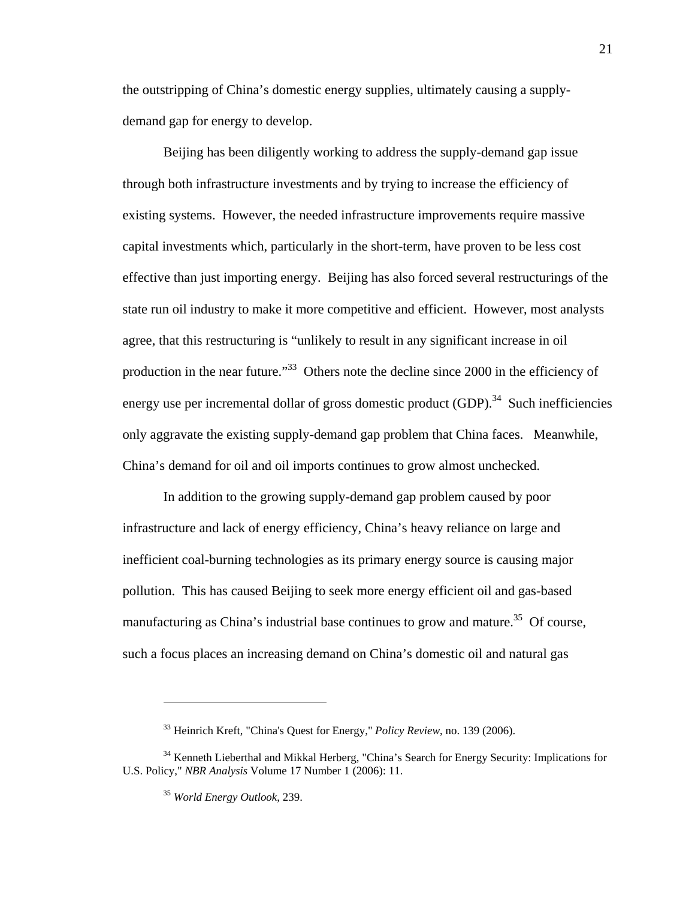the outstripping of China's domestic energy supplies, ultimately causing a supplydemand gap for energy to develop.

Beijing has been diligently working to address the supply-demand gap issue through both infrastructure investments and by trying to increase the efficiency of existing systems. However, the needed infrastructure improvements require massive capital investments which, particularly in the short-term, have proven to be less cost effective than just importing energy. Beijing has also forced several restructurings of the state run oil industry to make it more competitive and efficient. However, most analysts agree, that this restructuring is "unlikely to result in any significant increase in oil production in the near future."<sup>33</sup> Others note the decline since 2000 in the efficiency of energy use per incremental dollar of gross domestic product  $(GDP)$ <sup>34</sup> Such inefficiencies only aggravate the existing supply-demand gap problem that China faces. Meanwhile, China's demand for oil and oil imports continues to grow almost unchecked.

In addition to the growing supply-demand gap problem caused by poor infrastructure and lack of energy efficiency, China's heavy reliance on large and inefficient coal-burning technologies as its primary energy source is causing major pollution. This has caused Beijing to seek more energy efficient oil and gas-based manufacturing as China's industrial base continues to grow and mature.<sup>35</sup> Of course, such a focus places an increasing demand on China's domestic oil and natural gas

<sup>33</sup> Heinrich Kreft, "China's Quest for Energy," *Policy Review*, no. 139 (2006).

<sup>&</sup>lt;sup>34</sup> Kenneth Lieberthal and Mikkal Herberg, "China's Search for Energy Security: Implications for U.S. Policy," *NBR Analysis* Volume 17 Number 1 (2006): 11.

<sup>35</sup> *World Energy Outlook*, 239.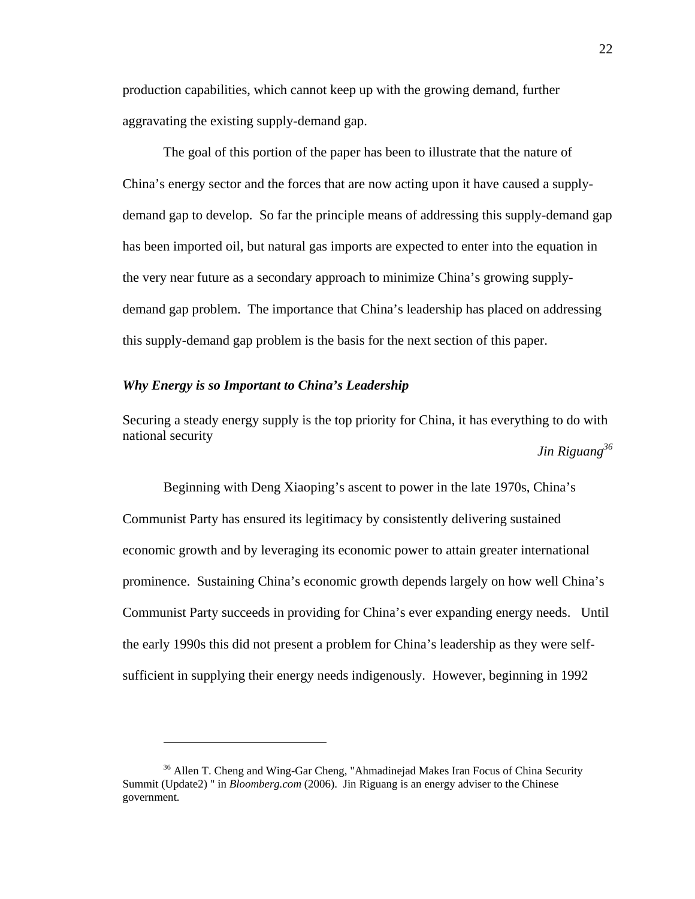production capabilities, which cannot keep up with the growing demand, further aggravating the existing supply-demand gap.

The goal of this portion of the paper has been to illustrate that the nature of China's energy sector and the forces that are now acting upon it have caused a supplydemand gap to develop. So far the principle means of addressing this supply-demand gap has been imported oil, but natural gas imports are expected to enter into the equation in the very near future as a secondary approach to minimize China's growing supplydemand gap problem. The importance that China's leadership has placed on addressing this supply-demand gap problem is the basis for the next section of this paper.

## *Why Energy is so Important to China's Leadership*

<u>.</u>

Securing a steady energy supply is the top priority for China, it has everything to do with national security

*Jin Riguang36*

Beginning with Deng Xiaoping's ascent to power in the late 1970s, China's Communist Party has ensured its legitimacy by consistently delivering sustained economic growth and by leveraging its economic power to attain greater international prominence. Sustaining China's economic growth depends largely on how well China's Communist Party succeeds in providing for China's ever expanding energy needs. Until the early 1990s this did not present a problem for China's leadership as they were selfsufficient in supplying their energy needs indigenously. However, beginning in 1992

<sup>&</sup>lt;sup>36</sup> Allen T. Cheng and Wing-Gar Cheng, "Ahmadinejad Makes Iran Focus of China Security Summit (Update2) " in *Bloomberg.com* (2006). Jin Riguang is an energy adviser to the Chinese government.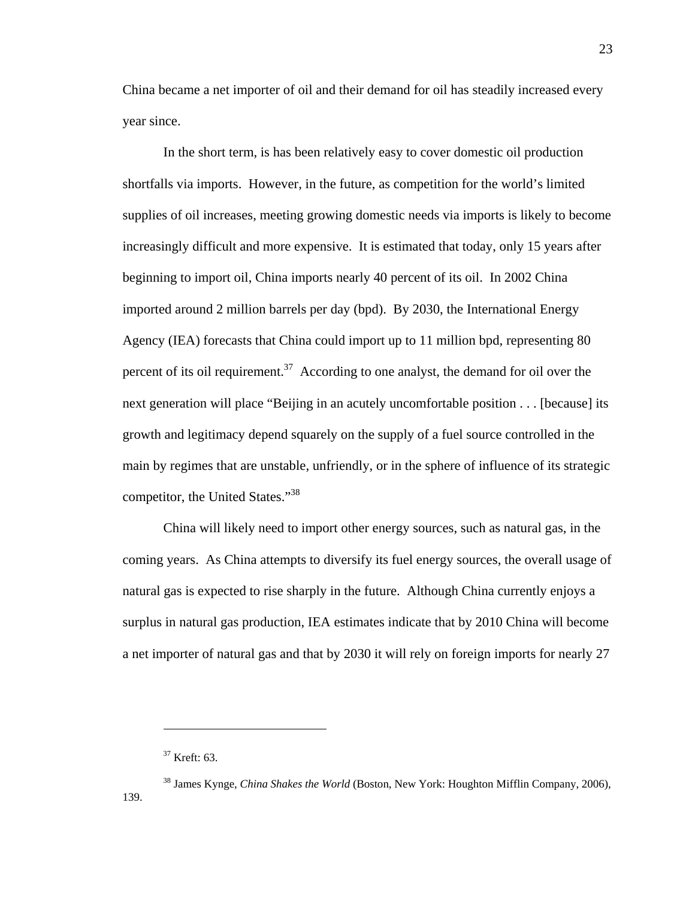China became a net importer of oil and their demand for oil has steadily increased every year since.

In the short term, is has been relatively easy to cover domestic oil production shortfalls via imports. However, in the future, as competition for the world's limited supplies of oil increases, meeting growing domestic needs via imports is likely to become increasingly difficult and more expensive. It is estimated that today, only 15 years after beginning to import oil, China imports nearly 40 percent of its oil. In 2002 China imported around 2 million barrels per day (bpd). By 2030, the International Energy Agency (IEA) forecasts that China could import up to 11 million bpd, representing 80 percent of its oil requirement.<sup>37</sup> According to one analyst, the demand for oil over the next generation will place "Beijing in an acutely uncomfortable position . . . [because] its growth and legitimacy depend squarely on the supply of a fuel source controlled in the main by regimes that are unstable, unfriendly, or in the sphere of influence of its strategic competitor, the United States."38

China will likely need to import other energy sources, such as natural gas, in the coming years. As China attempts to diversify its fuel energy sources, the overall usage of natural gas is expected to rise sharply in the future. Although China currently enjoys a surplus in natural gas production, IEA estimates indicate that by 2010 China will become a net importer of natural gas and that by 2030 it will rely on foreign imports for nearly 27

 $37$  Kreft: 63.

<sup>38</sup> James Kynge, *China Shakes the World* (Boston, New York: Houghton Mifflin Company, 2006), 139.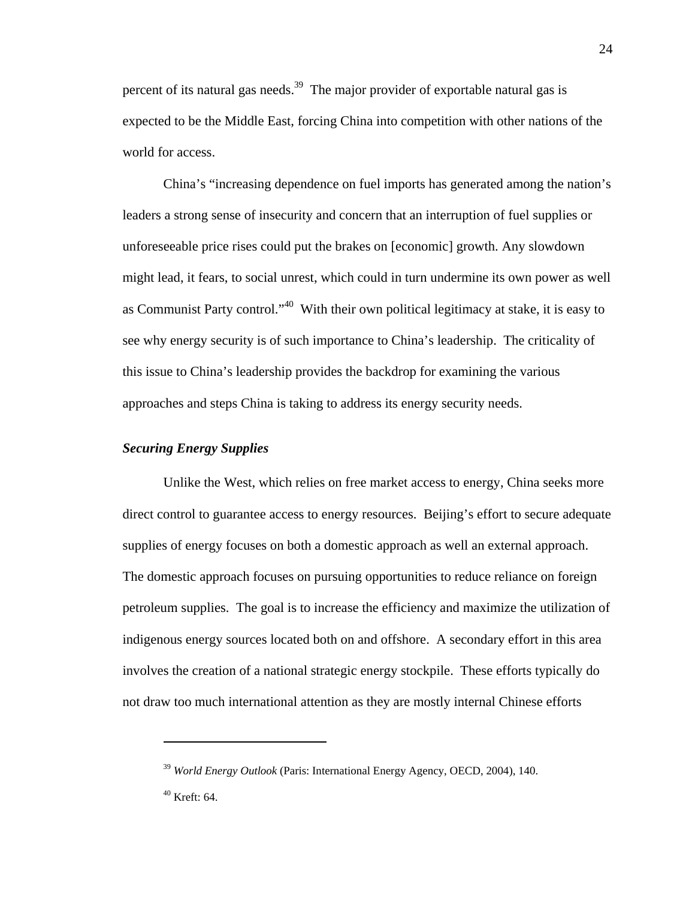percent of its natural gas needs.<sup>39</sup> The major provider of exportable natural gas is expected to be the Middle East, forcing China into competition with other nations of the world for access.

China's "increasing dependence on fuel imports has generated among the nation's leaders a strong sense of insecurity and concern that an interruption of fuel supplies or unforeseeable price rises could put the brakes on [economic] growth. Any slowdown might lead, it fears, to social unrest, which could in turn undermine its own power as well as Communist Party control."<sup>40</sup> With their own political legitimacy at stake, it is easy to see why energy security is of such importance to China's leadership. The criticality of this issue to China's leadership provides the backdrop for examining the various approaches and steps China is taking to address its energy security needs.

## *Securing Energy Supplies*

Unlike the West, which relies on free market access to energy, China seeks more direct control to guarantee access to energy resources. Beijing's effort to secure adequate supplies of energy focuses on both a domestic approach as well an external approach. The domestic approach focuses on pursuing opportunities to reduce reliance on foreign petroleum supplies. The goal is to increase the efficiency and maximize the utilization of indigenous energy sources located both on and offshore. A secondary effort in this area involves the creation of a national strategic energy stockpile. These efforts typically do not draw too much international attention as they are mostly internal Chinese efforts

<sup>39</sup> *World Energy Outlook* (Paris: International Energy Agency, OECD, 2004), 140.

<sup>40</sup> Kreft: 64.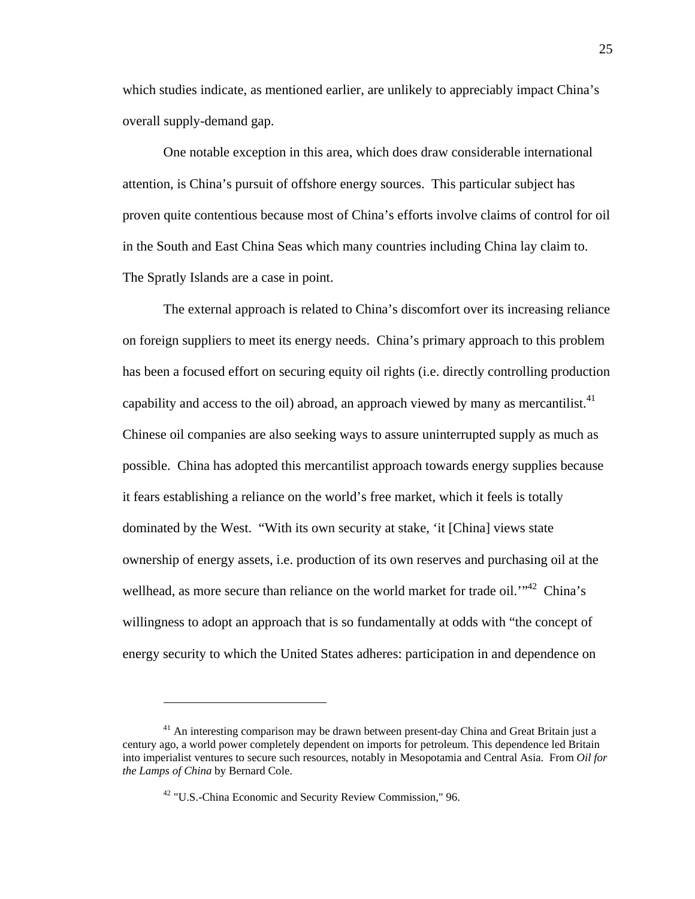which studies indicate, as mentioned earlier, are unlikely to appreciably impact China's overall supply-demand gap.

One notable exception in this area, which does draw considerable international attention, is China's pursuit of offshore energy sources. This particular subject has proven quite contentious because most of China's efforts involve claims of control for oil in the South and East China Seas which many countries including China lay claim to. The Spratly Islands are a case in point.

The external approach is related to China's discomfort over its increasing reliance on foreign suppliers to meet its energy needs. China's primary approach to this problem has been a focused effort on securing equity oil rights (i.e. directly controlling production capability and access to the oil) abroad, an approach viewed by many as mercantilist. $41$ Chinese oil companies are also seeking ways to assure uninterrupted supply as much as possible. China has adopted this mercantilist approach towards energy supplies because it fears establishing a reliance on the world's free market, which it feels is totally dominated by the West. "With its own security at stake, 'it [China] views state ownership of energy assets, i.e. production of its own reserves and purchasing oil at the wellhead, as more secure than reliance on the world market for trade oil.<sup> $1.42$ </sup> China's willingness to adopt an approach that is so fundamentally at odds with "the concept of energy security to which the United States adheres: participation in and dependence on

 $41$  An interesting comparison may be drawn between present-day China and Great Britain just a century ago, a world power completely dependent on imports for petroleum. This dependence led Britain into imperialist ventures to secure such resources, notably in Mesopotamia and Central Asia. From *Oil for the Lamps of China* by Bernard Cole.

<sup>&</sup>lt;sup>42</sup> "U.S.-China Economic and Security Review Commission," 96.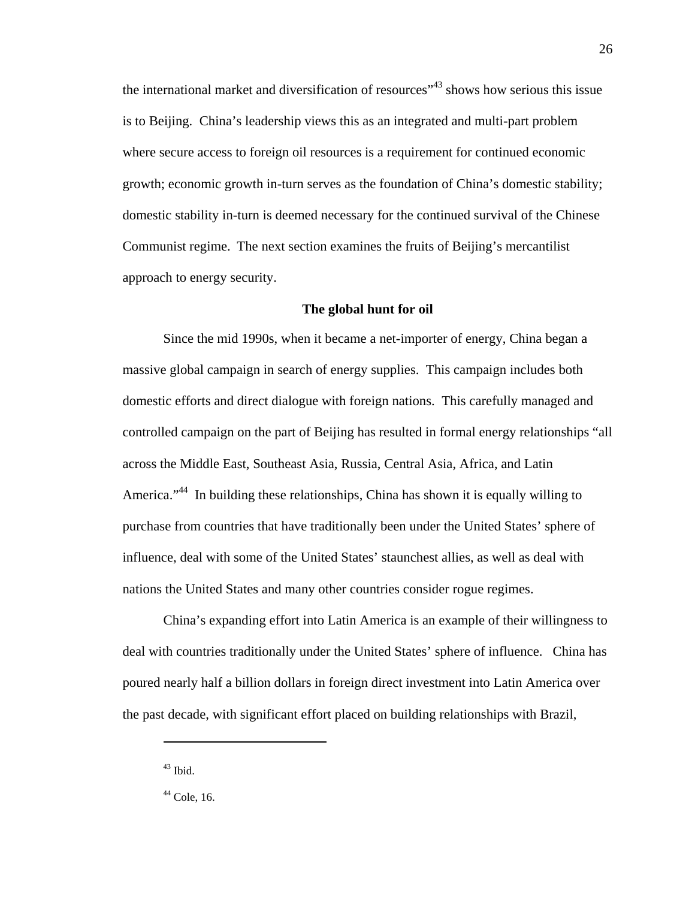the international market and diversification of resources<sup>143</sup> shows how serious this issue is to Beijing. China's leadership views this as an integrated and multi-part problem where secure access to foreign oil resources is a requirement for continued economic growth; economic growth in-turn serves as the foundation of China's domestic stability; domestic stability in-turn is deemed necessary for the continued survival of the Chinese Communist regime. The next section examines the fruits of Beijing's mercantilist approach to energy security.

### **The global hunt for oil**

Since the mid 1990s, when it became a net-importer of energy, China began a massive global campaign in search of energy supplies. This campaign includes both domestic efforts and direct dialogue with foreign nations. This carefully managed and controlled campaign on the part of Beijing has resulted in formal energy relationships "all across the Middle East, Southeast Asia, Russia, Central Asia, Africa, and Latin America."<sup>44</sup> In building these relationships, China has shown it is equally willing to purchase from countries that have traditionally been under the United States' sphere of influence, deal with some of the United States' staunchest allies, as well as deal with nations the United States and many other countries consider rogue regimes.

China's expanding effort into Latin America is an example of their willingness to deal with countries traditionally under the United States' sphere of influence. China has poured nearly half a billion dollars in foreign direct investment into Latin America over the past decade, with significant effort placed on building relationships with Brazil,

 $43$  Ibid.

 $44$  Cole, 16.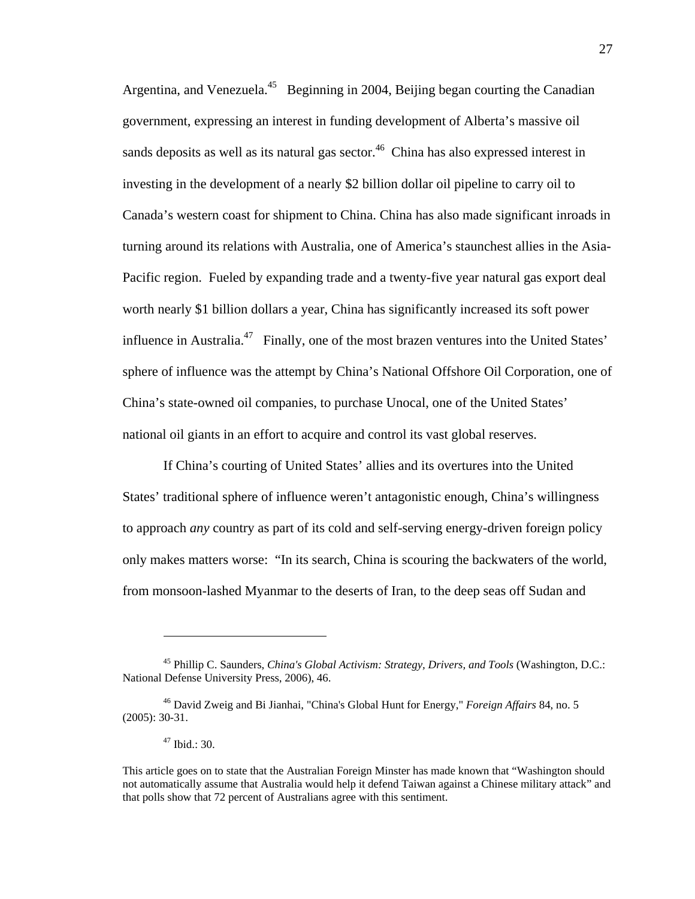Argentina, and Venezuela.<sup>45</sup> Beginning in 2004, Beijing began courting the Canadian government, expressing an interest in funding development of Alberta's massive oil sands deposits as well as its natural gas sector.<sup>46</sup> China has also expressed interest in investing in the development of a nearly \$2 billion dollar oil pipeline to carry oil to Canada's western coast for shipment to China. China has also made significant inroads in turning around its relations with Australia, one of America's staunchest allies in the Asia-Pacific region. Fueled by expanding trade and a twenty-five year natural gas export deal worth nearly \$1 billion dollars a year, China has significantly increased its soft power influence in Australia.<sup>47</sup> Finally, one of the most brazen ventures into the United States' sphere of influence was the attempt by China's National Offshore Oil Corporation, one of China's state-owned oil companies, to purchase Unocal, one of the United States' national oil giants in an effort to acquire and control its vast global reserves.

If China's courting of United States' allies and its overtures into the United States' traditional sphere of influence weren't antagonistic enough, China's willingness to approach *any* country as part of its cold and self-serving energy-driven foreign policy only makes matters worse: "In its search, China is scouring the backwaters of the world, from monsoon-lashed Myanmar to the deserts of Iran, to the deep seas off Sudan and

<sup>45</sup> Phillip C. Saunders, *China's Global Activism: Strategy, Drivers, and Tools* (Washington, D.C.: National Defense University Press, 2006), 46.

<sup>46</sup> David Zweig and Bi Jianhai, "China's Global Hunt for Energy," *Foreign Affairs* 84, no. 5 (2005): 30-31.

<sup>47</sup> Ibid.: 30.

This article goes on to state that the Australian Foreign Minster has made known that "Washington should not automatically assume that Australia would help it defend Taiwan against a Chinese military attack" and that polls show that 72 percent of Australians agree with this sentiment.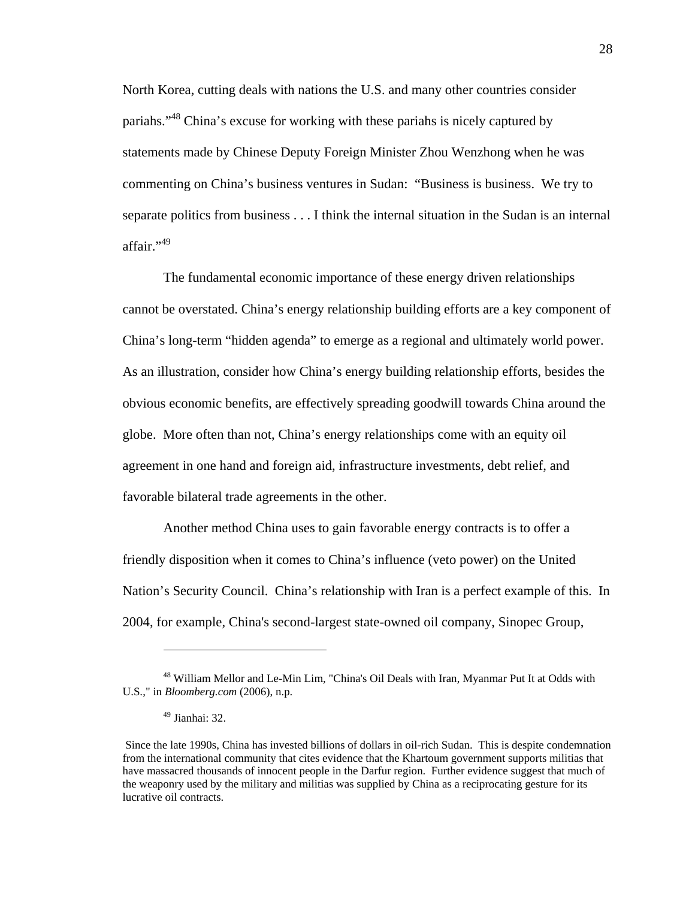North Korea, cutting deals with nations the U.S. and many other countries consider pariahs."<sup>48</sup> China's excuse for working with these pariahs is nicely captured by statements made by Chinese Deputy Foreign Minister Zhou Wenzhong when he was commenting on China's business ventures in Sudan: "Business is business. We try to separate politics from business . . . I think the internal situation in the Sudan is an internal affair."49

The fundamental economic importance of these energy driven relationships cannot be overstated. China's energy relationship building efforts are a key component of China's long-term "hidden agenda" to emerge as a regional and ultimately world power. As an illustration, consider how China's energy building relationship efforts, besides the obvious economic benefits, are effectively spreading goodwill towards China around the globe. More often than not, China's energy relationships come with an equity oil agreement in one hand and foreign aid, infrastructure investments, debt relief, and favorable bilateral trade agreements in the other.

Another method China uses to gain favorable energy contracts is to offer a friendly disposition when it comes to China's influence (veto power) on the United Nation's Security Council. China's relationship with Iran is a perfect example of this. In 2004, for example, China's second-largest state-owned oil company, Sinopec Group,

1

<sup>&</sup>lt;sup>48</sup> William Mellor and Le-Min Lim, "China's Oil Deals with Iran, Myanmar Put It at Odds with U.S.," in *Bloomberg.com* (2006), n.p.

 $49$  Jianhai: 32.

Since the late 1990s, China has invested billions of dollars in oil-rich Sudan. This is despite condemnation from the international community that cites evidence that the Khartoum government supports militias that have massacred thousands of innocent people in the Darfur region. Further evidence suggest that much of the weaponry used by the military and militias was supplied by China as a reciprocating gesture for its lucrative oil contracts.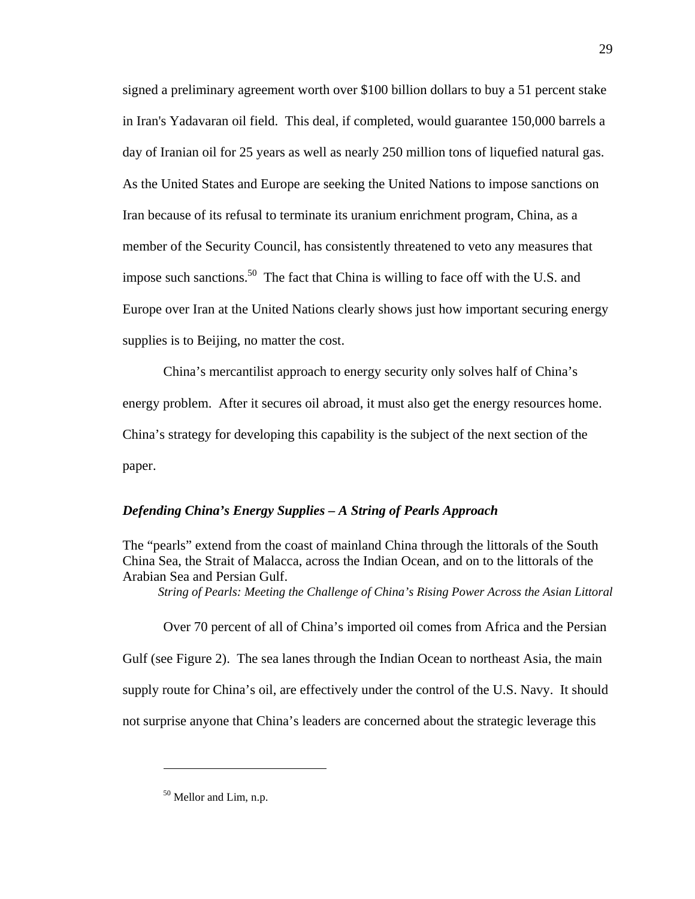signed a preliminary agreement worth over \$100 billion dollars to buy a 51 percent stake in Iran's Yadavaran oil field. This deal, if completed, would guarantee 150,000 barrels a day of Iranian oil for 25 years as well as nearly 250 million tons of liquefied natural gas. As the United States and Europe are seeking the United Nations to impose sanctions on Iran because of its refusal to terminate its uranium enrichment program, China, as a member of the Security Council, has consistently threatened to veto any measures that impose such sanctions.<sup>50</sup> The fact that China is willing to face off with the U.S. and Europe over Iran at the United Nations clearly shows just how important securing energy supplies is to Beijing, no matter the cost.

China's mercantilist approach to energy security only solves half of China's energy problem. After it secures oil abroad, it must also get the energy resources home. China's strategy for developing this capability is the subject of the next section of the paper.

#### *Defending China's Energy Supplies – A String of Pearls Approach*

The "pearls" extend from the coast of mainland China through the littorals of the South China Sea, the Strait of Malacca, across the Indian Ocean, and on to the littorals of the Arabian Sea and Persian Gulf.

*String of Pearls: Meeting the Challenge of China's Rising Power Across the Asian Littoral* 

Over 70 percent of all of China's imported oil comes from Africa and the Persian Gulf (see Figure 2). The sea lanes through the Indian Ocean to northeast Asia, the main supply route for China's oil, are effectively under the control of the U.S. Navy. It should not surprise anyone that China's leaders are concerned about the strategic leverage this

<sup>&</sup>lt;sup>50</sup> Mellor and Lim, n.p.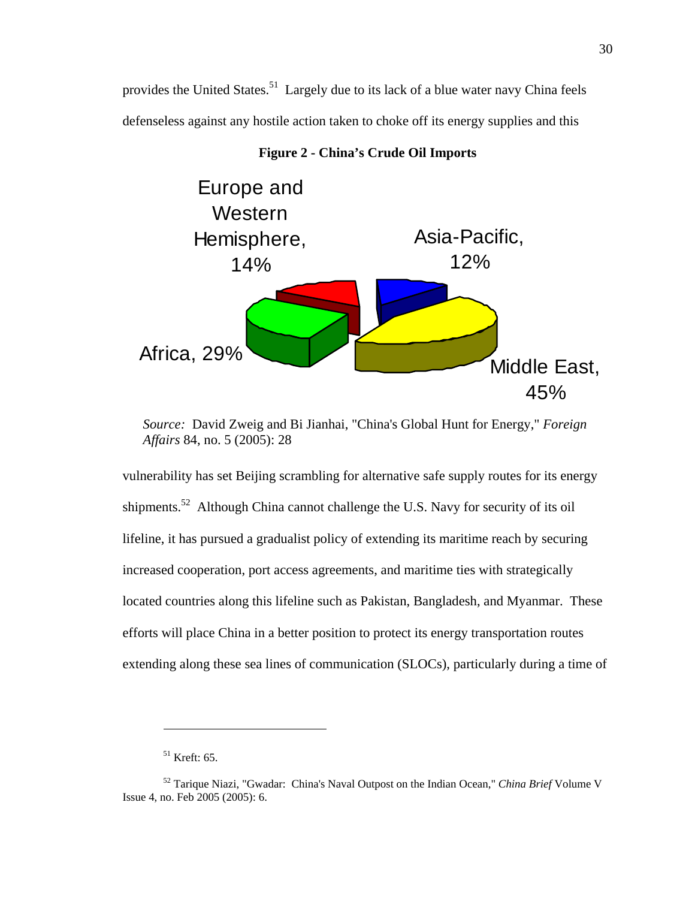provides the United States.<sup>51</sup> Largely due to its lack of a blue water navy China feels defenseless against any hostile action taken to choke off its energy supplies and this



**Figure 2 - China's Crude Oil Imports** 

vulnerability has set Beijing scrambling for alternative safe supply routes for its energy shipments.<sup>52</sup> Although China cannot challenge the U.S. Navy for security of its oil lifeline, it has pursued a gradualist policy of extending its maritime reach by securing increased cooperation, port access agreements, and maritime ties with strategically located countries along this lifeline such as Pakistan, Bangladesh, and Myanmar. These efforts will place China in a better position to protect its energy transportation routes extending along these sea lines of communication (SLOCs), particularly during a time of

*Source:* David Zweig and Bi Jianhai, "China's Global Hunt for Energy," *Foreign Affairs* 84, no. 5 (2005): 28

 $51$  Kreft: 65.

<sup>52</sup> Tarique Niazi, "Gwadar: China's Naval Outpost on the Indian Ocean," *China Brief* Volume V Issue 4, no. Feb 2005 (2005): 6.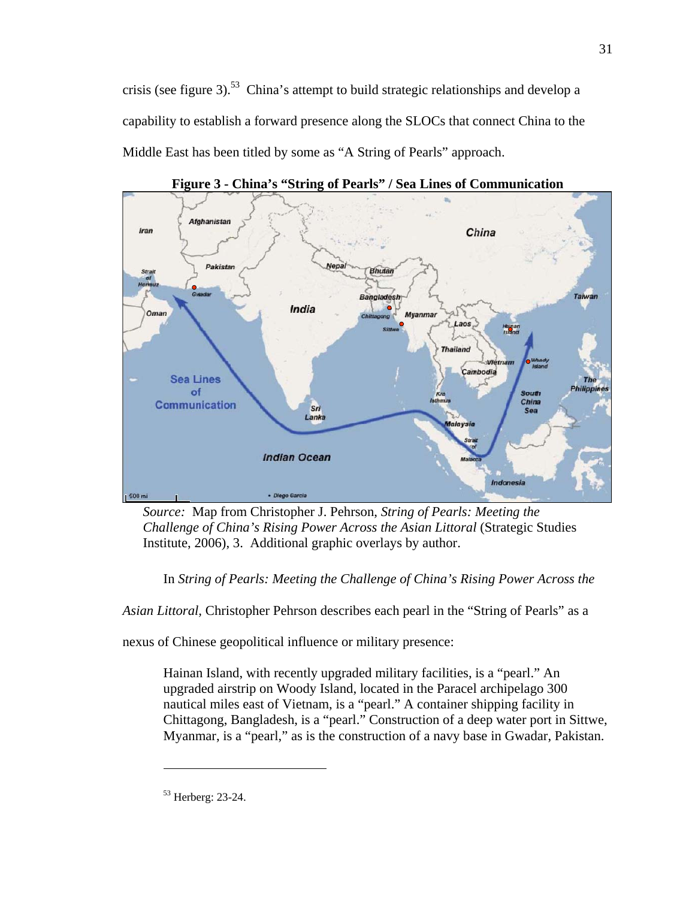crisis (see figure 3).<sup>53</sup> China's attempt to build strategic relationships and develop a capability to establish a forward presence along the SLOCs that connect China to the Middle East has been titled by some as "A String of Pearls" approach.



**Figure 3 - China's "String of Pearls" / Sea Lines of Communication** 

*Source:* Map from Christopher J. Pehrson, *String of Pearls: Meeting the Challenge of China's Rising Power Across the Asian Littoral* (Strategic Studies Institute, 2006), 3. Additional graphic overlays by author.

In *String of Pearls: Meeting the Challenge of China's Rising Power Across the* 

*Asian Littoral,* Christopher Pehrson describes each pearl in the "String of Pearls" as a

nexus of Chinese geopolitical influence or military presence:

Hainan Island, with recently upgraded military facilities, is a "pearl." An upgraded airstrip on Woody Island, located in the Paracel archipelago 300 nautical miles east of Vietnam, is a "pearl." A container shipping facility in Chittagong, Bangladesh, is a "pearl." Construction of a deep water port in Sittwe, Myanmar, is a "pearl," as is the construction of a navy base in Gwadar, Pakistan.

1

<sup>53</sup> Herberg: 23-24.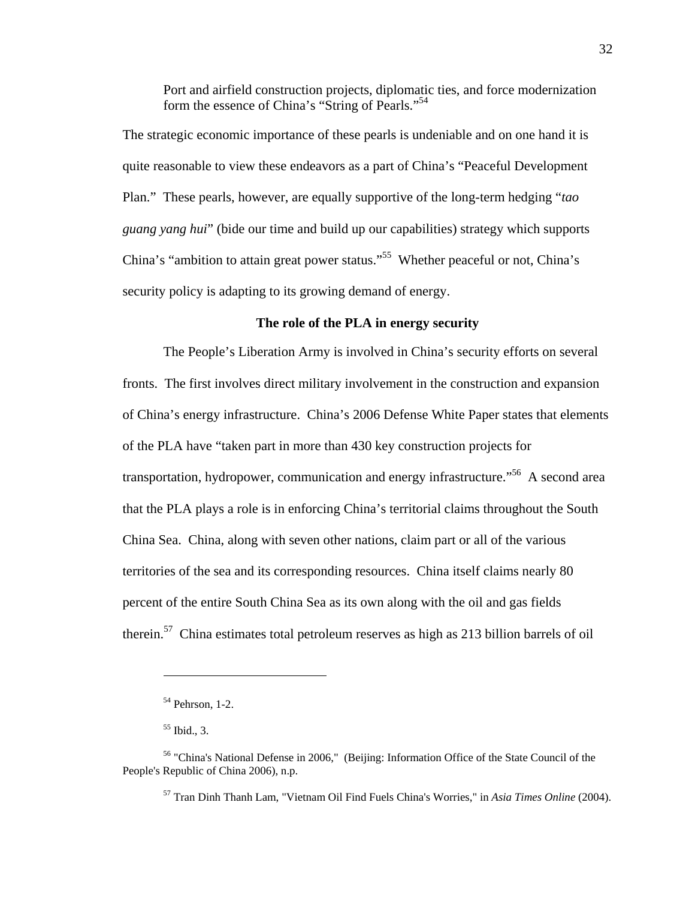Port and airfield construction projects, diplomatic ties, and force modernization form the essence of China's "String of Pearls."54

The strategic economic importance of these pearls is undeniable and on one hand it is quite reasonable to view these endeavors as a part of China's "Peaceful Development Plan." These pearls, however, are equally supportive of the long-term hedging "*tao guang yang hui*" (bide our time and build up our capabilities) strategy which supports China's "ambition to attain great power status."55 Whether peaceful or not, China's security policy is adapting to its growing demand of energy.

## **The role of the PLA in energy security**

The People's Liberation Army is involved in China's security efforts on several fronts. The first involves direct military involvement in the construction and expansion of China's energy infrastructure. China's 2006 Defense White Paper states that elements of the PLA have "taken part in more than 430 key construction projects for transportation, hydropower, communication and energy infrastructure.<sup>556</sup> A second area that the PLA plays a role is in enforcing China's territorial claims throughout the South China Sea. China, along with seven other nations, claim part or all of the various territories of the sea and its corresponding resources. China itself claims nearly 80 percent of the entire South China Sea as its own along with the oil and gas fields therein.57 China estimates total petroleum reserves as high as 213 billion barrels of oil

 $\overline{a}$ 

57 Tran Dinh Thanh Lam, "Vietnam Oil Find Fuels China's Worries," in *Asia Times Online* (2004).

<sup>54</sup> Pehrson, 1-2.

 $<sup>55</sup>$  Ibid., 3.</sup>

<sup>56 &</sup>quot;China's National Defense in 2006," (Beijing: Information Office of the State Council of the People's Republic of China 2006), n.p.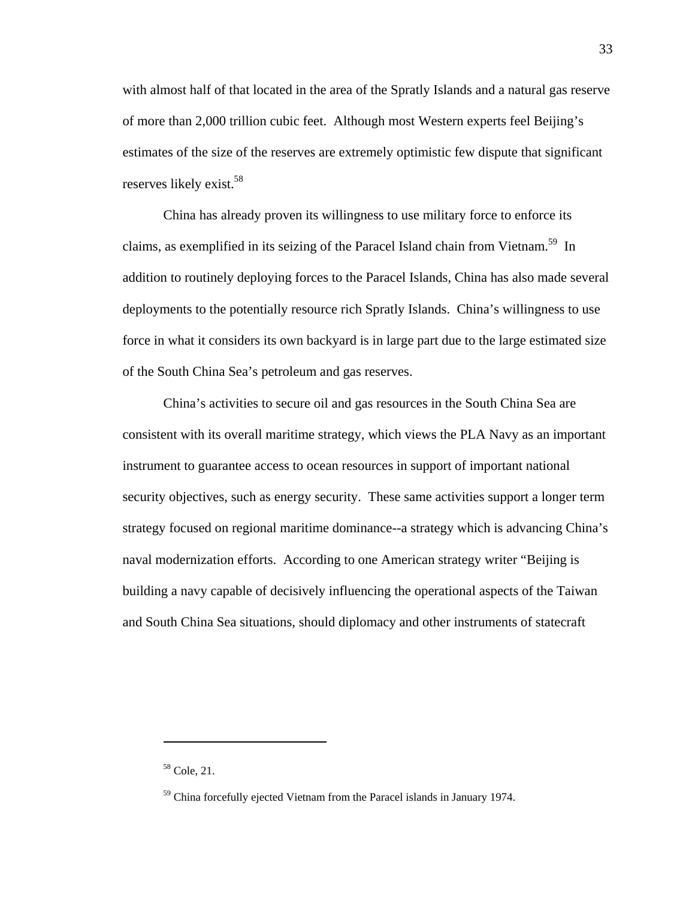with almost half of that located in the area of the Spratly Islands and a natural gas reserve of more than 2,000 trillion cubic feet. Although most Western experts feel Beijing's estimates of the size of the reserves are extremely optimistic few dispute that significant reserves likely exist.58

China has already proven its willingness to use military force to enforce its claims, as exemplified in its seizing of the Paracel Island chain from Vietnam.<sup>59</sup> In addition to routinely deploying forces to the Paracel Islands, China has also made several deployments to the potentially resource rich Spratly Islands. China's willingness to use force in what it considers its own backyard is in large part due to the large estimated size of the South China Sea's petroleum and gas reserves.

China's activities to secure oil and gas resources in the South China Sea are consistent with its overall maritime strategy, which views the PLA Navy as an important instrument to guarantee access to ocean resources in support of important national security objectives, such as energy security. These same activities support a longer term strategy focused on regional maritime dominance--a strategy which is advancing China's naval modernization efforts. According to one American strategy writer "Beijing is building a navy capable of decisively influencing the operational aspects of the Taiwan and South China Sea situations, should diplomacy and other instruments of statecraft

1

<sup>58</sup> Cole, 21.

<sup>&</sup>lt;sup>59</sup> China forcefully ejected Vietnam from the Paracel islands in January 1974.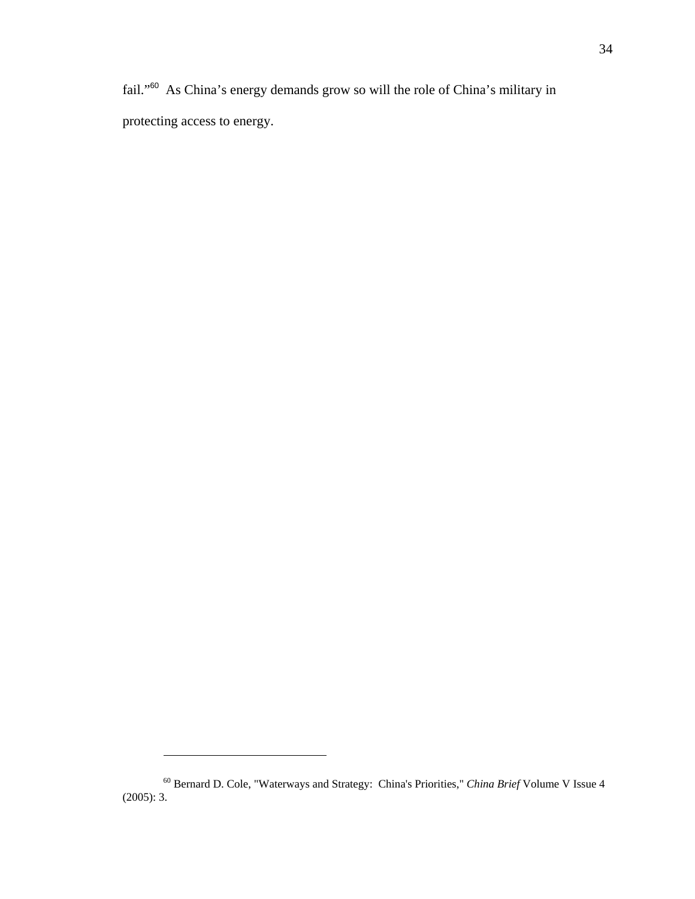fail."<sup>60</sup> As China's energy demands grow so will the role of China's military in protecting access to energy.

<sup>60</sup> Bernard D. Cole, "Waterways and Strategy: China's Priorities," *China Brief* Volume V Issue 4 (2005): 3.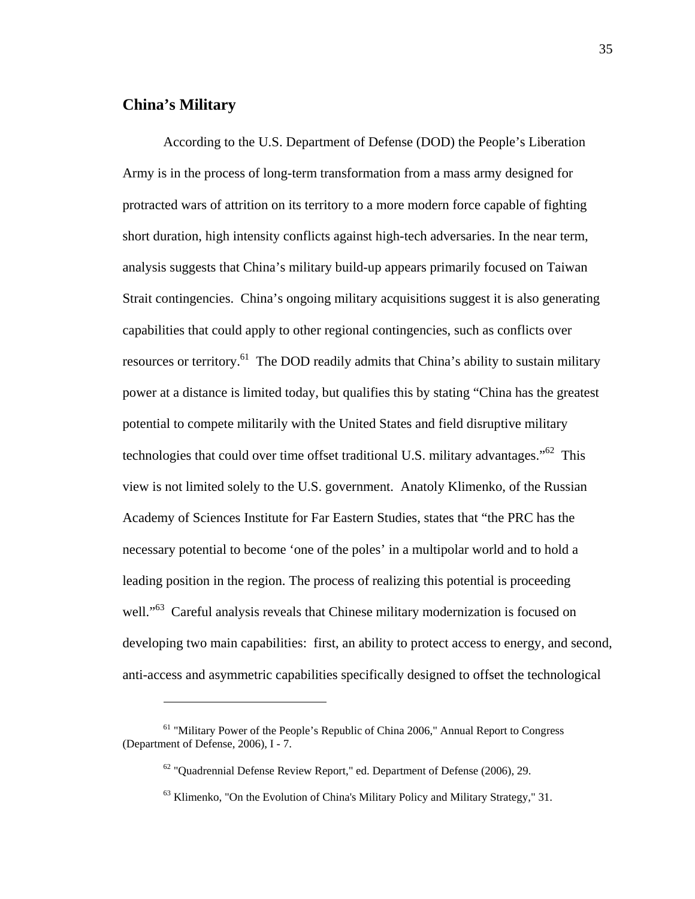## **China's Military**

 $\overline{a}$ 

According to the U.S. Department of Defense (DOD) the People's Liberation Army is in the process of long-term transformation from a mass army designed for protracted wars of attrition on its territory to a more modern force capable of fighting short duration, high intensity conflicts against high-tech adversaries. In the near term, analysis suggests that China's military build-up appears primarily focused on Taiwan Strait contingencies. China's ongoing military acquisitions suggest it is also generating capabilities that could apply to other regional contingencies, such as conflicts over resources or territory.<sup>61</sup> The DOD readily admits that China's ability to sustain military power at a distance is limited today, but qualifies this by stating "China has the greatest potential to compete militarily with the United States and field disruptive military technologies that could over time offset traditional U.S. military advantages.<sup> $562$ </sup> This view is not limited solely to the U.S. government. Anatoly Klimenko, of the Russian Academy of Sciences Institute for Far Eastern Studies, states that "the PRC has the necessary potential to become 'one of the poles' in a multipolar world and to hold a leading position in the region. The process of realizing this potential is proceeding well."<sup>63</sup> Careful analysis reveals that Chinese military modernization is focused on developing two main capabilities: first, an ability to protect access to energy, and second, anti-access and asymmetric capabilities specifically designed to offset the technological

<sup>&</sup>lt;sup>61</sup> "Military Power of the People's Republic of China 2006," Annual Report to Congress (Department of Defense, 2006), I - 7.

 $62$  "Quadrennial Defense Review Report," ed. Department of Defense (2006), 29.

<sup>63</sup> Klimenko, "On the Evolution of China's Military Policy and Military Strategy," 31.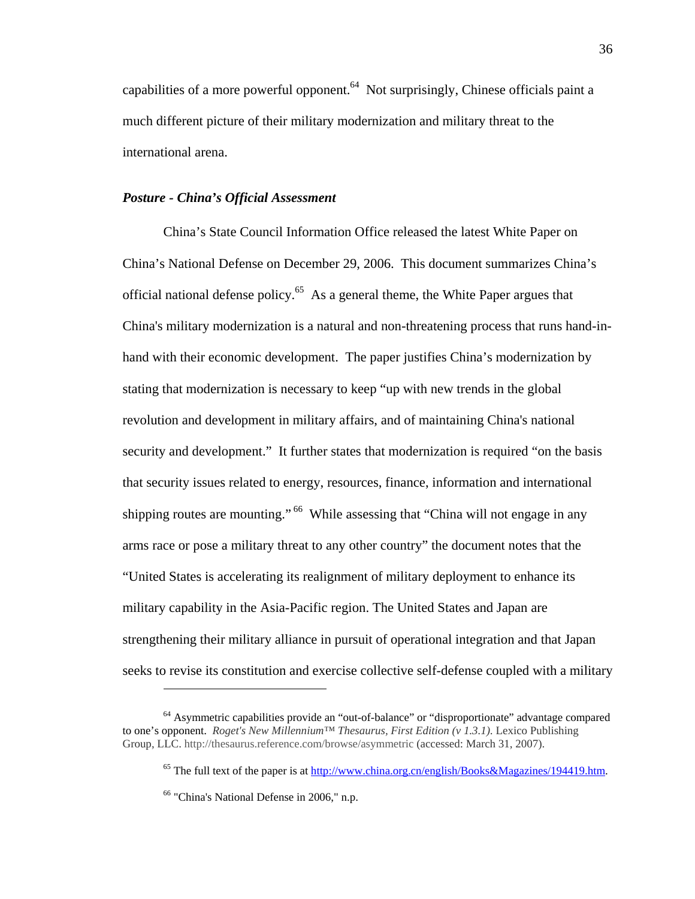capabilities of a more powerful opponent.<sup>64</sup> Not surprisingly, Chinese officials paint a much different picture of their military modernization and military threat to the international arena.

## *Posture - China's Official Assessment*

China's State Council Information Office released the latest White Paper on China's National Defense on December 29, 2006. This document summarizes China's official national defense policy.65 As a general theme, the White Paper argues that China's military modernization is a natural and non-threatening process that runs hand-inhand with their economic development. The paper justifies China's modernization by stating that modernization is necessary to keep "up with new trends in the global revolution and development in military affairs, and of maintaining China's national security and development." It further states that modernization is required "on the basis that security issues related to energy, resources, finance, information and international shipping routes are mounting."<sup>66</sup> While assessing that "China will not engage in any arms race or pose a military threat to any other country" the document notes that the "United States is accelerating its realignment of military deployment to enhance its military capability in the Asia-Pacific region. The United States and Japan are strengthening their military alliance in pursuit of operational integration and that Japan seeks to revise its constitution and exercise collective self-defense coupled with a military

<sup>&</sup>lt;sup>64</sup> Asymmetric capabilities provide an "out-of-balance" or "disproportionate" advantage compared to one's opponent. *Roget's New Millennium™ Thesaurus, First Edition (v 1.3.1)*. Lexico Publishing Group, LLC. http://thesaurus.reference.com/browse/asymmetric (accessed: March 31, 2007).

<sup>&</sup>lt;sup>65</sup> The full text of the paper is at http://www.china.org.cn/english/Books&Magazines/194419.htm.

<sup>66 &</sup>quot;China's National Defense in 2006," n.p.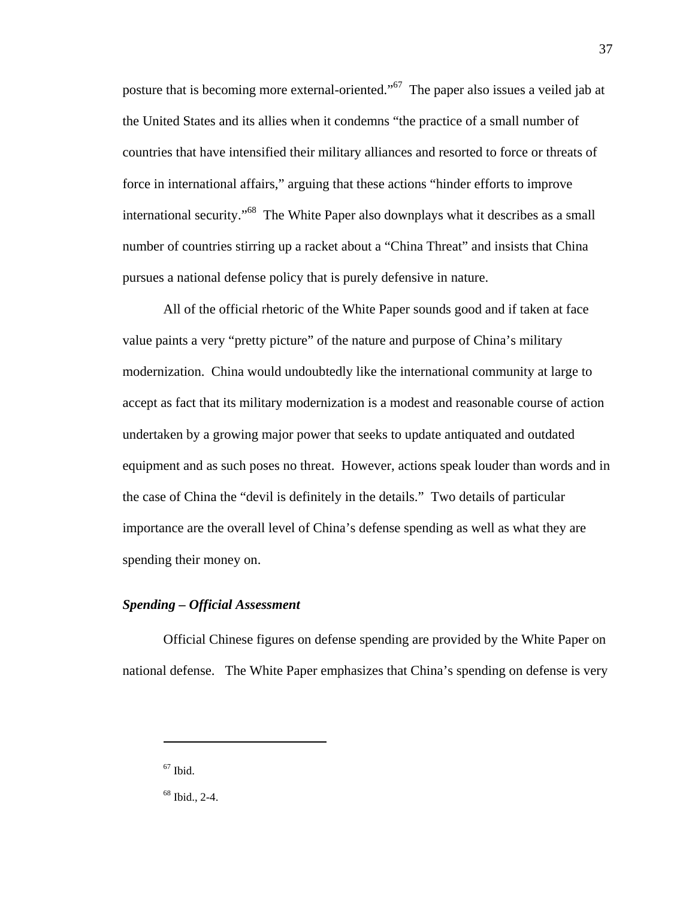posture that is becoming more external-oriented."67 The paper also issues a veiled jab at the United States and its allies when it condemns "the practice of a small number of countries that have intensified their military alliances and resorted to force or threats of force in international affairs," arguing that these actions "hinder efforts to improve international security."<sup>68</sup> The White Paper also downplays what it describes as a small number of countries stirring up a racket about a "China Threat" and insists that China pursues a national defense policy that is purely defensive in nature.

37

All of the official rhetoric of the White Paper sounds good and if taken at face value paints a very "pretty picture" of the nature and purpose of China's military modernization. China would undoubtedly like the international community at large to accept as fact that its military modernization is a modest and reasonable course of action undertaken by a growing major power that seeks to update antiquated and outdated equipment and as such poses no threat. However, actions speak louder than words and in the case of China the "devil is definitely in the details." Two details of particular importance are the overall level of China's defense spending as well as what they are spending their money on.

## *Spending – Official Assessment*

Official Chinese figures on defense spending are provided by the White Paper on national defense. The White Paper emphasizes that China's spending on defense is very

 $67$  Ibid.

<sup>68</sup> Ibid., 2-4.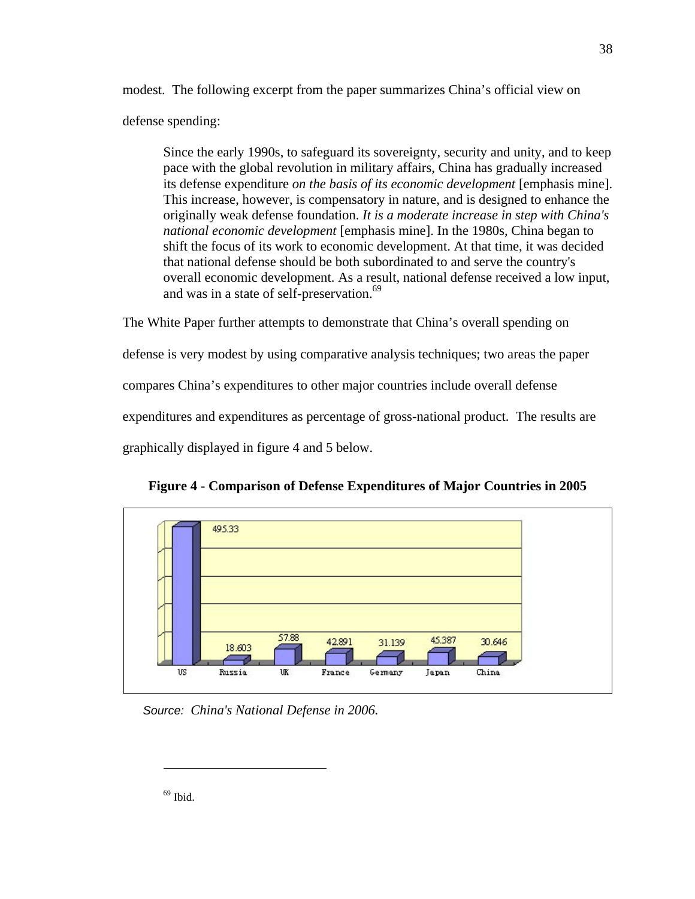modest. The following excerpt from the paper summarizes China's official view on defense spending:

Since the early 1990s, to safeguard its sovereignty, security and unity, and to keep pace with the global revolution in military affairs, China has gradually increased its defense expenditure *on the basis of its economic development* [emphasis mine]. This increase, however, is compensatory in nature, and is designed to enhance the originally weak defense foundation. *It is a moderate increase in step with China's national economic development* [emphasis mine]. In the 1980s, China began to shift the focus of its work to economic development. At that time, it was decided that national defense should be both subordinated to and serve the country's overall economic development. As a result, national defense received a low input, and was in a state of self-preservation.<sup>69</sup>

The White Paper further attempts to demonstrate that China's overall spending on defense is very modest by using comparative analysis techniques; two areas the paper compares China's expenditures to other major countries include overall defense expenditures and expenditures as percentage of gross-national product. The results are graphically displayed in figure 4 and 5 below.





*Source: China's National Defense in 2006.*

 $69$  Ibid.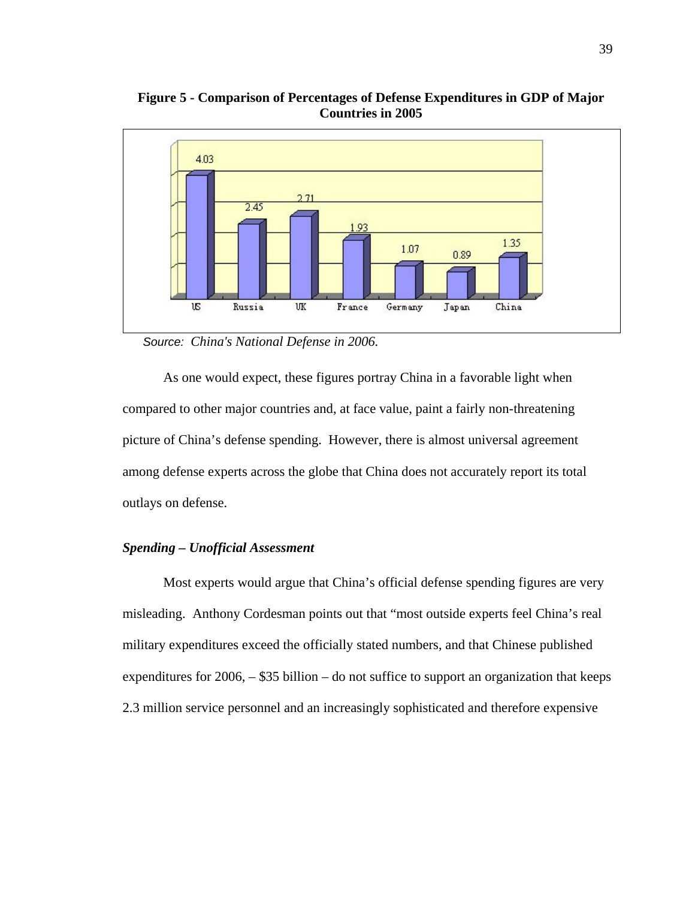

**Figure 5 - Comparison of Percentages of Defense Expenditures in GDP of Major Countries in 2005**

*Source: China's National Defense in 2006.* 

As one would expect, these figures portray China in a favorable light when compared to other major countries and, at face value, paint a fairly non-threatening picture of China's defense spending. However, there is almost universal agreement among defense experts across the globe that China does not accurately report its total outlays on defense.

#### *Spending – Unofficial Assessment*

Most experts would argue that China's official defense spending figures are very misleading. Anthony Cordesman points out that "most outside experts feel China's real military expenditures exceed the officially stated numbers, and that Chinese published expenditures for 2006, – \$35 billion – do not suffice to support an organization that keeps 2.3 million service personnel and an increasingly sophisticated and therefore expensive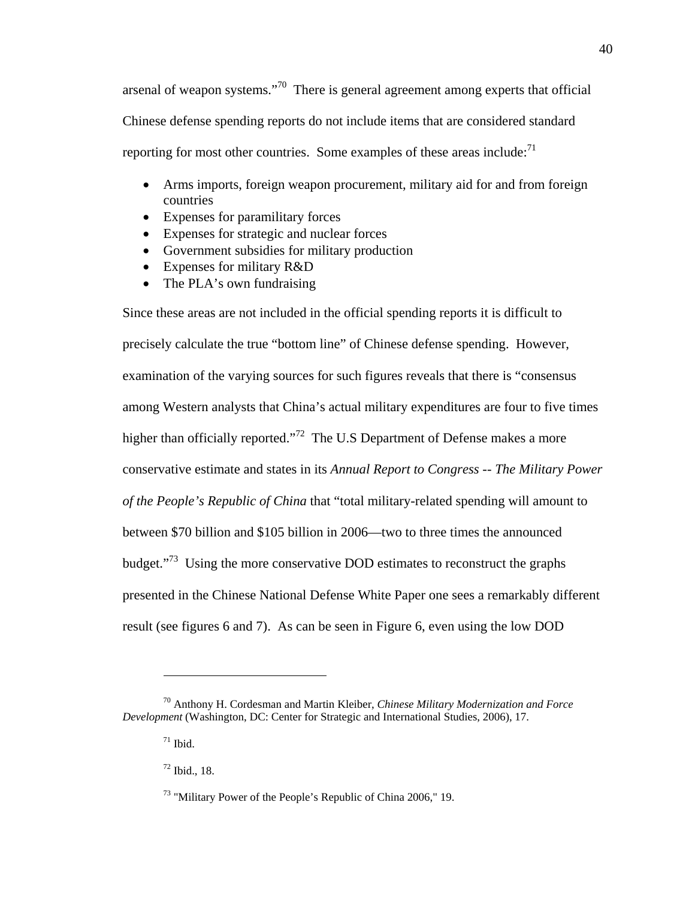arsenal of weapon systems."70 There is general agreement among experts that official Chinese defense spending reports do not include items that are considered standard reporting for most other countries. Some examples of these areas include: $<sup>71</sup>$ </sup>

- Arms imports, foreign weapon procurement, military aid for and from foreign countries
- Expenses for paramilitary forces
- Expenses for strategic and nuclear forces
- Government subsidies for military production
- Expenses for military R&D
- The PLA's own fundraising

Since these areas are not included in the official spending reports it is difficult to precisely calculate the true "bottom line" of Chinese defense spending. However, examination of the varying sources for such figures reveals that there is "consensus among Western analysts that China's actual military expenditures are four to five times higher than officially reported."<sup>72</sup> The U.S Department of Defense makes a more conservative estimate and states in its *Annual Report to Congress -- The Military Power of the People's Republic of China* that "total military-related spending will amount to between \$70 billion and \$105 billion in 2006—two to three times the announced budget."73 Using the more conservative DOD estimates to reconstruct the graphs presented in the Chinese National Defense White Paper one sees a remarkably different result (see figures 6 and 7). As can be seen in Figure 6, even using the low DOD

<sup>70</sup> Anthony H. Cordesman and Martin Kleiber, *Chinese Military Modernization and Force Development* (Washington, DC: Center for Strategic and International Studies, 2006), 17.

 $71$  Ibid.

<sup>72</sup> Ibid., 18.

<sup>73 &</sup>quot;Military Power of the People's Republic of China 2006," 19.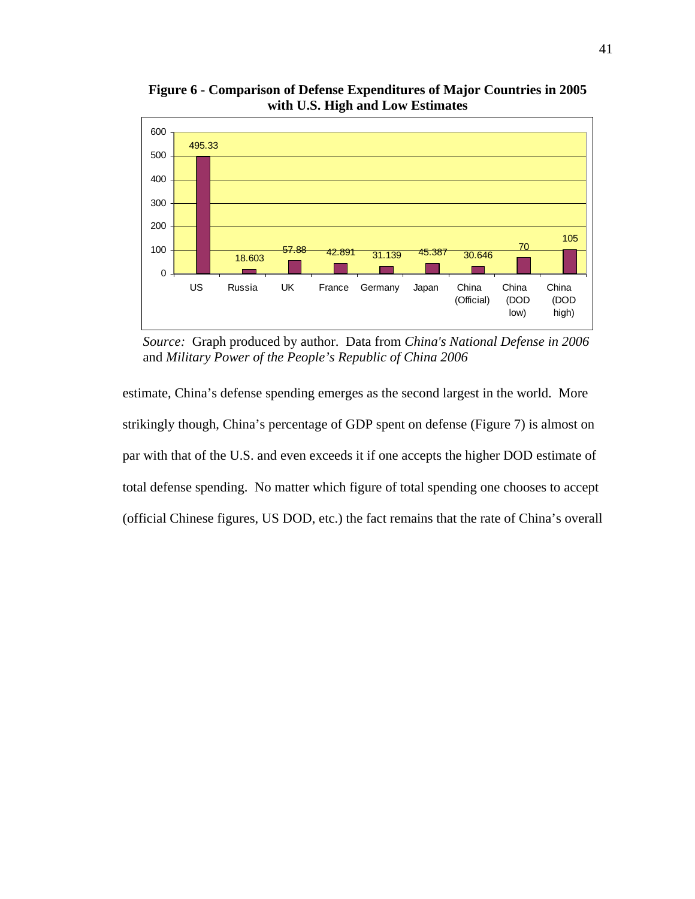

**Figure 6 - Comparison of Defense Expenditures of Major Countries in 2005 with U.S. High and Low Estimates** 

*Source:* Graph produced by author. Data from *China's National Defense in 2006* and *Military Power of the People's Republic of China 2006*

estimate, China's defense spending emerges as the second largest in the world. More strikingly though, China's percentage of GDP spent on defense (Figure 7) is almost on par with that of the U.S. and even exceeds it if one accepts the higher DOD estimate of total defense spending. No matter which figure of total spending one chooses to accept (official Chinese figures, US DOD, etc.) the fact remains that the rate of China's overall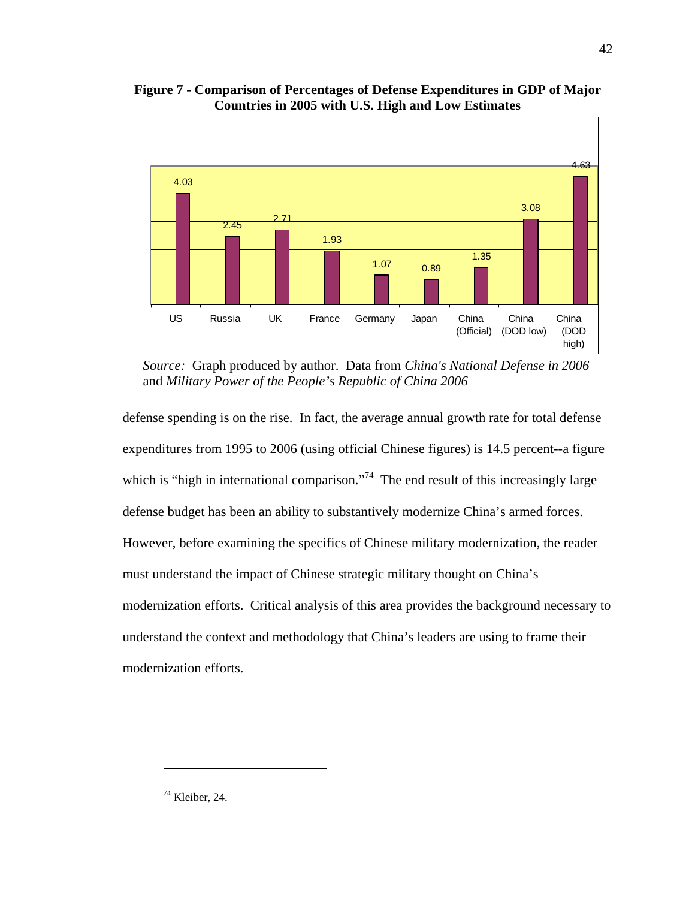

**Figure 7 - Comparison of Percentages of Defense Expenditures in GDP of Major Countries in 2005 with U.S. High and Low Estimates** 

*Source:* Graph produced by author. Data from *China's National Defense in 2006* and *Military Power of the People's Republic of China 2006*

defense spending is on the rise. In fact, the average annual growth rate for total defense expenditures from 1995 to 2006 (using official Chinese figures) is 14.5 percent--a figure which is "high in international comparison."<sup>74</sup> The end result of this increasingly large defense budget has been an ability to substantively modernize China's armed forces. However, before examining the specifics of Chinese military modernization, the reader must understand the impact of Chinese strategic military thought on China's modernization efforts. Critical analysis of this area provides the background necessary to understand the context and methodology that China's leaders are using to frame their modernization efforts.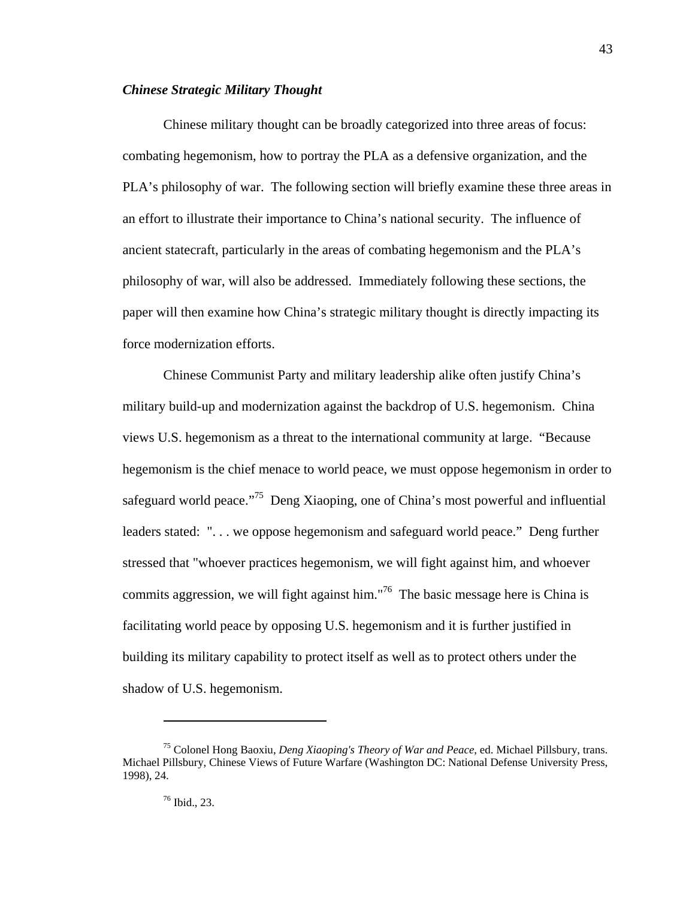## *Chinese Strategic Military Thought*

Chinese military thought can be broadly categorized into three areas of focus: combating hegemonism, how to portray the PLA as a defensive organization, and the PLA's philosophy of war. The following section will briefly examine these three areas in an effort to illustrate their importance to China's national security. The influence of ancient statecraft, particularly in the areas of combating hegemonism and the PLA's philosophy of war, will also be addressed. Immediately following these sections, the paper will then examine how China's strategic military thought is directly impacting its force modernization efforts.

Chinese Communist Party and military leadership alike often justify China's military build-up and modernization against the backdrop of U.S. hegemonism. China views U.S. hegemonism as a threat to the international community at large. "Because hegemonism is the chief menace to world peace, we must oppose hegemonism in order to safeguard world peace."<sup>75</sup> Deng Xiaoping, one of China's most powerful and influential leaders stated: ". . . we oppose hegemonism and safeguard world peace." Deng further stressed that "whoever practices hegemonism, we will fight against him, and whoever commits aggression, we will fight against him."<sup>76</sup> The basic message here is China is facilitating world peace by opposing U.S. hegemonism and it is further justified in building its military capability to protect itself as well as to protect others under the shadow of U.S. hegemonism.

<sup>75</sup> Colonel Hong Baoxiu, *Deng Xiaoping's Theory of War and Peace*, ed. Michael Pillsbury, trans. Michael Pillsbury, Chinese Views of Future Warfare (Washington DC: National Defense University Press, 1998), 24.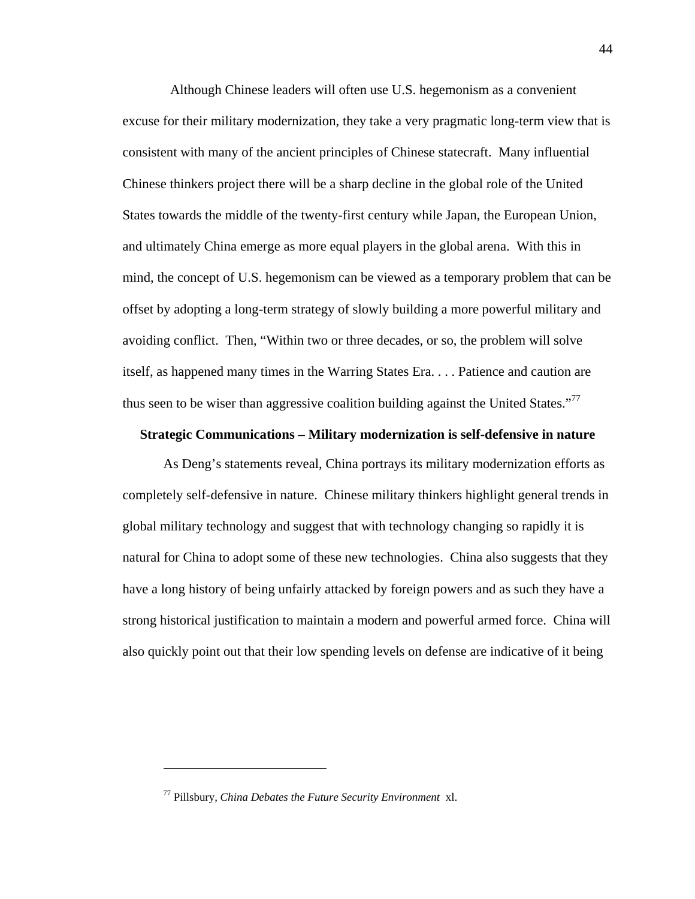Although Chinese leaders will often use U.S. hegemonism as a convenient excuse for their military modernization, they take a very pragmatic long-term view that is consistent with many of the ancient principles of Chinese statecraft. Many influential Chinese thinkers project there will be a sharp decline in the global role of the United States towards the middle of the twenty-first century while Japan, the European Union, and ultimately China emerge as more equal players in the global arena. With this in mind, the concept of U.S. hegemonism can be viewed as a temporary problem that can be offset by adopting a long-term strategy of slowly building a more powerful military and avoiding conflict. Then, "Within two or three decades, or so, the problem will solve itself, as happened many times in the Warring States Era. . . . Patience and caution are thus seen to be wiser than aggressive coalition building against the United States."<sup>77</sup>

## **Strategic Communications – Military modernization is self-defensive in nature**

As Deng's statements reveal, China portrays its military modernization efforts as completely self-defensive in nature. Chinese military thinkers highlight general trends in global military technology and suggest that with technology changing so rapidly it is natural for China to adopt some of these new technologies. China also suggests that they have a long history of being unfairly attacked by foreign powers and as such they have a strong historical justification to maintain a modern and powerful armed force. China will also quickly point out that their low spending levels on defense are indicative of it being

1

<sup>77</sup> Pillsbury, *China Debates the Future Security Environment* xl.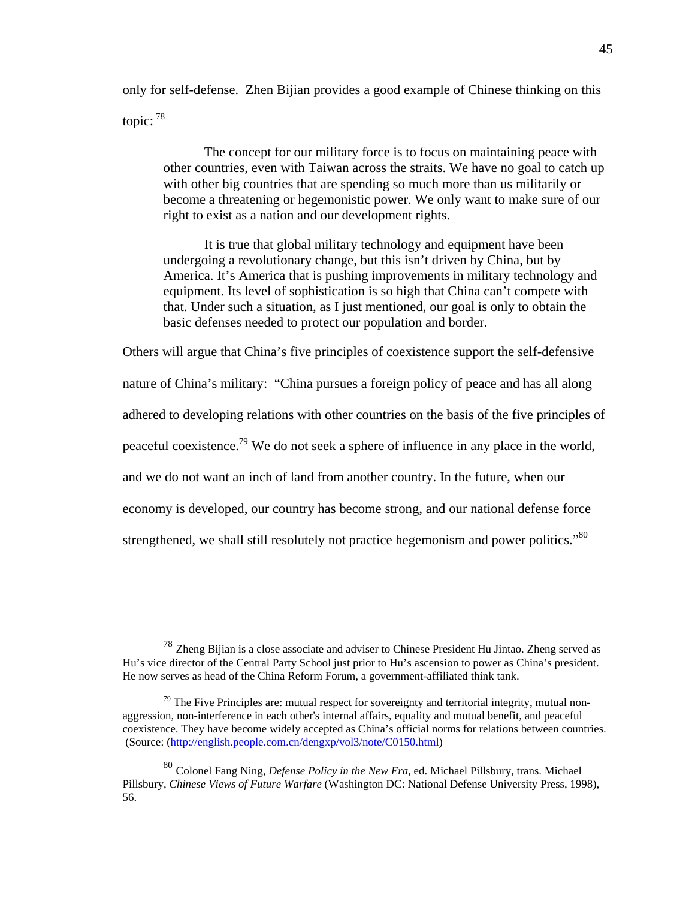only for self-defense. Zhen Bijian provides a good example of Chinese thinking on this topic: 78

The concept for our military force is to focus on maintaining peace with other countries, even with Taiwan across the straits. We have no goal to catch up with other big countries that are spending so much more than us militarily or become a threatening or hegemonistic power. We only want to make sure of our right to exist as a nation and our development rights.

It is true that global military technology and equipment have been undergoing a revolutionary change, but this isn't driven by China, but by America. It's America that is pushing improvements in military technology and equipment. Its level of sophistication is so high that China can't compete with that. Under such a situation, as I just mentioned, our goal is only to obtain the basic defenses needed to protect our population and border.

Others will argue that China's five principles of coexistence support the self-defensive

nature of China's military: "China pursues a foreign policy of peace and has all along

adhered to developing relations with other countries on the basis of the five principles of

peaceful coexistence.<sup>79</sup> We do not seek a sphere of influence in any place in the world,

and we do not want an inch of land from another country. In the future, when our

economy is developed, our country has become strong, and our national defense force

strengthened, we shall still resolutely not practice hegemonism and power politics."<sup>80</sup>

<sup>78</sup> Zheng Bijian is a close associate and adviser to Chinese President Hu Jintao. Zheng served as Hu's vice director of the Central Party School just prior to Hu's ascension to power as China's president. He now serves as head of the China Reform Forum, a government-affiliated think tank.

 $79$  The Five Principles are: mutual respect for sovereignty and territorial integrity, mutual nonaggression, non-interference in each other's internal affairs, equality and mutual benefit, and peaceful coexistence. They have become widely accepted as China's official norms for relations between countries. (Source: (http://english.people.com.cn/dengxp/vol3/note/C0150.html)

<sup>80</sup> Colonel Fang Ning, *Defense Policy in the New Era*, ed. Michael Pillsbury, trans. Michael Pillsbury, *Chinese Views of Future Warfare* (Washington DC: National Defense University Press, 1998), 56.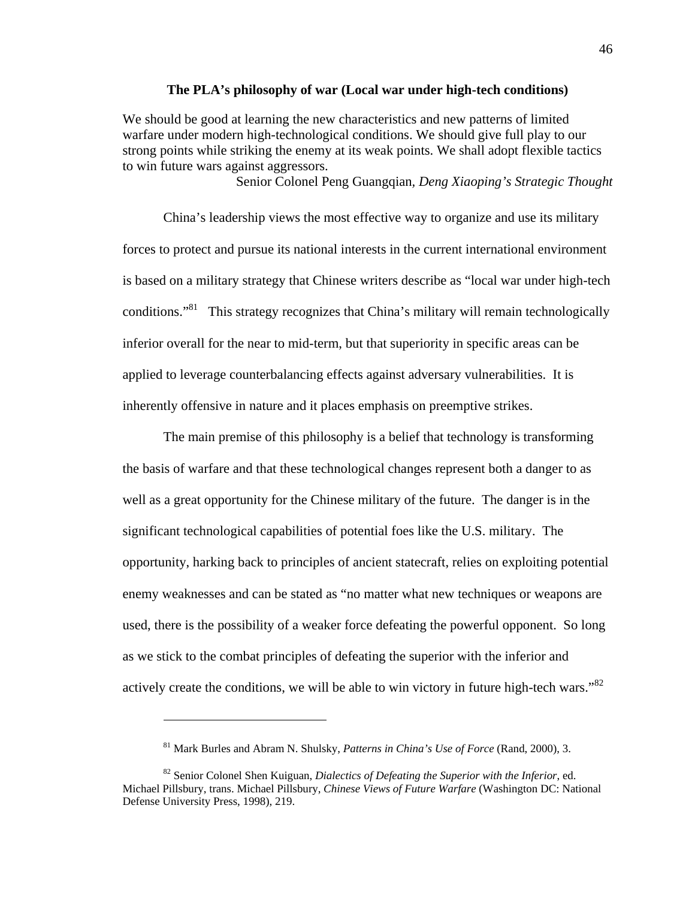#### **The PLA's philosophy of war (Local war under high-tech conditions)**

We should be good at learning the new characteristics and new patterns of limited warfare under modern high-technological conditions. We should give full play to our strong points while striking the enemy at its weak points. We shall adopt flexible tactics to win future wars against aggressors.

Senior Colonel Peng Guangqian*, Deng Xiaoping's Strategic Thought* 

China's leadership views the most effective way to organize and use its military forces to protect and pursue its national interests in the current international environment is based on a military strategy that Chinese writers describe as "local war under high-tech conditions."<sup>81</sup> This strategy recognizes that China's military will remain technologically inferior overall for the near to mid-term, but that superiority in specific areas can be applied to leverage counterbalancing effects against adversary vulnerabilities. It is inherently offensive in nature and it places emphasis on preemptive strikes.

The main premise of this philosophy is a belief that technology is transforming the basis of warfare and that these technological changes represent both a danger to as well as a great opportunity for the Chinese military of the future. The danger is in the significant technological capabilities of potential foes like the U.S. military. The opportunity, harking back to principles of ancient statecraft, relies on exploiting potential enemy weaknesses and can be stated as "no matter what new techniques or weapons are used, there is the possibility of a weaker force defeating the powerful opponent. So long as we stick to the combat principles of defeating the superior with the inferior and actively create the conditions, we will be able to win victory in future high-tech wars."<sup>82</sup>

<sup>81</sup> Mark Burles and Abram N. Shulsky, *Patterns in China's Use of Force* (Rand, 2000), 3.

<sup>82</sup> Senior Colonel Shen Kuiguan, *Dialectics of Defeating the Superior with the Inferior*, ed. Michael Pillsbury, trans. Michael Pillsbury, *Chinese Views of Future Warfare* (Washington DC: National Defense University Press, 1998), 219.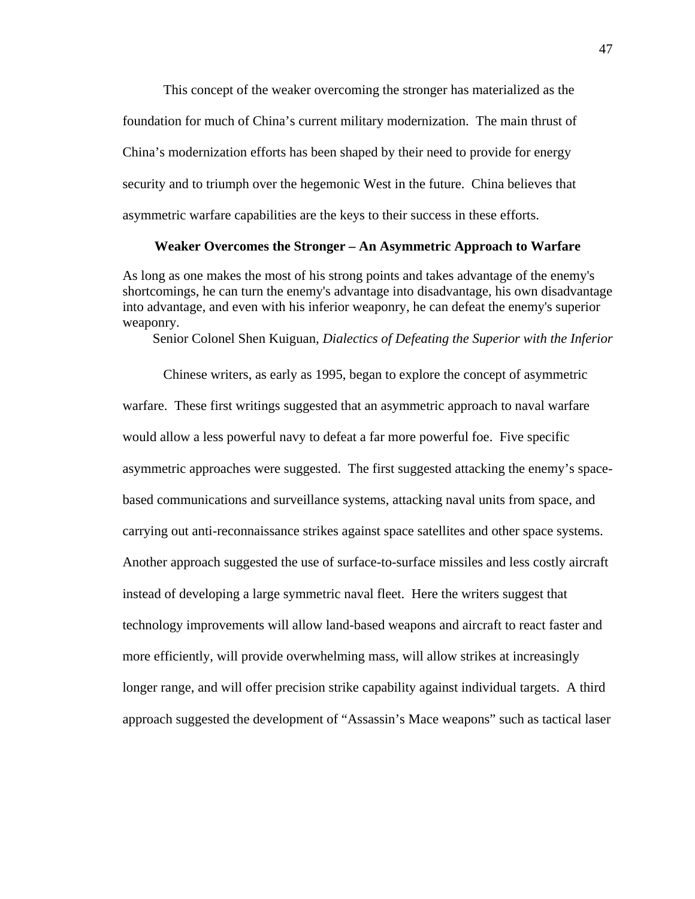This concept of the weaker overcoming the stronger has materialized as the foundation for much of China's current military modernization. The main thrust of China's modernization efforts has been shaped by their need to provide for energy security and to triumph over the hegemonic West in the future. China believes that asymmetric warfare capabilities are the keys to their success in these efforts.

## **Weaker Overcomes the Stronger – An Asymmetric Approach to Warfare**

As long as one makes the most of his strong points and takes advantage of the enemy's shortcomings, he can turn the enemy's advantage into disadvantage, his own disadvantage into advantage, and even with his inferior weaponry, he can defeat the enemy's superior weaponry.

Senior Colonel Shen Kuiguan*, Dialectics of Defeating the Superior with the Inferior* 

Chinese writers, as early as 1995, began to explore the concept of asymmetric warfare. These first writings suggested that an asymmetric approach to naval warfare would allow a less powerful navy to defeat a far more powerful foe. Five specific asymmetric approaches were suggested. The first suggested attacking the enemy's spacebased communications and surveillance systems, attacking naval units from space, and carrying out anti-reconnaissance strikes against space satellites and other space systems. Another approach suggested the use of surface-to-surface missiles and less costly aircraft instead of developing a large symmetric naval fleet. Here the writers suggest that technology improvements will allow land-based weapons and aircraft to react faster and more efficiently, will provide overwhelming mass, will allow strikes at increasingly longer range, and will offer precision strike capability against individual targets. A third approach suggested the development of "Assassin's Mace weapons" such as tactical laser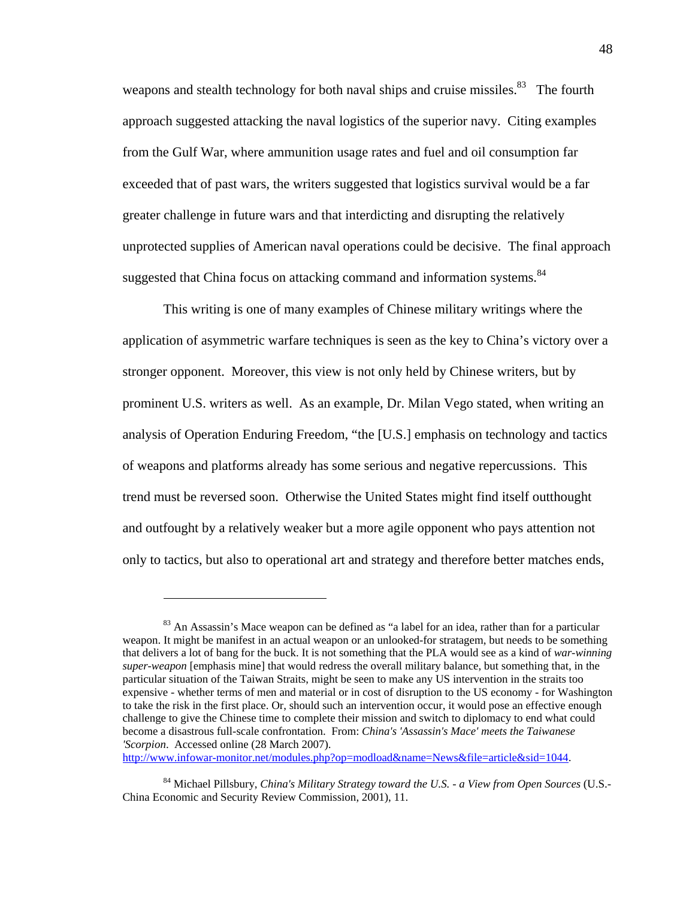weapons and stealth technology for both naval ships and cruise missiles.<sup>83</sup> The fourth approach suggested attacking the naval logistics of the superior navy. Citing examples from the Gulf War, where ammunition usage rates and fuel and oil consumption far exceeded that of past wars, the writers suggested that logistics survival would be a far greater challenge in future wars and that interdicting and disrupting the relatively unprotected supplies of American naval operations could be decisive. The final approach suggested that China focus on attacking command and information systems.<sup>84</sup>

This writing is one of many examples of Chinese military writings where the application of asymmetric warfare techniques is seen as the key to China's victory over a stronger opponent. Moreover, this view is not only held by Chinese writers, but by prominent U.S. writers as well. As an example, Dr. Milan Vego stated, when writing an analysis of Operation Enduring Freedom, "the [U.S.] emphasis on technology and tactics of weapons and platforms already has some serious and negative repercussions. This trend must be reversed soon. Otherwise the United States might find itself outthought and outfought by a relatively weaker but a more agile opponent who pays attention not only to tactics, but also to operational art and strategy and therefore better matches ends,

http://www.infowar-monitor.net/modules.php?op=modload&name=News&file=article&sid=1044.

<sup>&</sup>lt;sup>83</sup> An Assassin's Mace weapon can be defined as "a label for an idea, rather than for a particular weapon. It might be manifest in an actual weapon or an unlooked-for stratagem, but needs to be something that delivers a lot of bang for the buck. It is not something that the PLA would see as a kind of *war-winning super-weapon* [emphasis mine] that would redress the overall military balance, but something that, in the particular situation of the Taiwan Straits, might be seen to make any US intervention in the straits too expensive - whether terms of men and material or in cost of disruption to the US economy - for Washington to take the risk in the first place. Or, should such an intervention occur, it would pose an effective enough challenge to give the Chinese time to complete their mission and switch to diplomacy to end what could become a disastrous full-scale confrontation. From: *China's 'Assassin's Mace' meets the Taiwanese 'Scorpion*. Accessed online (28 March 2007).

<sup>84</sup> Michael Pillsbury, *China's Military Strategy toward the U.S. - a View from Open Sources* (U.S.- China Economic and Security Review Commission, 2001), 11.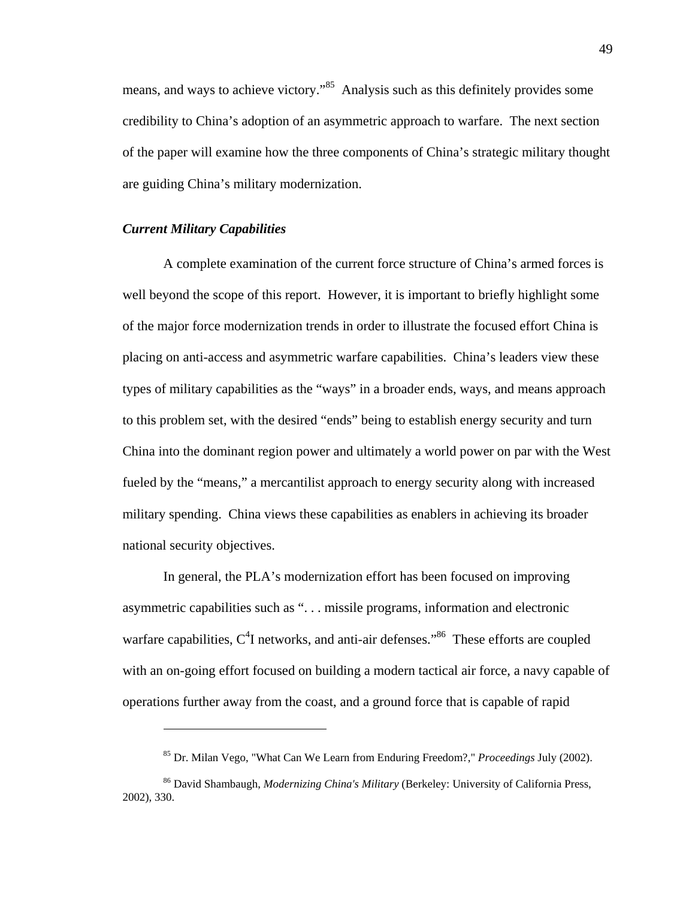means, and ways to achieve victory."85 Analysis such as this definitely provides some credibility to China's adoption of an asymmetric approach to warfare. The next section of the paper will examine how the three components of China's strategic military thought are guiding China's military modernization.

#### *Current Military Capabilities*

<u>.</u>

A complete examination of the current force structure of China's armed forces is well beyond the scope of this report. However, it is important to briefly highlight some of the major force modernization trends in order to illustrate the focused effort China is placing on anti-access and asymmetric warfare capabilities. China's leaders view these types of military capabilities as the "ways" in a broader ends, ways, and means approach to this problem set, with the desired "ends" being to establish energy security and turn China into the dominant region power and ultimately a world power on par with the West fueled by the "means," a mercantilist approach to energy security along with increased military spending. China views these capabilities as enablers in achieving its broader national security objectives.

In general, the PLA's modernization effort has been focused on improving asymmetric capabilities such as ". . . missile programs, information and electronic warfare capabilities,  $C^4$ I networks, and anti-air defenses."<sup>86</sup> These efforts are coupled with an on-going effort focused on building a modern tactical air force, a navy capable of operations further away from the coast, and a ground force that is capable of rapid

<sup>85</sup> Dr. Milan Vego, "What Can We Learn from Enduring Freedom?," *Proceedings* July (2002).

<sup>86</sup> David Shambaugh, *Modernizing China's Military* (Berkeley: University of California Press, 2002), 330.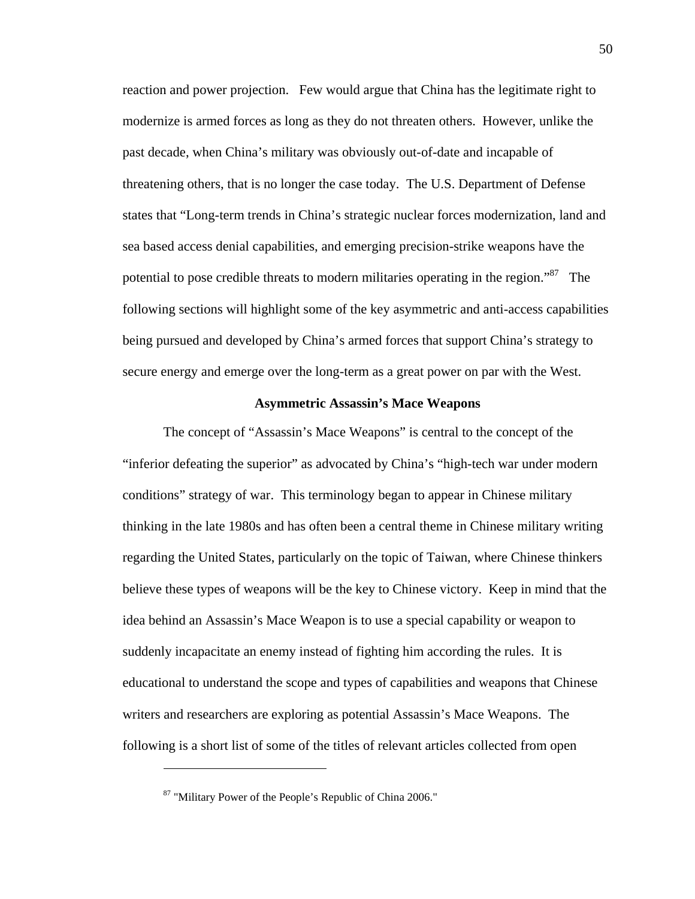reaction and power projection. Few would argue that China has the legitimate right to modernize is armed forces as long as they do not threaten others. However, unlike the past decade, when China's military was obviously out-of-date and incapable of threatening others, that is no longer the case today. The U.S. Department of Defense states that "Long-term trends in China's strategic nuclear forces modernization, land and sea based access denial capabilities, and emerging precision-strike weapons have the potential to pose credible threats to modern militaries operating in the region."<sup>87</sup> The following sections will highlight some of the key asymmetric and anti-access capabilities being pursued and developed by China's armed forces that support China's strategy to secure energy and emerge over the long-term as a great power on par with the West.

#### **Asymmetric Assassin's Mace Weapons**

The concept of "Assassin's Mace Weapons" is central to the concept of the "inferior defeating the superior" as advocated by China's "high-tech war under modern conditions" strategy of war. This terminology began to appear in Chinese military thinking in the late 1980s and has often been a central theme in Chinese military writing regarding the United States, particularly on the topic of Taiwan, where Chinese thinkers believe these types of weapons will be the key to Chinese victory. Keep in mind that the idea behind an Assassin's Mace Weapon is to use a special capability or weapon to suddenly incapacitate an enemy instead of fighting him according the rules. It is educational to understand the scope and types of capabilities and weapons that Chinese writers and researchers are exploring as potential Assassin's Mace Weapons. The following is a short list of some of the titles of relevant articles collected from open

1

<sup>87 &</sup>quot;Military Power of the People's Republic of China 2006."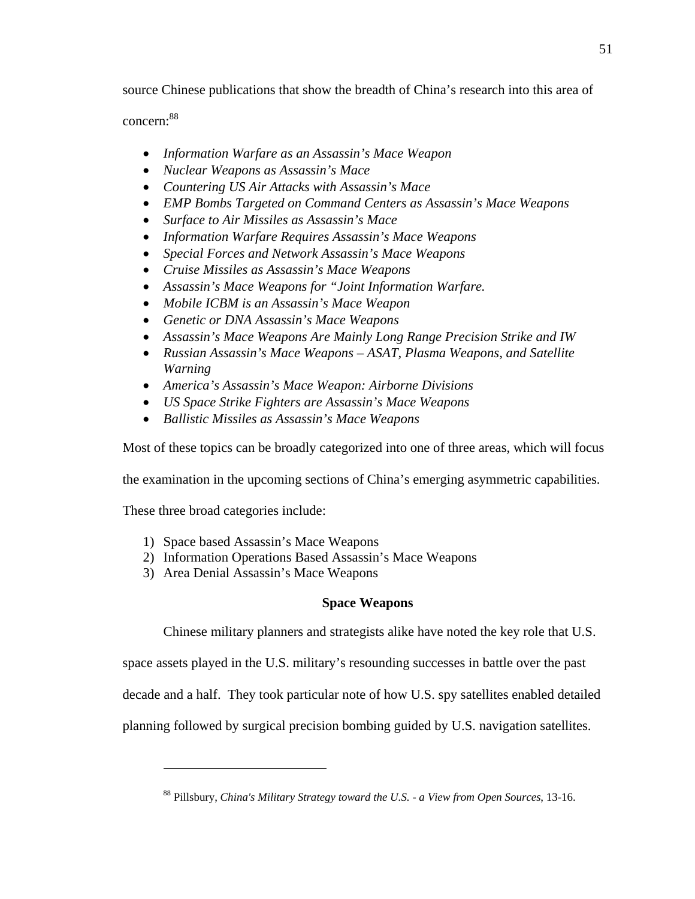source Chinese publications that show the breadth of China's research into this area of

concern:88

- *Information Warfare as an Assassin's Mace Weapon*
- *Nuclear Weapons as Assassin's Mace*
- *Countering US Air Attacks with Assassin's Mace*
- *EMP Bombs Targeted on Command Centers as Assassin's Mace Weapons*
- *Surface to Air Missiles as Assassin's Mace*
- *Information Warfare Requires Assassin's Mace Weapons*
- *Special Forces and Network Assassin's Mace Weapons*
- *Cruise Missiles as Assassin's Mace Weapons*
- *Assassin's Mace Weapons for "Joint Information Warfare.*
- *Mobile ICBM is an Assassin's Mace Weapon*
- *Genetic or DNA Assassin's Mace Weapons*
- *Assassin's Mace Weapons Are Mainly Long Range Precision Strike and IW*
- *Russian Assassin's Mace Weapons ASAT, Plasma Weapons, and Satellite Warning*
- *America's Assassin's Mace Weapon: Airborne Divisions*
- *US Space Strike Fighters are Assassin's Mace Weapons*
- *Ballistic Missiles as Assassin's Mace Weapons*

Most of these topics can be broadly categorized into one of three areas, which will focus

the examination in the upcoming sections of China's emerging asymmetric capabilities.

These three broad categories include:

 $\overline{a}$ 

- 1) Space based Assassin's Mace Weapons
- 2) Information Operations Based Assassin's Mace Weapons
- 3) Area Denial Assassin's Mace Weapons

## **Space Weapons**

Chinese military planners and strategists alike have noted the key role that U.S.

space assets played in the U.S. military's resounding successes in battle over the past

decade and a half. They took particular note of how U.S. spy satellites enabled detailed

planning followed by surgical precision bombing guided by U.S. navigation satellites.

<sup>88</sup> Pillsbury, *China's Military Strategy toward the U.S. - a View from Open Sources*, 13-16.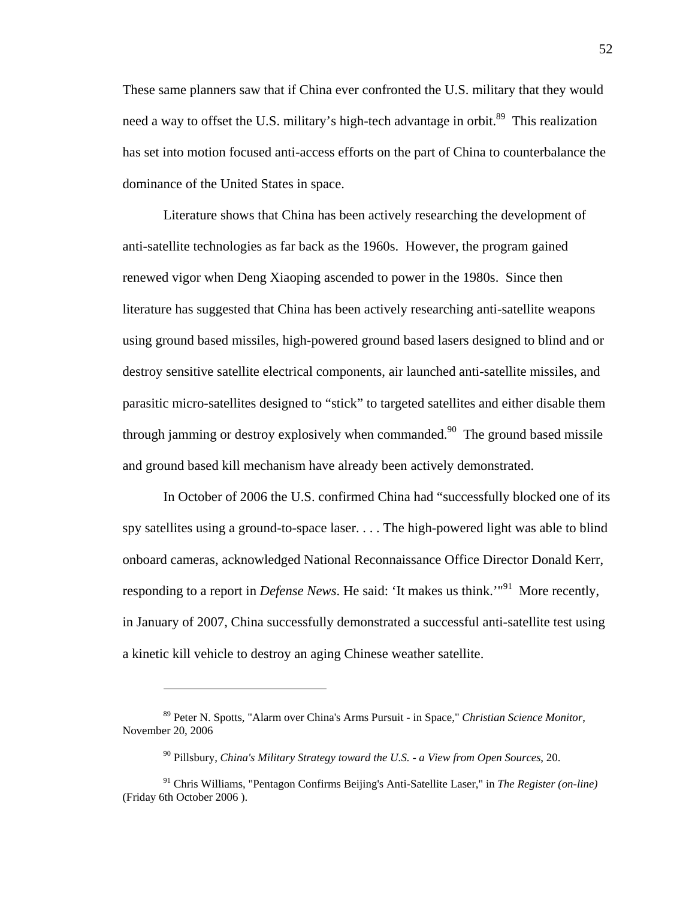These same planners saw that if China ever confronted the U.S. military that they would need a way to offset the U.S. military's high-tech advantage in orbit.<sup>89</sup> This realization has set into motion focused anti-access efforts on the part of China to counterbalance the dominance of the United States in space.

Literature shows that China has been actively researching the development of anti-satellite technologies as far back as the 1960s. However, the program gained renewed vigor when Deng Xiaoping ascended to power in the 1980s. Since then literature has suggested that China has been actively researching anti-satellite weapons using ground based missiles, high-powered ground based lasers designed to blind and or destroy sensitive satellite electrical components, air launched anti-satellite missiles, and parasitic micro-satellites designed to "stick" to targeted satellites and either disable them through jamming or destroy explosively when commanded.<sup>90</sup> The ground based missile and ground based kill mechanism have already been actively demonstrated.

In October of 2006 the U.S. confirmed China had "successfully blocked one of its spy satellites using a ground-to-space laser. . . . The high-powered light was able to blind onboard cameras, acknowledged National Reconnaissance Office Director Donald Kerr, responding to a report in *Defense News*. He said: 'It makes us think.'<sup>"91</sup> More recently, in January of 2007, China successfully demonstrated a successful anti-satellite test using a kinetic kill vehicle to destroy an aging Chinese weather satellite.

1

<sup>89</sup> Peter N. Spotts, "Alarm over China's Arms Pursuit - in Space," *Christian Science Monitor*, November 20, 2006

<sup>90</sup> Pillsbury, *China's Military Strategy toward the U.S. - a View from Open Sources*, 20.

<sup>91</sup> Chris Williams, "Pentagon Confirms Beijing's Anti-Satellite Laser," in *The Register (on-line)* (Friday 6th October 2006 ).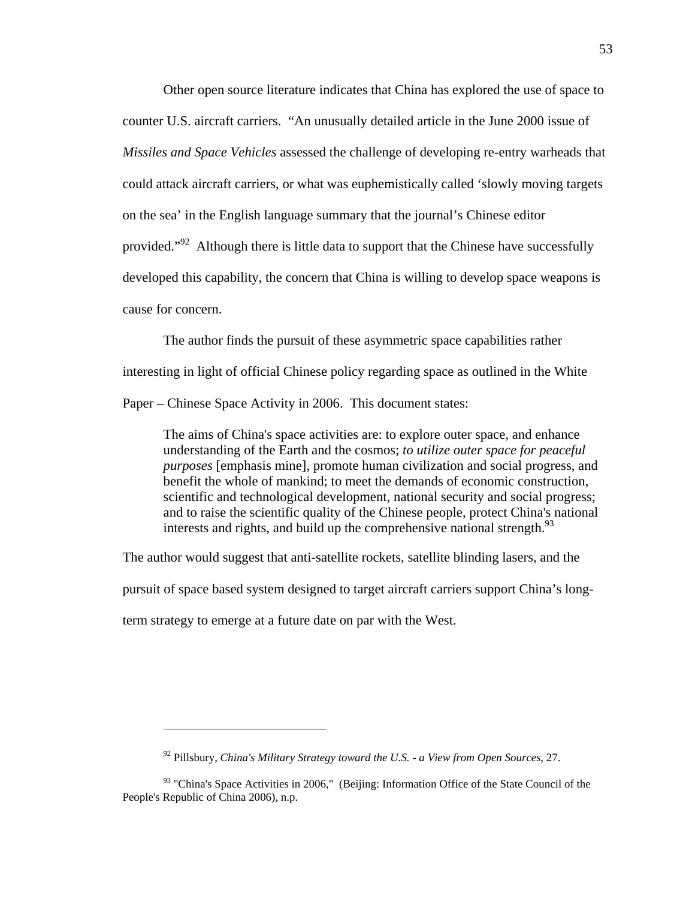Other open source literature indicates that China has explored the use of space to counter U.S. aircraft carriers. "An unusually detailed article in the June 2000 issue of *Missiles and Space Vehicles* assessed the challenge of developing re-entry warheads that could attack aircraft carriers, or what was euphemistically called 'slowly moving targets on the sea' in the English language summary that the journal's Chinese editor provided."<sup>92</sup> Although there is little data to support that the Chinese have successfully developed this capability, the concern that China is willing to develop space weapons is cause for concern.

The author finds the pursuit of these asymmetric space capabilities rather interesting in light of official Chinese policy regarding space as outlined in the White Paper – Chinese Space Activity in 2006. This document states:

The aims of China's space activities are: to explore outer space, and enhance understanding of the Earth and the cosmos; *to utilize outer space for peaceful purposes* [emphasis mine], promote human civilization and social progress, and benefit the whole of mankind; to meet the demands of economic construction, scientific and technological development, national security and social progress; and to raise the scientific quality of the Chinese people, protect China's national interests and rights, and build up the comprehensive national strength.<sup>93</sup>

The author would suggest that anti-satellite rockets, satellite blinding lasers, and the

pursuit of space based system designed to target aircraft carriers support China's long-

term strategy to emerge at a future date on par with the West.

<sup>92</sup> Pillsbury, *China's Military Strategy toward the U.S. - a View from Open Sources*, 27.

<sup>&</sup>lt;sup>93</sup> "China's Space Activities in 2006," (Beijing: Information Office of the State Council of the People's Republic of China 2006), n.p.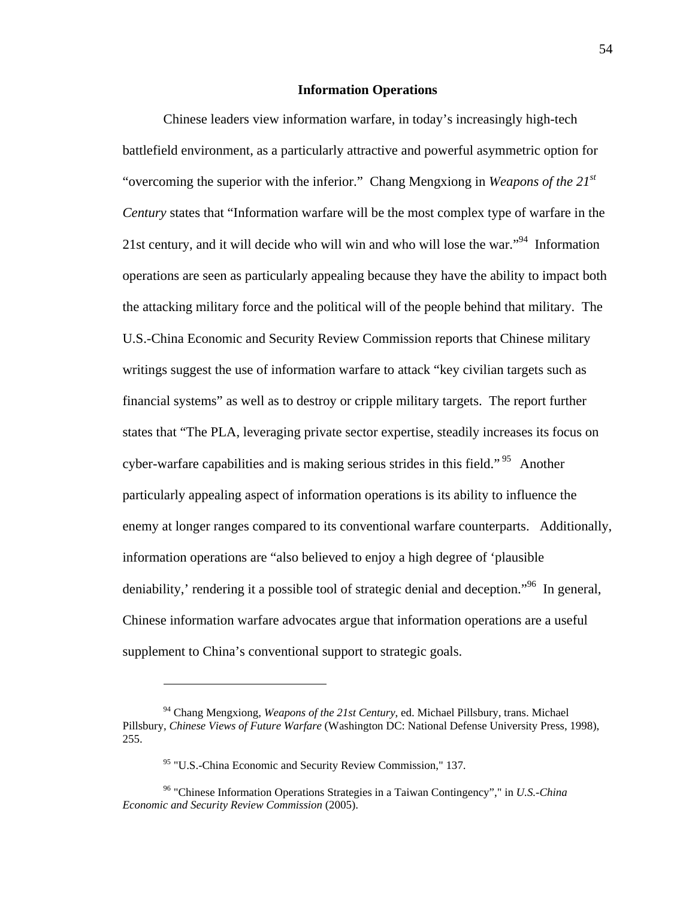## **Information Operations**

Chinese leaders view information warfare, in today's increasingly high-tech battlefield environment, as a particularly attractive and powerful asymmetric option for "overcoming the superior with the inferior." Chang Mengxiong in *Weapons of the 21st Century* states that "Information warfare will be the most complex type of warfare in the 21st century, and it will decide who will win and who will lose the war.<sup>"94</sup> Information operations are seen as particularly appealing because they have the ability to impact both the attacking military force and the political will of the people behind that military. The U.S.-China Economic and Security Review Commission reports that Chinese military writings suggest the use of information warfare to attack "key civilian targets such as financial systems" as well as to destroy or cripple military targets. The report further states that "The PLA, leveraging private sector expertise, steadily increases its focus on cyber-warfare capabilities and is making serious strides in this field."<sup>95</sup> Another particularly appealing aspect of information operations is its ability to influence the enemy at longer ranges compared to its conventional warfare counterparts. Additionally, information operations are "also believed to enjoy a high degree of 'plausible deniability,' rendering it a possible tool of strategic denial and deception."<sup>96</sup> In general, Chinese information warfare advocates argue that information operations are a useful supplement to China's conventional support to strategic goals.

<sup>94</sup> Chang Mengxiong, *Weapons of the 21st Century*, ed. Michael Pillsbury, trans. Michael Pillsbury, *Chinese Views of Future Warfare* (Washington DC: National Defense University Press, 1998), 255.

<sup>&</sup>lt;sup>95</sup> "U.S.-China Economic and Security Review Commission," 137.

<sup>96 &</sup>quot;Chinese Information Operations Strategies in a Taiwan Contingency"," in *U.S.-China Economic and Security Review Commission* (2005).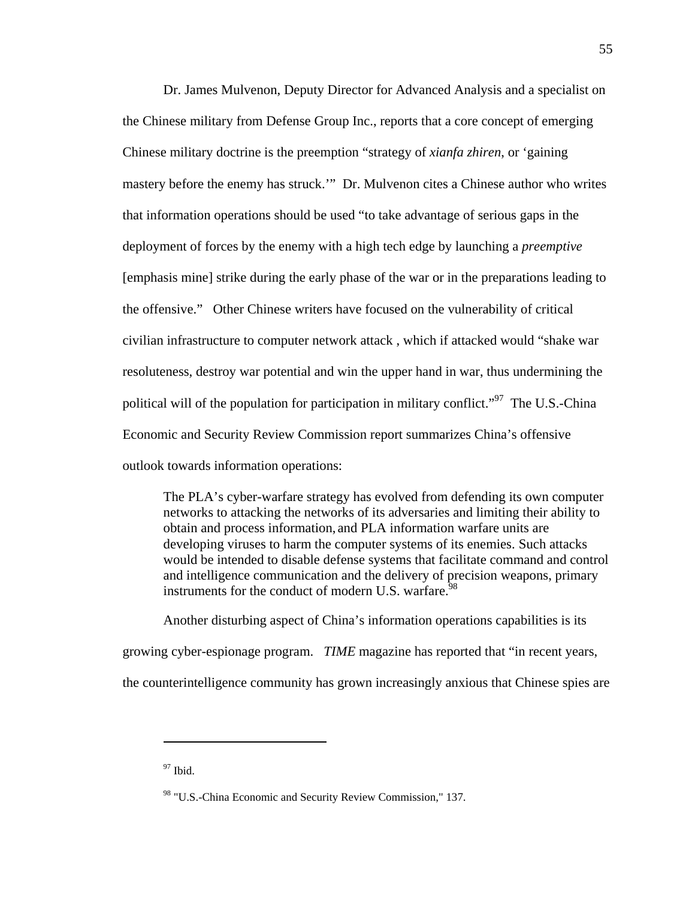Dr. James Mulvenon, Deputy Director for Advanced Analysis and a specialist on the Chinese military from Defense Group Inc., reports that a core concept of emerging Chinese military doctrine is the preemption "strategy of *xianfa zhiren*, or 'gaining mastery before the enemy has struck.'" Dr. Mulvenon cites a Chinese author who writes that information operations should be used "to take advantage of serious gaps in the deployment of forces by the enemy with a high tech edge by launching a *preemptive* [emphasis mine] strike during the early phase of the war or in the preparations leading to the offensive." Other Chinese writers have focused on the vulnerability of critical civilian infrastructure to computer network attack , which if attacked would "shake war resoluteness, destroy war potential and win the upper hand in war, thus undermining the political will of the population for participation in military conflict."<sup>97</sup> The U.S.-China Economic and Security Review Commission report summarizes China's offensive outlook towards information operations:

The PLA's cyber-warfare strategy has evolved from defending its own computer networks to attacking the networks of its adversaries and limiting their ability to obtain and process information, and PLA information warfare units are developing viruses to harm the computer systems of its enemies. Such attacks would be intended to disable defense systems that facilitate command and control and intelligence communication and the delivery of precision weapons, primary instruments for the conduct of modern U.S. warfare.  $98$ 

Another disturbing aspect of China's information operations capabilities is its growing cyber-espionage program. *TIME* magazine has reported that "in recent years, the counterintelligence community has grown increasingly anxious that Chinese spies are

 $97$  Ibid.

<sup>98 &</sup>quot;U.S.-China Economic and Security Review Commission," 137.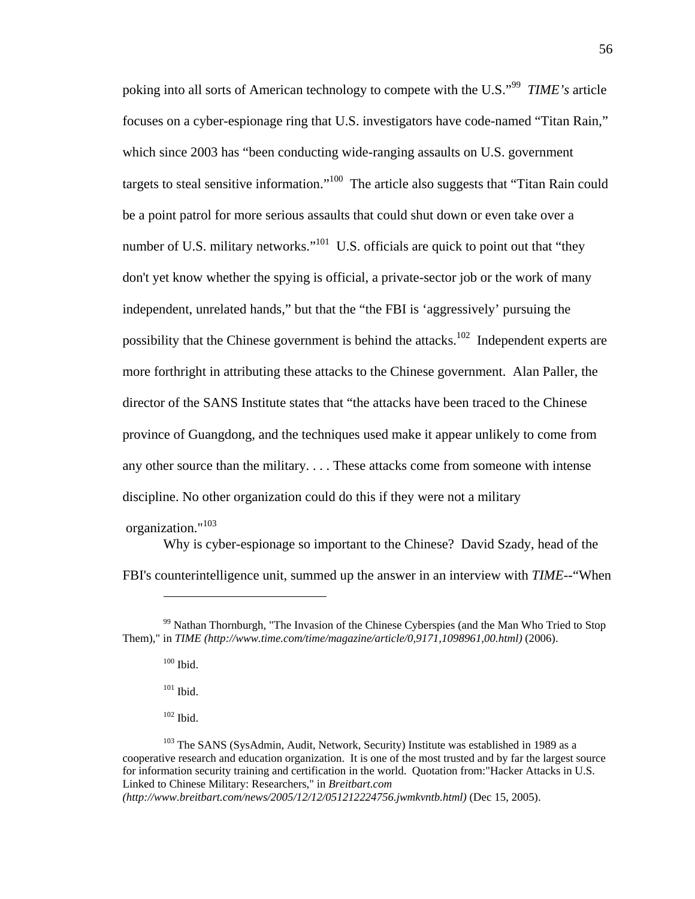poking into all sorts of American technology to compete with the U.S."99 *TIME's* article focuses on a cyber-espionage ring that U.S. investigators have code-named "Titan Rain," which since 2003 has "been conducting wide-ranging assaults on U.S. government targets to steal sensitive information."<sup>100</sup> The article also suggests that "Titan Rain could be a point patrol for more serious assaults that could shut down or even take over a number of U.S. military networks."<sup>101</sup> U.S. officials are quick to point out that "they don't yet know whether the spying is official, a private-sector job or the work of many independent, unrelated hands," but that the "the FBI is 'aggressively' pursuing the possibility that the Chinese government is behind the attacks.<sup>102</sup> Independent experts are more forthright in attributing these attacks to the Chinese government. Alan Paller, the director of the SANS Institute states that "the attacks have been traced to the Chinese province of Guangdong, and the techniques used make it appear unlikely to come from any other source than the military. . . . These attacks come from someone with intense discipline. No other organization could do this if they were not a military

organization."103

 $\overline{a}$ 

Why is cyber-espionage so important to the Chinese? David Szady, head of the FBI's counterintelligence unit, summed up the answer in an interview with *TIME*--"When

 $100$  Ibid.

 $101$  Ibid.

 $102$  Ibid.

*(http://www.breitbart.com/news/2005/12/12/051212224756.jwmkvntb.html)* (Dec 15, 2005).

<sup>&</sup>lt;sup>99</sup> Nathan Thornburgh, "The Invasion of the Chinese Cyberspies (and the Man Who Tried to Stop Them)," in *TIME (http://www.time.com/time/magazine/article/0,9171,1098961,00.html)* (2006).

<sup>&</sup>lt;sup>103</sup> The SANS (SysAdmin, Audit, Network, Security) Institute was established in 1989 as a cooperative research and education organization. It is one of the most trusted and by far the largest source for information security training and certification in the world. Quotation from:"Hacker Attacks in U.S. Linked to Chinese Military: Researchers," in *Breitbart.com*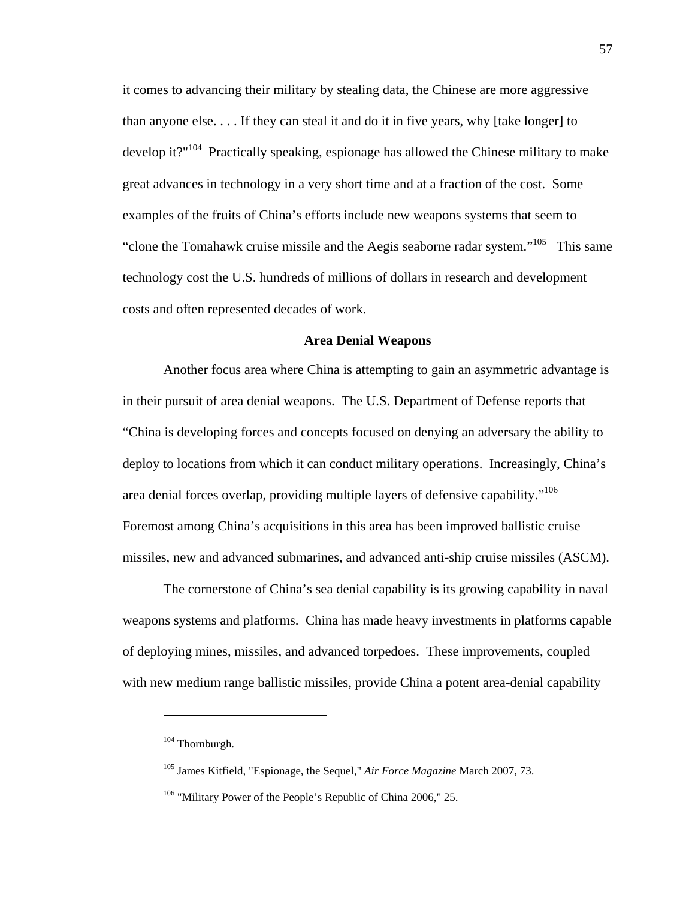it comes to advancing their military by stealing data, the Chinese are more aggressive than anyone else. . . . If they can steal it and do it in five years, why [take longer] to develop it?" $104$  Practically speaking, espionage has allowed the Chinese military to make great advances in technology in a very short time and at a fraction of the cost. Some examples of the fruits of China's efforts include new weapons systems that seem to "clone the Tomahawk cruise missile and the Aegis seaborne radar system."<sup>105</sup> This same technology cost the U.S. hundreds of millions of dollars in research and development costs and often represented decades of work.

#### **Area Denial Weapons**

Another focus area where China is attempting to gain an asymmetric advantage is in their pursuit of area denial weapons. The U.S. Department of Defense reports that "China is developing forces and concepts focused on denying an adversary the ability to deploy to locations from which it can conduct military operations. Increasingly, China's area denial forces overlap, providing multiple layers of defensive capability."106 Foremost among China's acquisitions in this area has been improved ballistic cruise missiles, new and advanced submarines, and advanced anti-ship cruise missiles (ASCM).

The cornerstone of China's sea denial capability is its growing capability in naval weapons systems and platforms. China has made heavy investments in platforms capable of deploying mines, missiles, and advanced torpedoes. These improvements, coupled with new medium range ballistic missiles, provide China a potent area-denial capability

<sup>&</sup>lt;sup>104</sup> Thornburgh.

<sup>105</sup> James Kitfield, "Espionage, the Sequel," *Air Force Magazine* March 2007, 73.

<sup>&</sup>lt;sup>106</sup> "Military Power of the People's Republic of China 2006," 25.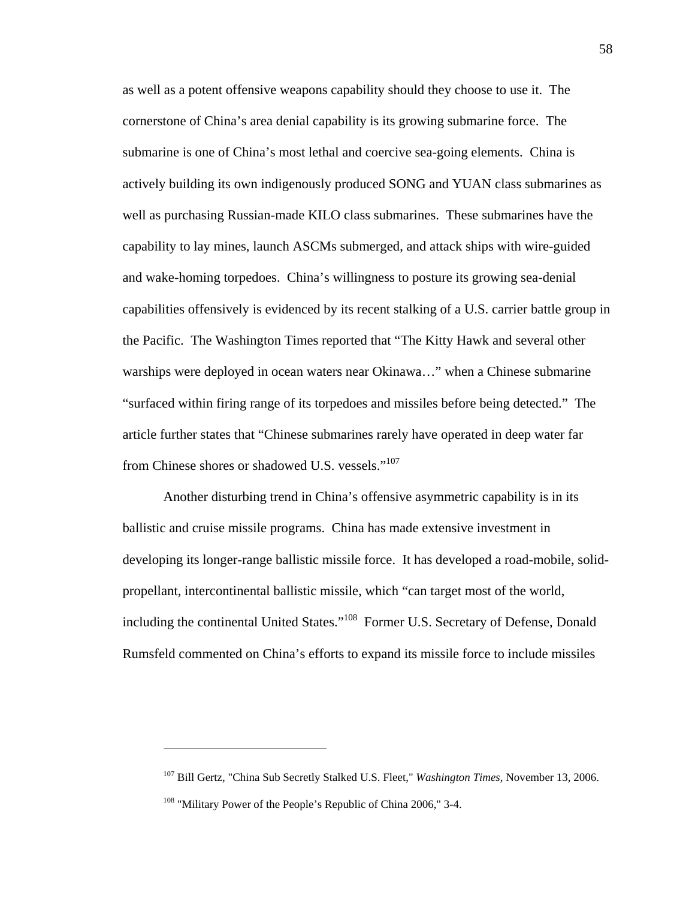as well as a potent offensive weapons capability should they choose to use it. The cornerstone of China's area denial capability is its growing submarine force. The submarine is one of China's most lethal and coercive sea-going elements. China is actively building its own indigenously produced SONG and YUAN class submarines as well as purchasing Russian-made KILO class submarines. These submarines have the capability to lay mines, launch ASCMs submerged, and attack ships with wire-guided and wake-homing torpedoes. China's willingness to posture its growing sea-denial capabilities offensively is evidenced by its recent stalking of a U.S. carrier battle group in the Pacific. The Washington Times reported that "The Kitty Hawk and several other warships were deployed in ocean waters near Okinawa…" when a Chinese submarine "surfaced within firing range of its torpedoes and missiles before being detected." The article further states that "Chinese submarines rarely have operated in deep water far from Chinese shores or shadowed U.S. vessels."<sup>107</sup>

Another disturbing trend in China's offensive asymmetric capability is in its ballistic and cruise missile programs. China has made extensive investment in developing its longer-range ballistic missile force. It has developed a road-mobile, solidpropellant, intercontinental ballistic missile, which "can target most of the world, including the continental United States."<sup>108</sup> Former U.S. Secretary of Defense, Donald Rumsfeld commented on China's efforts to expand its missile force to include missiles

<u>.</u>

<sup>107</sup> Bill Gertz, "China Sub Secretly Stalked U.S. Fleet," *Washington Times*, November 13, 2006.

<sup>&</sup>lt;sup>108</sup> "Military Power of the People's Republic of China 2006," 3-4.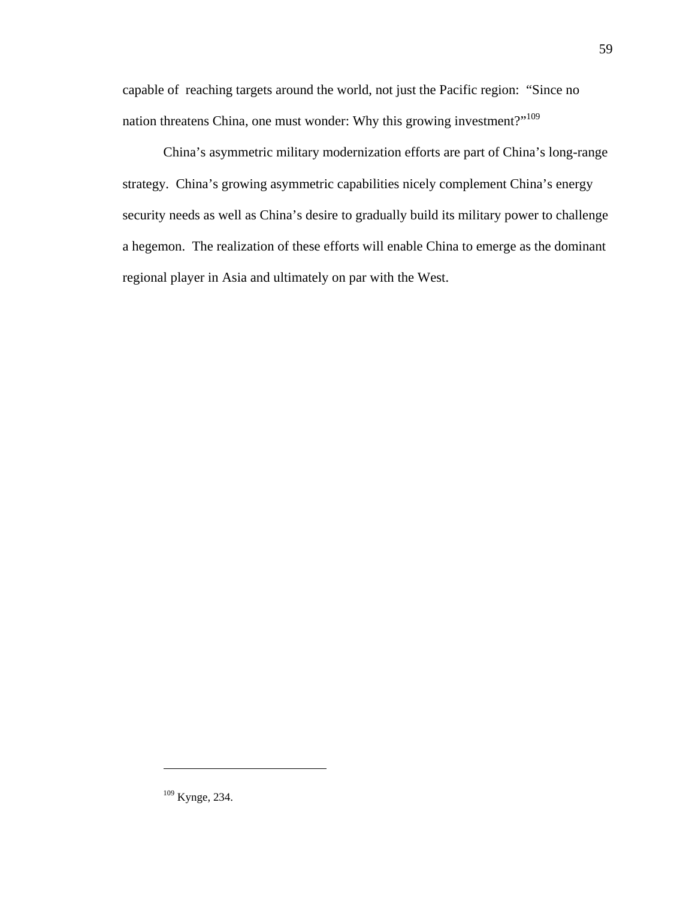capable of reaching targets around the world, not just the Pacific region: "Since no nation threatens China, one must wonder: Why this growing investment?"<sup>109</sup>

China's asymmetric military modernization efforts are part of China's long-range strategy. China's growing asymmetric capabilities nicely complement China's energy security needs as well as China's desire to gradually build its military power to challenge a hegemon. The realization of these efforts will enable China to emerge as the dominant regional player in Asia and ultimately on par with the West.

<sup>109</sup> Kynge, 234.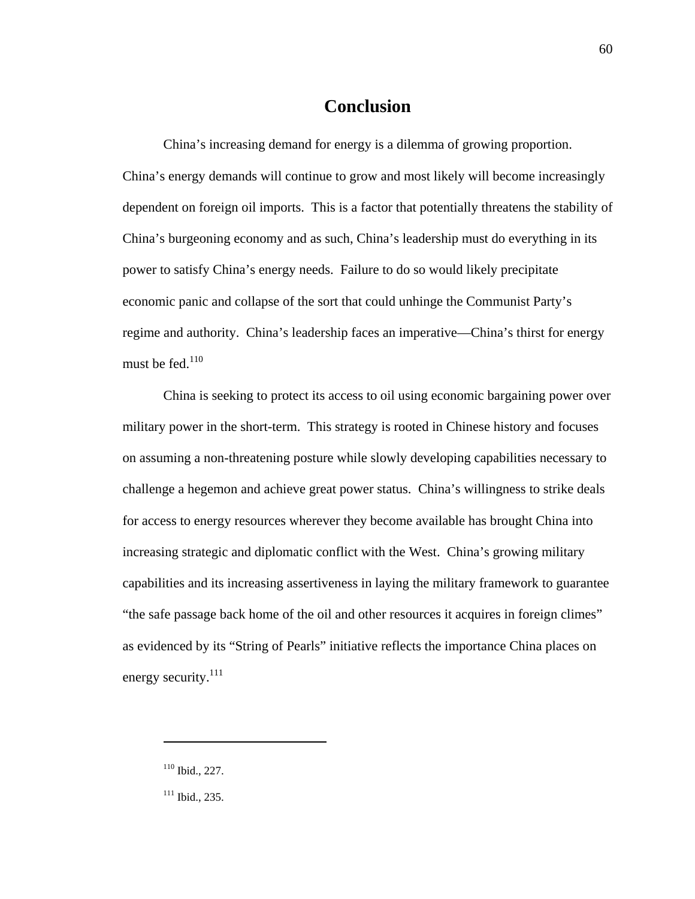# **Conclusion**

China's increasing demand for energy is a dilemma of growing proportion. China's energy demands will continue to grow and most likely will become increasingly dependent on foreign oil imports. This is a factor that potentially threatens the stability of China's burgeoning economy and as such, China's leadership must do everything in its power to satisfy China's energy needs. Failure to do so would likely precipitate economic panic and collapse of the sort that could unhinge the Communist Party's regime and authority. China's leadership faces an imperative—China's thirst for energy must be fed. $110$ 

China is seeking to protect its access to oil using economic bargaining power over military power in the short-term. This strategy is rooted in Chinese history and focuses on assuming a non-threatening posture while slowly developing capabilities necessary to challenge a hegemon and achieve great power status. China's willingness to strike deals for access to energy resources wherever they become available has brought China into increasing strategic and diplomatic conflict with the West. China's growing military capabilities and its increasing assertiveness in laying the military framework to guarantee "the safe passage back home of the oil and other resources it acquires in foreign climes" as evidenced by its "String of Pearls" initiative reflects the importance China places on energy security.<sup>111</sup>

<sup>110</sup> Ibid., 227.

 $111$  Ibid., 235.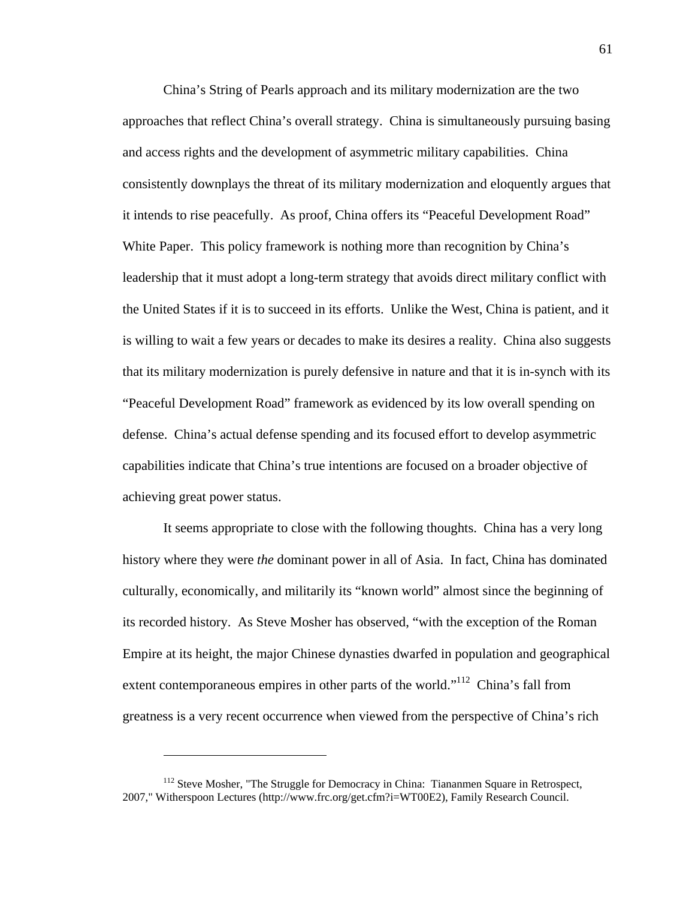China's String of Pearls approach and its military modernization are the two approaches that reflect China's overall strategy. China is simultaneously pursuing basing and access rights and the development of asymmetric military capabilities. China consistently downplays the threat of its military modernization and eloquently argues that it intends to rise peacefully. As proof, China offers its "Peaceful Development Road" White Paper. This policy framework is nothing more than recognition by China's leadership that it must adopt a long-term strategy that avoids direct military conflict with the United States if it is to succeed in its efforts. Unlike the West, China is patient, and it is willing to wait a few years or decades to make its desires a reality. China also suggests that its military modernization is purely defensive in nature and that it is in-synch with its "Peaceful Development Road" framework as evidenced by its low overall spending on defense. China's actual defense spending and its focused effort to develop asymmetric capabilities indicate that China's true intentions are focused on a broader objective of achieving great power status.

It seems appropriate to close with the following thoughts. China has a very long history where they were *the* dominant power in all of Asia. In fact, China has dominated culturally, economically, and militarily its "known world" almost since the beginning of its recorded history. As Steve Mosher has observed, "with the exception of the Roman Empire at its height, the major Chinese dynasties dwarfed in population and geographical extent contemporaneous empires in other parts of the world."<sup>112</sup> China's fall from greatness is a very recent occurrence when viewed from the perspective of China's rich

1

<sup>&</sup>lt;sup>112</sup> Steve Mosher, "The Struggle for Democracy in China: Tiananmen Square in Retrospect, 2007," Witherspoon Lectures (http://www.frc.org/get.cfm?i=WT00E2), Family Research Council.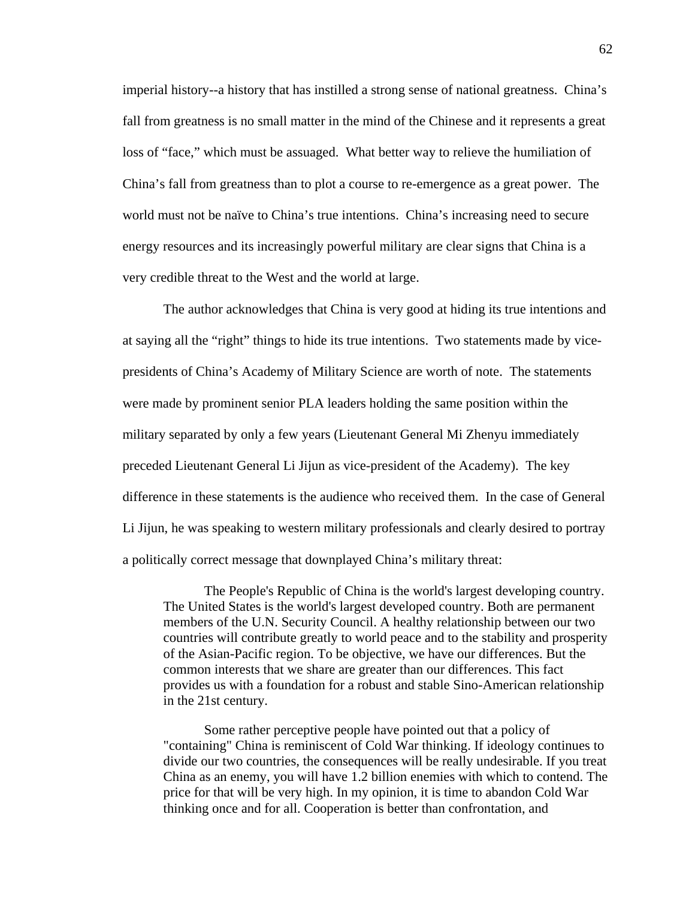imperial history--a history that has instilled a strong sense of national greatness. China's fall from greatness is no small matter in the mind of the Chinese and it represents a great loss of "face," which must be assuaged. What better way to relieve the humiliation of China's fall from greatness than to plot a course to re-emergence as a great power. The world must not be naïve to China's true intentions. China's increasing need to secure energy resources and its increasingly powerful military are clear signs that China is a very credible threat to the West and the world at large.

The author acknowledges that China is very good at hiding its true intentions and at saying all the "right" things to hide its true intentions. Two statements made by vicepresidents of China's Academy of Military Science are worth of note. The statements were made by prominent senior PLA leaders holding the same position within the military separated by only a few years (Lieutenant General Mi Zhenyu immediately preceded Lieutenant General Li Jijun as vice-president of the Academy). The key difference in these statements is the audience who received them. In the case of General Li Jijun, he was speaking to western military professionals and clearly desired to portray a politically correct message that downplayed China's military threat:

The People's Republic of China is the world's largest developing country. The United States is the world's largest developed country. Both are permanent members of the U.N. Security Council. A healthy relationship between our two countries will contribute greatly to world peace and to the stability and prosperity of the Asian-Pacific region. To be objective, we have our differences. But the common interests that we share are greater than our differences. This fact provides us with a foundation for a robust and stable Sino-American relationship in the 21st century.

Some rather perceptive people have pointed out that a policy of "containing" China is reminiscent of Cold War thinking. If ideology continues to divide our two countries, the consequences will be really undesirable. If you treat China as an enemy, you will have 1.2 billion enemies with which to contend. The price for that will be very high. In my opinion, it is time to abandon Cold War thinking once and for all. Cooperation is better than confrontation, and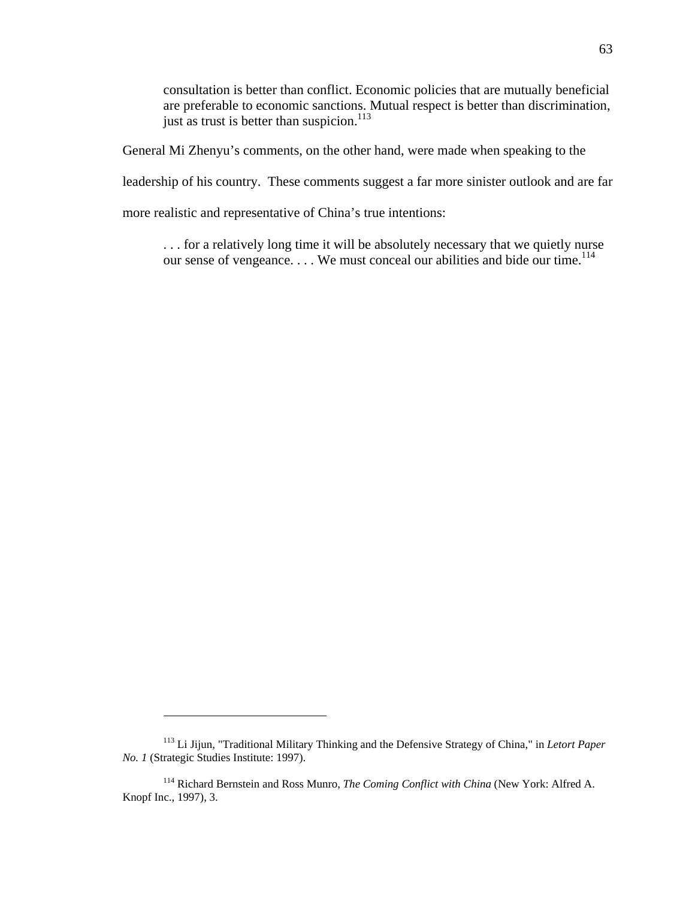consultation is better than conflict. Economic policies that are mutually beneficial are preferable to economic sanctions. Mutual respect is better than discrimination, just as trust is better than suspicion.<sup>113</sup>

General Mi Zhenyu's comments, on the other hand, were made when speaking to the

leadership of his country. These comments suggest a far more sinister outlook and are far

more realistic and representative of China's true intentions:

... for a relatively long time it will be absolutely necessary that we quietly nurse our sense of vengeance.... We must conceal our abilities and bide our time.<sup>114</sup>

<sup>113</sup> Li Jijun, "Traditional Military Thinking and the Defensive Strategy of China," in *Letort Paper No. 1* (Strategic Studies Institute: 1997).

<sup>114</sup> Richard Bernstein and Ross Munro, *The Coming Conflict with China* (New York: Alfred A. Knopf Inc., 1997), 3.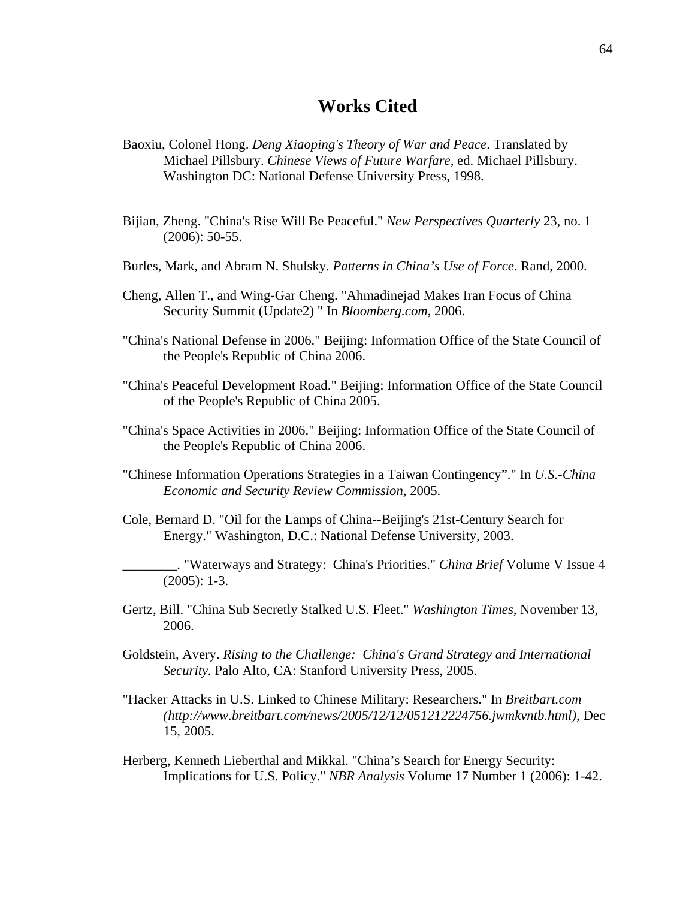# **Works Cited**

- Baoxiu, Colonel Hong. *Deng Xiaoping's Theory of War and Peace*. Translated by Michael Pillsbury. *Chinese Views of Future Warfare*, ed. Michael Pillsbury. Washington DC: National Defense University Press, 1998.
- Bijian, Zheng. "China's Rise Will Be Peaceful." *New Perspectives Quarterly* 23, no. 1 (2006): 50-55.
- Burles, Mark, and Abram N. Shulsky. *Patterns in China's Use of Force*. Rand, 2000.
- Cheng, Allen T., and Wing-Gar Cheng. "Ahmadinejad Makes Iran Focus of China Security Summit (Update2) " In *Bloomberg.com*, 2006.
- "China's National Defense in 2006." Beijing: Information Office of the State Council of the People's Republic of China 2006.
- "China's Peaceful Development Road." Beijing: Information Office of the State Council of the People's Republic of China 2005.
- "China's Space Activities in 2006." Beijing: Information Office of the State Council of the People's Republic of China 2006.
- "Chinese Information Operations Strategies in a Taiwan Contingency"." In *U.S.-China Economic and Security Review Commission*, 2005.
- Cole, Bernard D. "Oil for the Lamps of China--Beijing's 21st-Century Search for Energy." Washington, D.C.: National Defense University, 2003.
- \_\_\_\_\_\_\_\_. "Waterways and Strategy: China's Priorities." *China Brief* Volume V Issue 4 (2005): 1-3.
- Gertz, Bill. "China Sub Secretly Stalked U.S. Fleet." *Washington Times*, November 13, 2006.
- Goldstein, Avery. *Rising to the Challenge: China's Grand Strategy and International Security.* Palo Alto, CA: Stanford University Press, 2005.
- "Hacker Attacks in U.S. Linked to Chinese Military: Researchers." In *Breitbart.com (http://www.breitbart.com/news/2005/12/12/051212224756.jwmkvntb.html)*, Dec 15, 2005.
- Herberg, Kenneth Lieberthal and Mikkal. "China's Search for Energy Security: Implications for U.S. Policy." *NBR Analysis* Volume 17 Number 1 (2006): 1-42.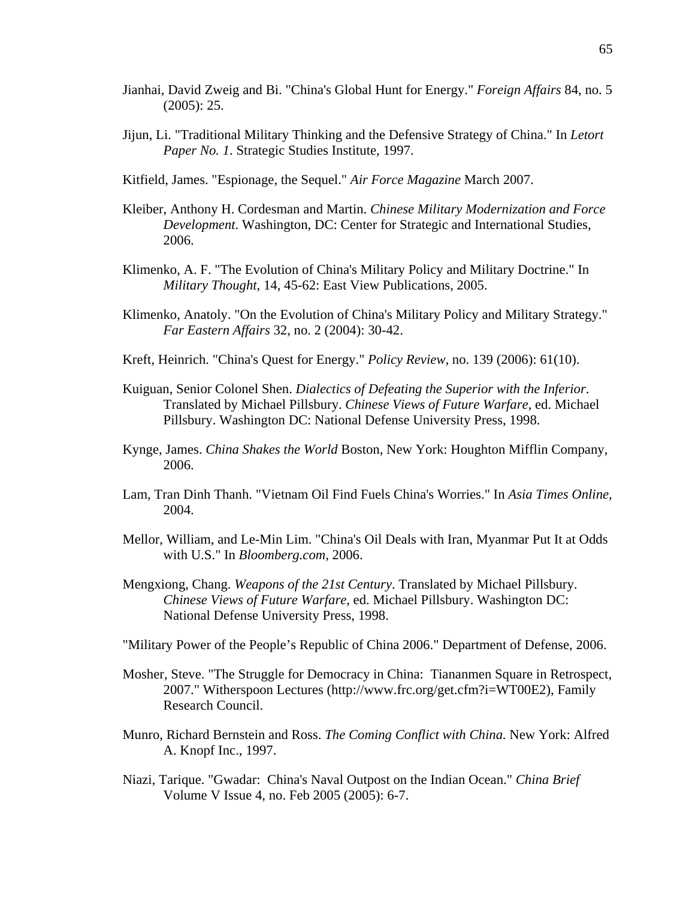- Jianhai, David Zweig and Bi. "China's Global Hunt for Energy." *Foreign Affairs* 84, no. 5 (2005): 25.
- Jijun, Li. "Traditional Military Thinking and the Defensive Strategy of China." In *Letort Paper No. 1*. Strategic Studies Institute, 1997.
- Kitfield, James. "Espionage, the Sequel." *Air Force Magazine* March 2007.
- Kleiber, Anthony H. Cordesman and Martin. *Chinese Military Modernization and Force Development*. Washington, DC: Center for Strategic and International Studies, 2006.
- Klimenko, A. F. "The Evolution of China's Military Policy and Military Doctrine." In *Military Thought*, 14, 45-62: East View Publications, 2005.
- Klimenko, Anatoly. "On the Evolution of China's Military Policy and Military Strategy." *Far Eastern Affairs* 32, no. 2 (2004): 30-42.
- Kreft, Heinrich. "China's Quest for Energy." *Policy Review*, no. 139 (2006): 61(10).
- Kuiguan, Senior Colonel Shen. *Dialectics of Defeating the Superior with the Inferior*. Translated by Michael Pillsbury. *Chinese Views of Future Warfare*, ed. Michael Pillsbury. Washington DC: National Defense University Press, 1998.
- Kynge, James. *China Shakes the World* Boston, New York: Houghton Mifflin Company, 2006.
- Lam, Tran Dinh Thanh. "Vietnam Oil Find Fuels China's Worries." In *Asia Times Online*, 2004.
- Mellor, William, and Le-Min Lim. "China's Oil Deals with Iran, Myanmar Put It at Odds with U.S." In *Bloomberg.com*, 2006.
- Mengxiong, Chang. *Weapons of the 21st Century*. Translated by Michael Pillsbury. *Chinese Views of Future Warfare*, ed. Michael Pillsbury. Washington DC: National Defense University Press, 1998.
- "Military Power of the People's Republic of China 2006." Department of Defense, 2006.
- Mosher, Steve. "The Struggle for Democracy in China: Tiananmen Square in Retrospect, 2007." Witherspoon Lectures (http://www.frc.org/get.cfm?i=WT00E2), Family Research Council.
- Munro, Richard Bernstein and Ross. *The Coming Conflict with China*. New York: Alfred A. Knopf Inc., 1997.
- Niazi, Tarique. "Gwadar: China's Naval Outpost on the Indian Ocean." *China Brief* Volume V Issue 4, no. Feb 2005 (2005): 6-7.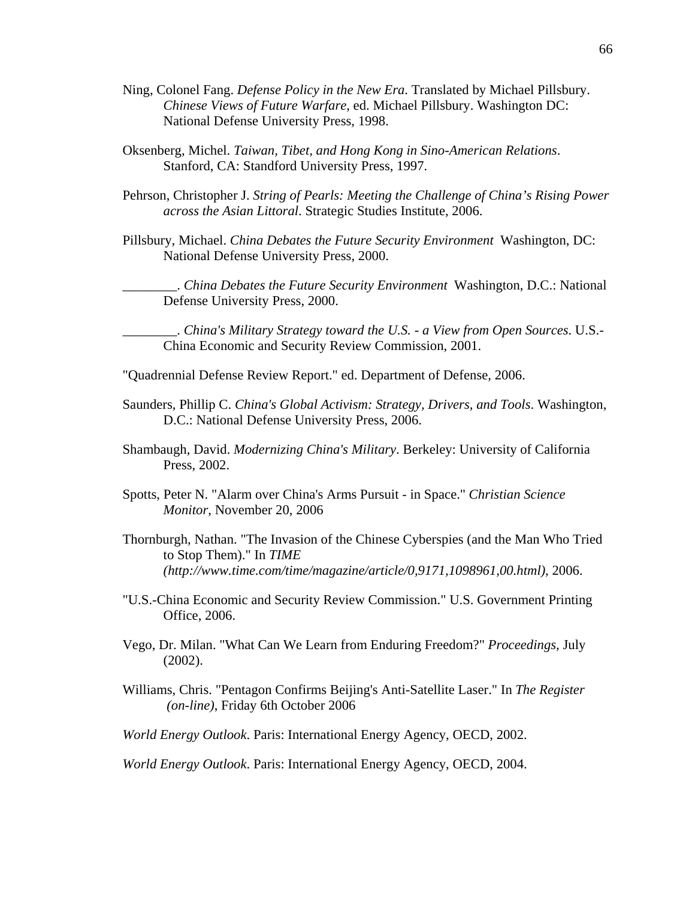- Ning, Colonel Fang. *Defense Policy in the New Era*. Translated by Michael Pillsbury. *Chinese Views of Future Warfare*, ed. Michael Pillsbury. Washington DC: National Defense University Press, 1998.
- Oksenberg, Michel. *Taiwan, Tibet, and Hong Kong in Sino-American Relations*. Stanford, CA: Standford University Press, 1997.
- Pehrson, Christopher J. *String of Pearls: Meeting the Challenge of China's Rising Power across the Asian Littoral*. Strategic Studies Institute, 2006.
- Pillsbury, Michael. *China Debates the Future Security Environment* Washington, DC: National Defense University Press, 2000.

\_\_\_\_\_\_\_\_. *China Debates the Future Security Environment* Washington, D.C.: National Defense University Press, 2000.

\_\_\_\_\_\_\_\_. *China's Military Strategy toward the U.S. - a View from Open Sources*. U.S.- China Economic and Security Review Commission, 2001.

- "Quadrennial Defense Review Report." ed. Department of Defense, 2006.
- Saunders, Phillip C. *China's Global Activism: Strategy, Drivers, and Tools*. Washington, D.C.: National Defense University Press, 2006.
- Shambaugh, David. *Modernizing China's Military*. Berkeley: University of California Press, 2002.
- Spotts, Peter N. "Alarm over China's Arms Pursuit in Space." *Christian Science Monitor*, November 20, 2006
- Thornburgh, Nathan. "The Invasion of the Chinese Cyberspies (and the Man Who Tried to Stop Them)." In *TIME (http://www.time.com/time/magazine/article/0,9171,1098961,00.html)*, 2006.
- "U.S.-China Economic and Security Review Commission." U.S. Government Printing Office, 2006.
- Vego, Dr. Milan. "What Can We Learn from Enduring Freedom?" *Proceedings,* July (2002).
- Williams, Chris. "Pentagon Confirms Beijing's Anti-Satellite Laser." In *The Register (on-line)*, Friday 6th October 2006
- *World Energy Outlook*. Paris: International Energy Agency, OECD, 2002.

*World Energy Outlook*. Paris: International Energy Agency, OECD, 2004.